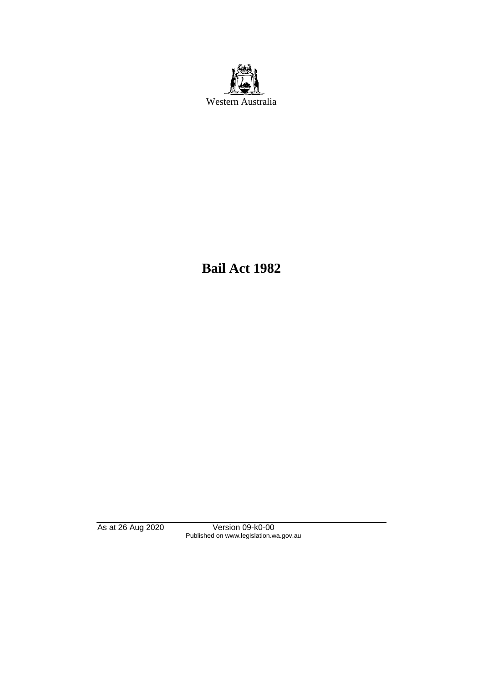

**Bail Act 1982**

As at 26 Aug 2020 Version 09-k0-00 Published on www.legislation.wa.gov.au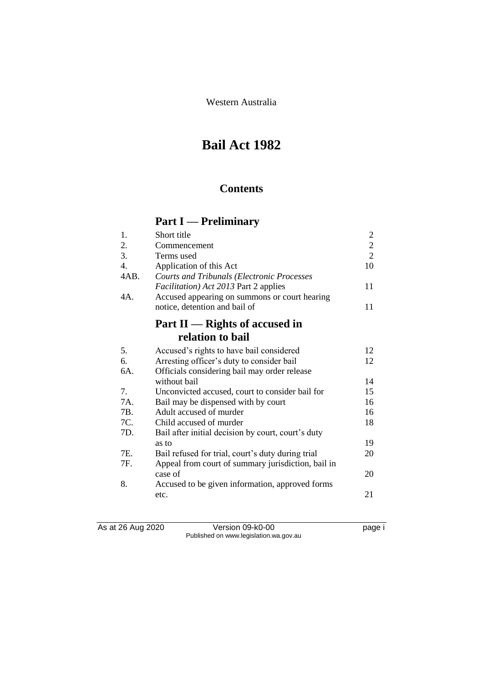Western Australia

# **Bail Act 1982**

## **Contents**

# **Part I — Preliminary**

| 1.               | Short title                                        | $\overline{c}$ |
|------------------|----------------------------------------------------|----------------|
| 2.               | Commencement                                       | $\overline{c}$ |
| 3.               | Terms used                                         | $\overline{2}$ |
| $\overline{4}$ . | Application of this Act                            | 10             |
| 4AB.             | <b>Courts and Tribunals (Electronic Processes</b>  |                |
|                  | <i>Facilitation</i> ) Act 2013 Part 2 applies      | 11             |
| 4A.              | Accused appearing on summons or court hearing      |                |
|                  | notice, detention and bail of                      | 11             |
|                  | Part $II$ — Rights of accused in                   |                |
|                  | relation to bail                                   |                |
| 5.               | Accused's rights to have bail considered           | 12             |
| 6.               | Arresting officer's duty to consider bail          | 12             |
| 6A.              | Officials considering bail may order release       |                |
|                  | without bail                                       | 14             |
| 7.               | Unconvicted accused, court to consider bail for    | 15             |
| 7A.              | Bail may be dispensed with by court                | 16             |
| 7B.              | Adult accused of murder                            | 16             |
| 7C.              | Child accused of murder                            | 18             |
| 7D.              | Bail after initial decision by court, court's duty |                |
|                  | as to                                              | 19             |
| 7E.              | Bail refused for trial, court's duty during trial  | 20             |
| 7F.              | Appeal from court of summary jurisdiction, bail in |                |
|                  | case of                                            | 20             |
| 8.               | Accused to be given information, approved forms    |                |
|                  | etc.                                               | 21             |
|                  |                                                    |                |

As at 26 Aug 2020 Version 09-k0-00 page i Published on www.legislation.wa.gov.au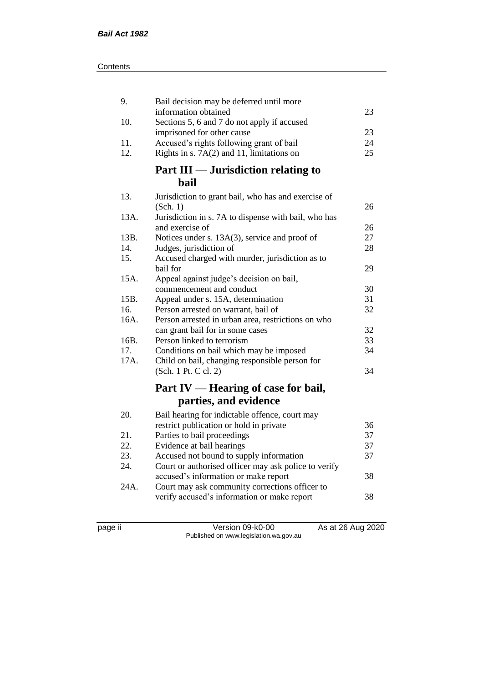| 9.   | Bail decision may be deferred until more                                  |    |
|------|---------------------------------------------------------------------------|----|
|      | information obtained                                                      | 23 |
| 10.  | Sections 5, 6 and 7 do not apply if accused<br>imprisoned for other cause | 23 |
| 11.  | Accused's rights following grant of bail                                  | 24 |
| 12.  | Rights in s. $7A(2)$ and 11, limitations on                               | 25 |
|      |                                                                           |    |
|      | Part III — Jurisdiction relating to                                       |    |
|      | <b>bail</b>                                                               |    |
| 13.  | Jurisdiction to grant bail, who has and exercise of                       |    |
|      | (Sch. 1)                                                                  | 26 |
| 13A. | Jurisdiction in s. 7A to dispense with bail, who has                      |    |
|      | and exercise of                                                           | 26 |
| 13B. | Notices under s. 13A(3), service and proof of                             | 27 |
| 14.  | Judges, jurisdiction of                                                   | 28 |
| 15.  | Accused charged with murder, jurisdiction as to                           |    |
|      | bail for                                                                  | 29 |
| 15A. | Appeal against judge's decision on bail,                                  |    |
|      | commencement and conduct                                                  | 30 |
| 15B. | Appeal under s. 15A, determination                                        | 31 |
| 16.  | Person arrested on warrant, bail of                                       | 32 |
| 16A. | Person arrested in urban area, restrictions on who                        |    |
|      | can grant bail for in some cases                                          | 32 |
| 16B. | Person linked to terrorism                                                | 33 |
| 17.  | Conditions on bail which may be imposed                                   | 34 |
| 17A. | Child on bail, changing responsible person for                            |    |
|      | (Sch. 1 Pt. C cl. 2)                                                      | 34 |
|      | Part IV — Hearing of case for bail,                                       |    |
|      | parties, and evidence                                                     |    |
| 20.  | Bail hearing for indictable offence, court may                            |    |
|      | restrict publication or hold in private                                   | 36 |
| 21.  | Parties to bail proceedings                                               | 37 |
| 22.  | Evidence at bail hearings                                                 | 37 |
| 23.  | Accused not bound to supply information                                   | 37 |
| 24.  | Court or authorised officer may ask police to verify                      |    |
|      | accused's information or make report                                      | 38 |
| 24A. | Court may ask community corrections officer to                            |    |
|      | verify accused's information or make report                               | 38 |
|      |                                                                           |    |

page ii Version 09-k0-00 As at 26 Aug 2020 Published on www.legislation.wa.gov.au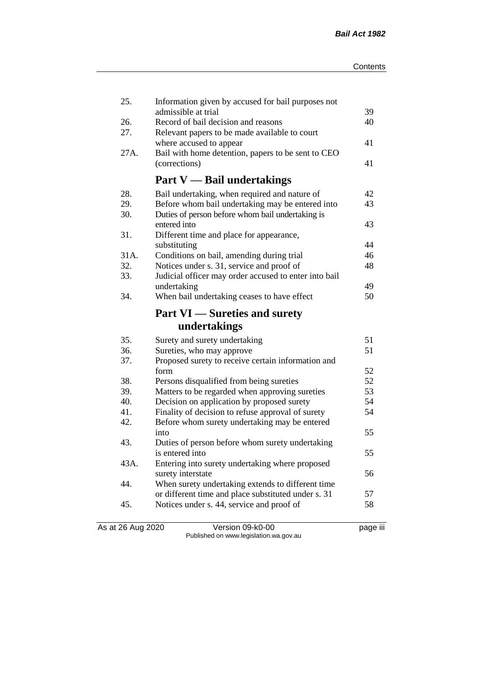| 25.        | Information given by accused for bail purposes not                                               |          |
|------------|--------------------------------------------------------------------------------------------------|----------|
|            | admissible at trial<br>Record of bail decision and reasons                                       | 39<br>40 |
| 26.<br>27. | Relevant papers to be made available to court                                                    |          |
|            | where accused to appear                                                                          | 41       |
| 27A.       | Bail with home detention, papers to be sent to CEO                                               |          |
|            | (corrections)                                                                                    | 41       |
|            | <b>Part V</b> — Bail undertakings                                                                |          |
|            |                                                                                                  |          |
| 28.        | Bail undertaking, when required and nature of                                                    | 42       |
| 29.        | Before whom bail undertaking may be entered into                                                 | 43       |
| 30.        | Duties of person before whom bail undertaking is                                                 |          |
|            | entered into                                                                                     | 43       |
| 31.        | Different time and place for appearance,                                                         |          |
| 31A.       | substituting                                                                                     | 44<br>46 |
| 32.        | Conditions on bail, amending during trial<br>Notices under s. 31, service and proof of           | 48       |
| 33.        | Judicial officer may order accused to enter into bail                                            |          |
|            | undertaking                                                                                      | 49       |
| 34.        | When bail undertaking ceases to have effect                                                      | 50       |
|            |                                                                                                  |          |
|            | <b>Part VI</b> — Sureties and surety                                                             |          |
|            | undertakings                                                                                     |          |
| 35.        | Surety and surety undertaking                                                                    | 51       |
| 36.        | Sureties, who may approve                                                                        | 51       |
| 37.        | Proposed surety to receive certain information and                                               |          |
|            | form                                                                                             | 52       |
| 38.        | Persons disqualified from being sureties                                                         | 52       |
| 39.        | Matters to be regarded when approving sureties                                                   | 53       |
| 40.        | Decision on application by proposed surety                                                       | 54       |
| 41.        | Finality of decision to refuse approval of surety                                                | 54       |
| 42.        | Before whom surety undertaking may be entered                                                    |          |
|            | into                                                                                             | 55       |
| 43.        | Duties of person before whom surety undertaking                                                  |          |
|            | is entered into                                                                                  | 55       |
| 43A.       | Entering into surety undertaking where proposed                                                  |          |
|            | surety interstate                                                                                | 56       |
| 44.        | When surety undertaking extends to different time                                                |          |
| 45.        | or different time and place substituted under s. 31<br>Notices under s. 44, service and proof of | 57<br>58 |
|            |                                                                                                  |          |
|            |                                                                                                  |          |

As at 26 Aug 2020 Version 09-k0-00 page iii Published on www.legislation.wa.gov.au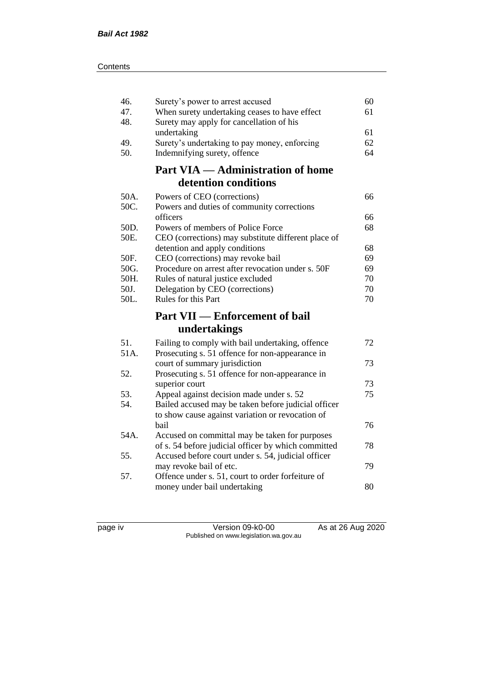| 46.<br>47.<br>48. | Surety's power to arrest accused<br>When surety undertaking ceases to have effect<br>Surety may apply for cancellation of his | 60<br>61 |
|-------------------|-------------------------------------------------------------------------------------------------------------------------------|----------|
|                   | undertaking                                                                                                                   | 61       |
| 49.               | Surety's undertaking to pay money, enforcing                                                                                  | 62       |
| 50.               | Indemnifying surety, offence                                                                                                  | 64       |
|                   | <b>Part VIA — Administration of home</b>                                                                                      |          |
|                   | detention conditions                                                                                                          |          |
| 50A.              | Powers of CEO (corrections)                                                                                                   | 66       |
| 50C.              | Powers and duties of community corrections                                                                                    |          |
|                   | officers                                                                                                                      | 66       |
| 50D.              | Powers of members of Police Force                                                                                             | 68       |
| 50E.              | CEO (corrections) may substitute different place of                                                                           |          |
| 50F.              | detention and apply conditions                                                                                                | 68<br>69 |
| 50G.              | CEO (corrections) may revoke bail<br>Procedure on arrest after revocation under s. 50F                                        | 69       |
| 50H.              | Rules of natural justice excluded                                                                                             | 70       |
| 50J.              | Delegation by CEO (corrections)                                                                                               | 70       |
| 50L.              | Rules for this Part                                                                                                           | 70       |
|                   | <b>Part VII — Enforcement of bail</b>                                                                                         |          |
|                   | undertakings                                                                                                                  |          |
| 51.               | Failing to comply with bail undertaking, offence                                                                              | 72       |
| 51A.              | Prosecuting s. 51 offence for non-appearance in                                                                               |          |
|                   | court of summary jurisdiction                                                                                                 | 73       |
| 52.               | Prosecuting s. 51 offence for non-appearance in                                                                               |          |
|                   | superior court                                                                                                                | 73       |
| 53.               | Appeal against decision made under s. 52                                                                                      | 75       |
| 54.               | Bailed accused may be taken before judicial officer                                                                           |          |
|                   | to show cause against variation or revocation of                                                                              |          |
| 54A.              | bail                                                                                                                          | 76       |
|                   | Accused on committal may be taken for purposes<br>of s. 54 before judicial officer by which committed                         | 78       |
| 55.               | Accused before court under s. 54, judicial officer                                                                            |          |
|                   | may revoke bail of etc.                                                                                                       | 79       |
| 57.               | Offence under s. 51, court to order forfeiture of                                                                             |          |
|                   | money under bail undertaking                                                                                                  | 80       |
|                   |                                                                                                                               |          |

page iv Version 09-k0-00 As at 26 Aug 2020 Published on www.legislation.wa.gov.au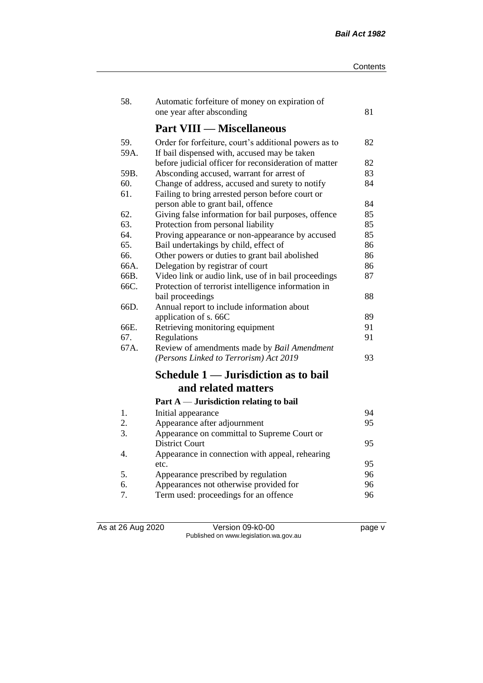| 58.  | Automatic forfeiture of money on expiration of        |    |
|------|-------------------------------------------------------|----|
|      | one year after absconding                             | 81 |
|      | <b>Part VIII — Miscellaneous</b>                      |    |
| 59.  | Order for forfeiture, court's additional powers as to | 82 |
| 59A. | If bail dispensed with, accused may be taken          |    |
|      | before judicial officer for reconsideration of matter | 82 |
| 59B. | Absconding accused, warrant for arrest of             | 83 |
| 60.  | Change of address, accused and surety to notify       | 84 |
| 61.  | Failing to bring arrested person before court or      |    |
|      | person able to grant bail, offence                    | 84 |
| 62.  | Giving false information for bail purposes, offence   | 85 |
| 63.  | Protection from personal liability                    | 85 |
| 64.  | Proving appearance or non-appearance by accused       | 85 |
| 65.  | Bail undertakings by child, effect of                 | 86 |
| 66.  | Other powers or duties to grant bail abolished        | 86 |
| 66A. | Delegation by registrar of court                      | 86 |
| 66B. | Video link or audio link, use of in bail proceedings  | 87 |
| 66C. | Protection of terrorist intelligence information in   |    |
|      | bail proceedings                                      | 88 |
| 66D. | Annual report to include information about            |    |
|      | application of s. 66C                                 | 89 |
| 66E. | Retrieving monitoring equipment                       | 91 |
| 67.  | Regulations                                           | 91 |
| 67A. | Review of amendments made by Bail Amendment           |    |
|      | (Persons Linked to Terrorism) Act 2019                | 93 |
|      | Schedule 1 — Jurisdiction as to bail                  |    |
|      | and related matters                                   |    |
|      | Part $A$ — Jurisdiction relating to bail              |    |
| 1.   | Initial appearance                                    | 94 |
| 2.   | Appearance after adjournment                          | 95 |
| 3.   | Appearance on committal to Supreme Court or           |    |
|      | <b>District Court</b>                                 | 95 |
| 4.   | Appearance in connection with appeal, rehearing       |    |
|      | etc.                                                  | 95 |
| 5.   | Appearance prescribed by regulation                   | 96 |
| 6.   | Appearances not otherwise provided for                | 96 |
| 7.   | Term used: proceedings for an offence                 | 96 |

As at 26 Aug 2020 Version 09-k0-00 page v Published on www.legislation.wa.gov.au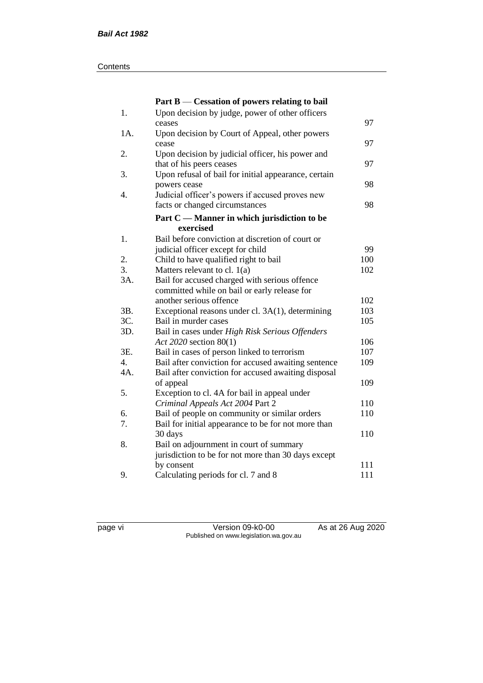#### **Contents**

|      | Part B — Cessation of powers relating to bail        |     |
|------|------------------------------------------------------|-----|
| $1.$ | Upon decision by judge, power of other officers      |     |
|      | ceases                                               | 97  |
| 1A.  | Upon decision by Court of Appeal, other powers       |     |
|      | cease                                                | 97  |
| 2.   | Upon decision by judicial officer, his power and     |     |
|      | that of his peers ceases                             | 97  |
| 3.   | Upon refusal of bail for initial appearance, certain |     |
|      | powers cease                                         | 98  |
| 4.   | Judicial officer's powers if accused proves new      |     |
|      | facts or changed circumstances                       | 98  |
|      | Part C — Manner in which jurisdiction to be          |     |
|      | exercised                                            |     |
| 1.   | Bail before conviction at discretion of court or     |     |
|      | judicial officer except for child                    | 99  |
| 2.   | Child to have qualified right to bail                | 100 |
| 3.   | Matters relevant to cl. $1(a)$                       | 102 |
| 3A.  | Bail for accused charged with serious offence        |     |
|      | committed while on bail or early release for         |     |
|      | another serious offence                              | 102 |
| 3B.  | Exceptional reasons under cl. 3A(1), determining     | 103 |
| 3C.  | Bail in murder cases                                 | 105 |
| 3D.  | Bail in cases under High Risk Serious Offenders      |     |
|      | Act 2020 section 80(1)                               | 106 |
| 3E.  | Bail in cases of person linked to terrorism          | 107 |
| 4.   | Bail after conviction for accused awaiting sentence  | 109 |
| 4A.  | Bail after conviction for accused awaiting disposal  |     |
|      | of appeal                                            | 109 |
| 5.   | Exception to cl. 4A for bail in appeal under         |     |
|      | Criminal Appeals Act 2004 Part 2                     | 110 |
| 6.   | Bail of people on community or similar orders        | 110 |
| 7.   | Bail for initial appearance to be for not more than  |     |
|      | 30 days                                              | 110 |
| 8.   | Bail on adjournment in court of summary              |     |
|      | jurisdiction to be for not more than 30 days except  |     |
|      | by consent                                           | 111 |
| 9.   | Calculating periods for cl. 7 and 8                  | 111 |

page vi Version 09-k0-00 As at 26 Aug 2020 Published on www.legislation.wa.gov.au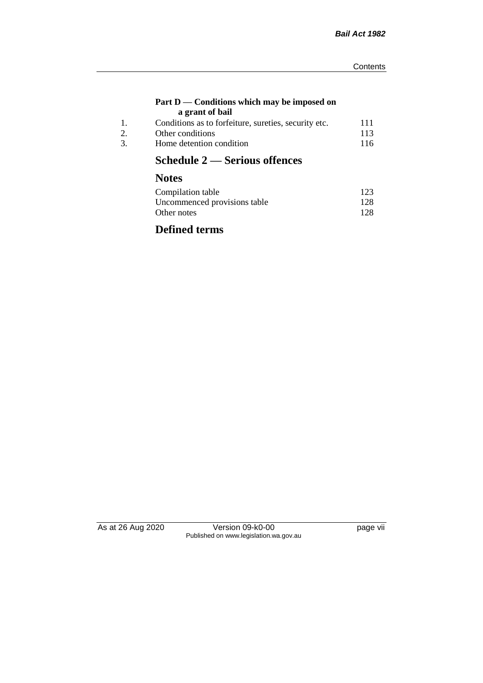#### **Part D — Conditions which may be imposed on a grant of bail**

| 111                                                  |
|------------------------------------------------------|
|                                                      |
| 113                                                  |
| 116                                                  |
| Conditions as to forfeiture, sureties, security etc. |

# **Schedule 2 — Serious offences**

# **Notes**

| Compilation table            | 123 |
|------------------------------|-----|
| Uncommenced provisions table | 128 |
| Other notes                  | 128 |

# **Defined terms**

As at 26 Aug 2020 Version 09-k0-00 page vii Published on www.legislation.wa.gov.au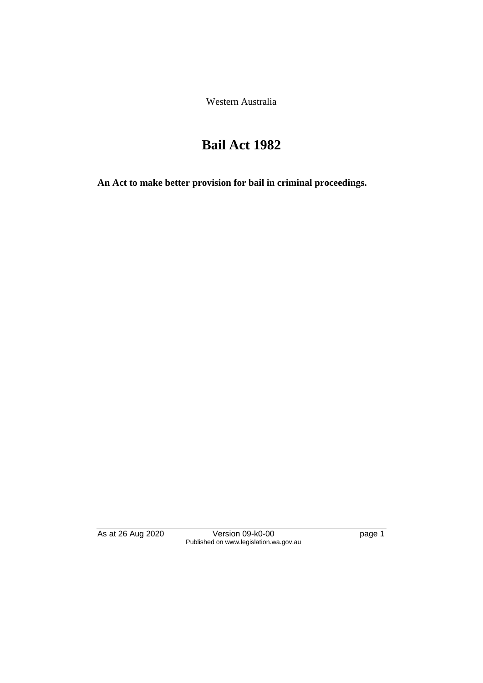Western Australia

# **Bail Act 1982**

**An Act to make better provision for bail in criminal proceedings.** 

As at 26 Aug 2020 Version 09-k0-00 page 1 Published on www.legislation.wa.gov.au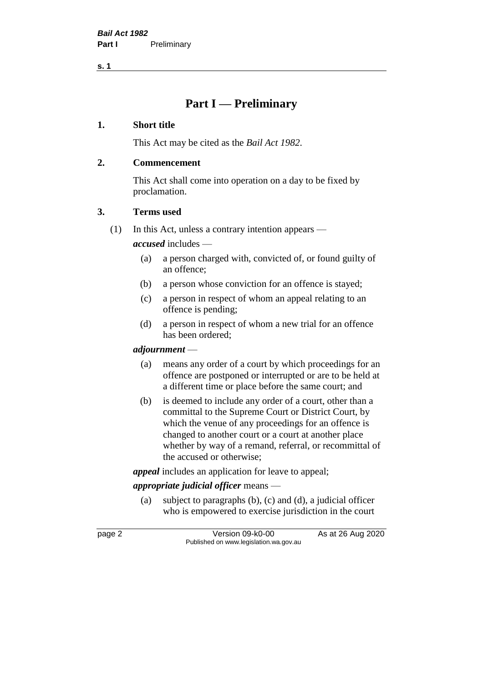**s. 1**

## **Part I — Preliminary**

## **1. Short title**

This Act may be cited as the *Bail Act 1982*.

## **2. Commencement**

This Act shall come into operation on a day to be fixed by proclamation.

## **3. Terms used**

(1) In this Act, unless a contrary intention appears —

*accused* includes —

- (a) a person charged with, convicted of, or found guilty of an offence;
- (b) a person whose conviction for an offence is stayed;
- (c) a person in respect of whom an appeal relating to an offence is pending;
- (d) a person in respect of whom a new trial for an offence has been ordered;

## *adjournment* —

- (a) means any order of a court by which proceedings for an offence are postponed or interrupted or are to be held at a different time or place before the same court; and
- (b) is deemed to include any order of a court, other than a committal to the Supreme Court or District Court, by which the venue of any proceedings for an offence is changed to another court or a court at another place whether by way of a remand, referral, or recommittal of the accused or otherwise;

*appeal* includes an application for leave to appeal;

## *appropriate judicial officer* means —

(a) subject to paragraphs (b), (c) and (d), a judicial officer who is empowered to exercise jurisdiction in the court

page 2 Version 09-k0-00 As at 26 Aug 2020 Published on www.legislation.wa.gov.au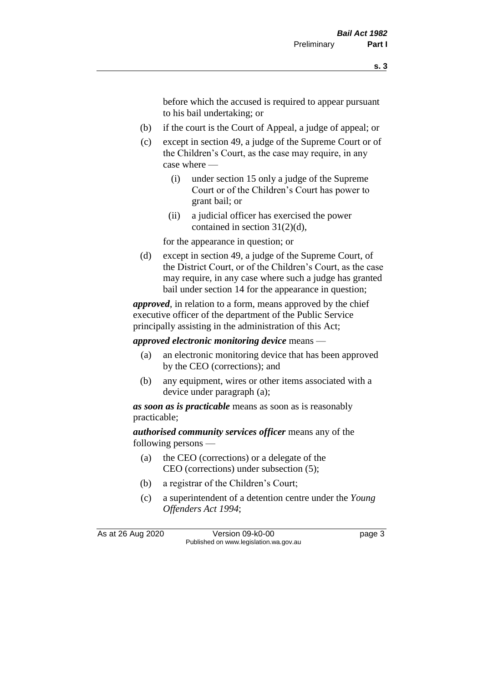before which the accused is required to appear pursuant to his bail undertaking; or

- (b) if the court is the Court of Appeal, a judge of appeal; or
- (c) except in section 49, a judge of the Supreme Court or of the Children's Court, as the case may require, in any case where —
	- (i) under section 15 only a judge of the Supreme Court or of the Children's Court has power to grant bail; or
	- (ii) a judicial officer has exercised the power contained in section 31(2)(d),

for the appearance in question; or

(d) except in section 49, a judge of the Supreme Court, of the District Court, or of the Children's Court, as the case may require, in any case where such a judge has granted bail under section 14 for the appearance in question;

*approved*, in relation to a form, means approved by the chief executive officer of the department of the Public Service principally assisting in the administration of this Act;

*approved electronic monitoring device* means —

- (a) an electronic monitoring device that has been approved by the CEO (corrections); and
- (b) any equipment, wires or other items associated with a device under paragraph (a);

*as soon as is practicable* means as soon as is reasonably practicable;

*authorised community services officer* means any of the following persons —

- (a) the CEO (corrections) or a delegate of the CEO (corrections) under subsection (5);
- (b) a registrar of the Children's Court;
- (c) a superintendent of a detention centre under the *Young Offenders Act 1994*;

As at 26 Aug 2020 Version 09-k0-00 page 3 Published on www.legislation.wa.gov.au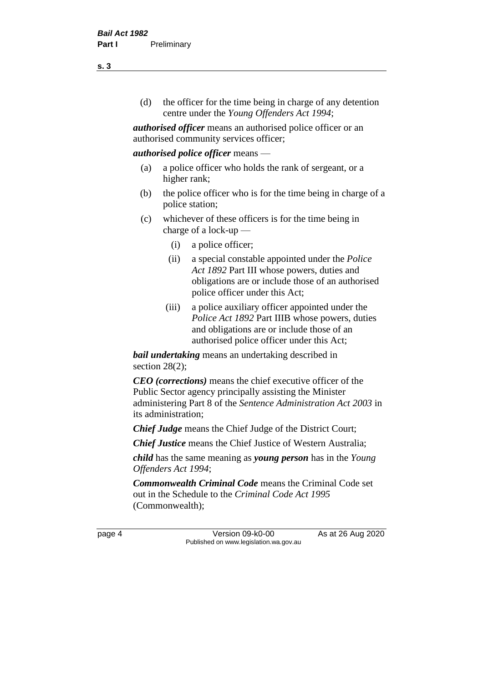(d) the officer for the time being in charge of any detention centre under the *Young Offenders Act 1994*;

*authorised officer* means an authorised police officer or an authorised community services officer;

#### *authorised police officer* means —

- (a) a police officer who holds the rank of sergeant, or a higher rank;
- (b) the police officer who is for the time being in charge of a police station;
- (c) whichever of these officers is for the time being in charge of a lock-up —
	- (i) a police officer;
	- (ii) a special constable appointed under the *Police Act 1892* Part III whose powers, duties and obligations are or include those of an authorised police officer under this Act;
	- (iii) a police auxiliary officer appointed under the *Police Act 1892* Part IIIB whose powers, duties and obligations are or include those of an authorised police officer under this Act;

*bail undertaking* means an undertaking described in section 28(2);

*CEO (corrections)* means the chief executive officer of the Public Sector agency principally assisting the Minister administering Part 8 of the *Sentence Administration Act 2003* in its administration;

*Chief Judge* means the Chief Judge of the District Court;

*Chief Justice* means the Chief Justice of Western Australia;

*child* has the same meaning as *young person* has in the *Young Offenders Act 1994*;

*Commonwealth Criminal Code* means the Criminal Code set out in the Schedule to the *Criminal Code Act 1995* (Commonwealth);

page 4 Version 09-k0-00 As at 26 Aug 2020 Published on www.legislation.wa.gov.au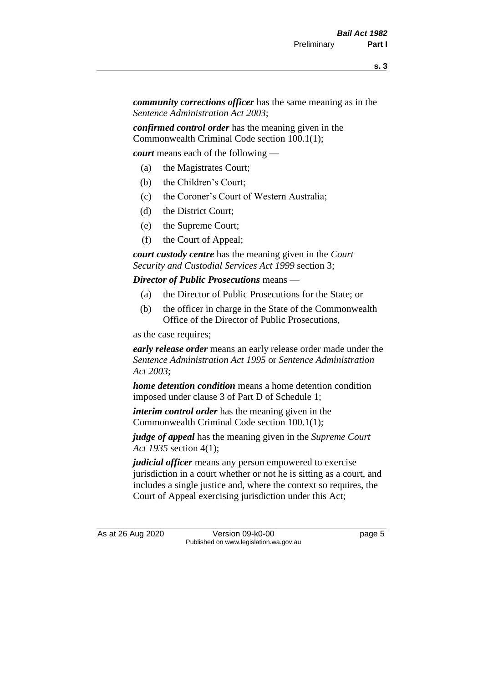*community corrections officer* has the same meaning as in the *Sentence Administration Act 2003*;

*confirmed control order* has the meaning given in the Commonwealth Criminal Code section 100.1(1);

*court* means each of the following —

- (a) the Magistrates Court;
- (b) the Children's Court;
- (c) the Coroner's Court of Western Australia;
- (d) the District Court;
- (e) the Supreme Court;
- (f) the Court of Appeal;

*court custody centre* has the meaning given in the *Court Security and Custodial Services Act 1999* section 3;

*Director of Public Prosecutions* means —

- (a) the Director of Public Prosecutions for the State; or
- (b) the officer in charge in the State of the Commonwealth Office of the Director of Public Prosecutions,

as the case requires;

*early release order* means an early release order made under the *Sentence Administration Act 1995* or *Sentence Administration Act 2003*;

*home detention condition* means a home detention condition imposed under clause 3 of Part D of Schedule 1;

*interim control order* has the meaning given in the Commonwealth Criminal Code section 100.1(1);

*judge of appeal* has the meaning given in the *Supreme Court Act 1935* section 4(1);

*judicial officer* means any person empowered to exercise jurisdiction in a court whether or not he is sitting as a court, and includes a single justice and, where the context so requires, the Court of Appeal exercising jurisdiction under this Act;

As at 26 Aug 2020 Version 09-k0-00 page 5 Published on www.legislation.wa.gov.au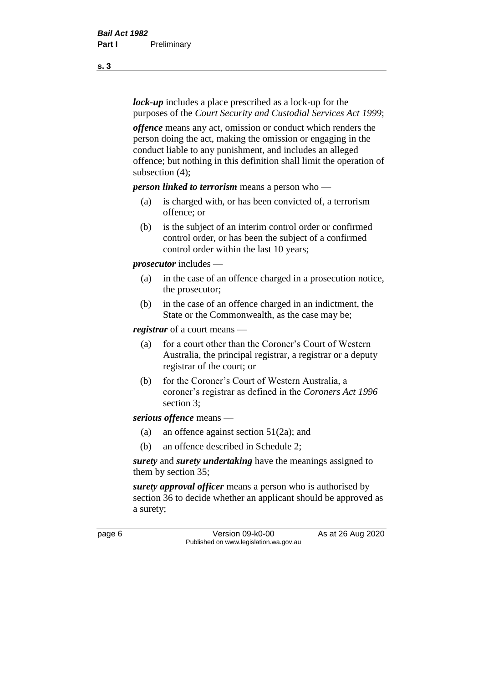*lock-up* includes a place prescribed as a lock-up for the purposes of the *Court Security and Custodial Services Act 1999*;

*offence* means any act, omission or conduct which renders the person doing the act, making the omission or engaging in the conduct liable to any punishment, and includes an alleged offence; but nothing in this definition shall limit the operation of subsection (4);

*person linked to terrorism* means a person who —

- (a) is charged with, or has been convicted of, a terrorism offence; or
- (b) is the subject of an interim control order or confirmed control order, or has been the subject of a confirmed control order within the last 10 years;

*prosecutor* includes —

- (a) in the case of an offence charged in a prosecution notice, the prosecutor;
- (b) in the case of an offence charged in an indictment, the State or the Commonwealth, as the case may be;

*registrar* of a court means —

- (a) for a court other than the Coroner's Court of Western Australia, the principal registrar, a registrar or a deputy registrar of the court; or
- (b) for the Coroner's Court of Western Australia, a coroner's registrar as defined in the *Coroners Act 1996* section 3;

*serious offence* means —

- (a) an offence against section 51(2a); and
- (b) an offence described in Schedule 2;

*surety* and *surety undertaking* have the meanings assigned to them by section 35;

*surety approval officer* means a person who is authorised by section 36 to decide whether an applicant should be approved as a surety;

page 6 Version 09-k0-00 As at 26 Aug 2020 Published on www.legislation.wa.gov.au

**s. 3**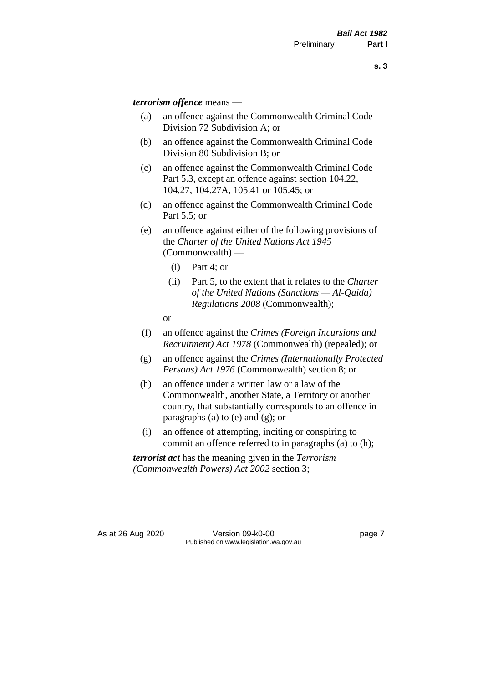*terrorism offence* means —

- (a) an offence against the Commonwealth Criminal Code Division 72 Subdivision A; or
- (b) an offence against the Commonwealth Criminal Code Division 80 Subdivision B; or
- (c) an offence against the Commonwealth Criminal Code Part 5.3, except an offence against section 104.22, 104.27, 104.27A, 105.41 or 105.45; or
- (d) an offence against the Commonwealth Criminal Code Part 5.5; or
- (e) an offence against either of the following provisions of the *Charter of the United Nations Act 1945*  (Commonwealth) —
	- (i) Part 4; or
	- (ii) Part 5, to the extent that it relates to the *Charter of the United Nations (Sanctions — Al-Qaida) Regulations 2008* (Commonwealth);
	- or
- (f) an offence against the *Crimes (Foreign Incursions and Recruitment) Act 1978* (Commonwealth) (repealed); or
- (g) an offence against the *Crimes (Internationally Protected Persons) Act 1976* (Commonwealth) section 8; or
- (h) an offence under a written law or a law of the Commonwealth, another State, a Territory or another country, that substantially corresponds to an offence in paragraphs (a) to (e) and (g); or
- (i) an offence of attempting, inciting or conspiring to commit an offence referred to in paragraphs (a) to (h);

*terrorist act* has the meaning given in the *Terrorism (Commonwealth Powers) Act 2002* section 3;

As at 26 Aug 2020 Version 09-k0-00 Page 7 Published on www.legislation.wa.gov.au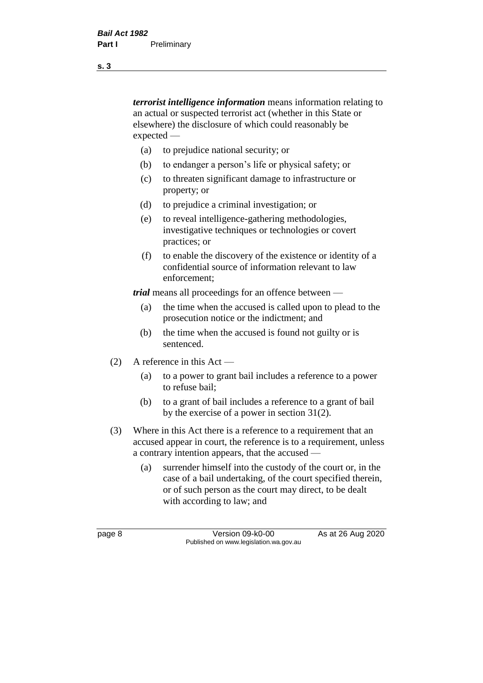*terrorist intelligence information* means information relating to an actual or suspected terrorist act (whether in this State or elsewhere) the disclosure of which could reasonably be expected —

- (a) to prejudice national security; or
- (b) to endanger a person's life or physical safety; or
- (c) to threaten significant damage to infrastructure or property; or
- (d) to prejudice a criminal investigation; or
- (e) to reveal intelligence-gathering methodologies, investigative techniques or technologies or covert practices; or
- (f) to enable the discovery of the existence or identity of a confidential source of information relevant to law enforcement;

*trial* means all proceedings for an offence between —

- (a) the time when the accused is called upon to plead to the prosecution notice or the indictment; and
- (b) the time when the accused is found not guilty or is sentenced.
- (2) A reference in this Act
	- (a) to a power to grant bail includes a reference to a power to refuse bail;
	- (b) to a grant of bail includes a reference to a grant of bail by the exercise of a power in section 31(2).
- (3) Where in this Act there is a reference to a requirement that an accused appear in court, the reference is to a requirement, unless a contrary intention appears, that the accused —
	- (a) surrender himself into the custody of the court or, in the case of a bail undertaking, of the court specified therein, or of such person as the court may direct, to be dealt with according to law; and

page 8 Version 09-k0-00 As at 26 Aug 2020 Published on www.legislation.wa.gov.au

**s. 3**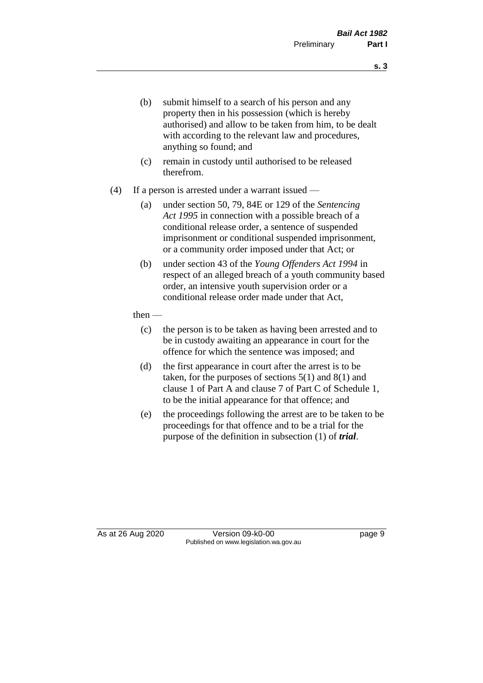- (b) submit himself to a search of his person and any property then in his possession (which is hereby authorised) and allow to be taken from him, to be dealt with according to the relevant law and procedures, anything so found; and
- (c) remain in custody until authorised to be released therefrom.
- (4) If a person is arrested under a warrant issued
	- (a) under section 50, 79, 84E or 129 of the *Sentencing Act 1995* in connection with a possible breach of a conditional release order, a sentence of suspended imprisonment or conditional suspended imprisonment, or a community order imposed under that Act; or
	- (b) under section 43 of the *Young Offenders Act 1994* in respect of an alleged breach of a youth community based order, an intensive youth supervision order or a conditional release order made under that Act,
	- then
		- (c) the person is to be taken as having been arrested and to be in custody awaiting an appearance in court for the offence for which the sentence was imposed; and
		- (d) the first appearance in court after the arrest is to be taken, for the purposes of sections  $5(1)$  and  $8(1)$  and clause 1 of Part A and clause 7 of Part C of Schedule 1, to be the initial appearance for that offence; and
		- (e) the proceedings following the arrest are to be taken to be proceedings for that offence and to be a trial for the purpose of the definition in subsection (1) of *trial*.

As at 26 Aug 2020 Version 09-k0-00 page 9 Published on www.legislation.wa.gov.au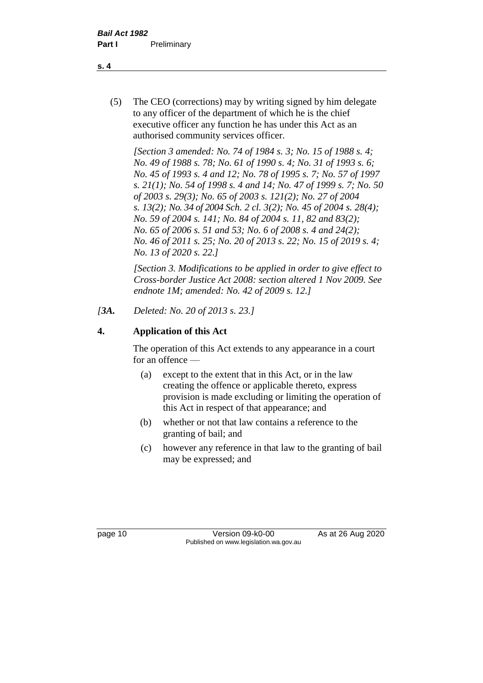(5) The CEO (corrections) may by writing signed by him delegate to any officer of the department of which he is the chief executive officer any function he has under this Act as an authorised community services officer.

*[Section 3 amended: No. 74 of 1984 s. 3; No. 15 of 1988 s. 4; No. 49 of 1988 s. 78; No. 61 of 1990 s. 4; No. 31 of 1993 s. 6; No. 45 of 1993 s. 4 and 12; No. 78 of 1995 s. 7; No. 57 of 1997 s. 21(1); No. 54 of 1998 s. 4 and 14; No. 47 of 1999 s. 7; No. 50 of 2003 s. 29(3); No. 65 of 2003 s. 121(2); No. 27 of 2004 s. 13(2); No. 34 of 2004 Sch. 2 cl. 3(2); No. 45 of 2004 s. 28(4); No. 59 of 2004 s. 141; No. 84 of 2004 s. 11, 82 and 83(2); No. 65 of 2006 s. 51 and 53; No. 6 of 2008 s. 4 and 24(2); No. 46 of 2011 s. 25; No. 20 of 2013 s. 22; No. 15 of 2019 s. 4; No. 13 of 2020 s. 22.]* 

*[Section 3. Modifications to be applied in order to give effect to Cross-border Justice Act 2008: section altered 1 Nov 2009. See endnote 1M; amended: No. 42 of 2009 s. 12.]*

## *[3A. Deleted: No. 20 of 2013 s. 23.]*

## **4. Application of this Act**

The operation of this Act extends to any appearance in a court for an offence —

- (a) except to the extent that in this Act, or in the law creating the offence or applicable thereto, express provision is made excluding or limiting the operation of this Act in respect of that appearance; and
- (b) whether or not that law contains a reference to the granting of bail; and
- (c) however any reference in that law to the granting of bail may be expressed; and

page 10 Version 09-k0-00 As at 26 Aug 2020 Published on www.legislation.wa.gov.au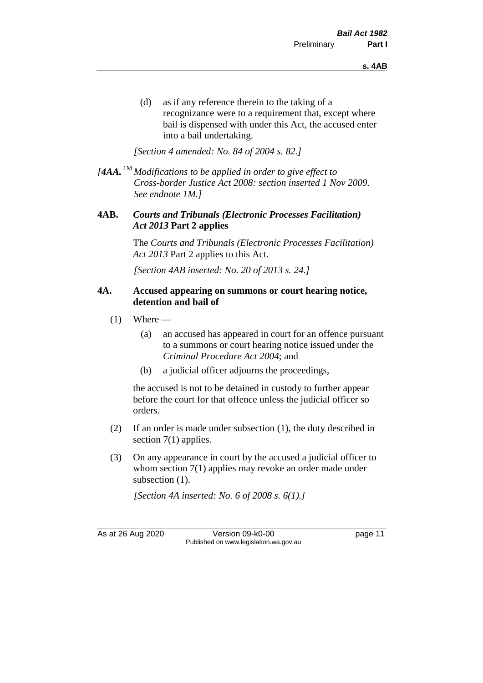(d) as if any reference therein to the taking of a recognizance were to a requirement that, except where bail is dispensed with under this Act, the accused enter into a bail undertaking.

*[Section 4 amended: No. 84 of 2004 s. 82.]*

*[4AA.* 1M *Modifications to be applied in order to give effect to Cross-border Justice Act 2008: section inserted 1 Nov 2009. See endnote 1M.]*

## **4AB.** *Courts and Tribunals (Electronic Processes Facilitation) Act 2013* **Part 2 applies**

The *Courts and Tribunals (Electronic Processes Facilitation) Act 2013* Part 2 applies to this Act.

*[Section 4AB inserted: No. 20 of 2013 s. 24.]*

#### **4A. Accused appearing on summons or court hearing notice, detention and bail of**

- $(1)$  Where
	- (a) an accused has appeared in court for an offence pursuant to a summons or court hearing notice issued under the *Criminal Procedure Act 2004*; and
	- (b) a judicial officer adjourns the proceedings,

the accused is not to be detained in custody to further appear before the court for that offence unless the judicial officer so orders.

- (2) If an order is made under subsection (1), the duty described in section 7(1) applies.
- (3) On any appearance in court by the accused a judicial officer to whom section 7(1) applies may revoke an order made under subsection  $(1)$ .

*[Section 4A inserted: No. 6 of 2008 s. 6(1).]*

As at 26 Aug 2020 Version 09-k0-00 page 11 Published on www.legislation.wa.gov.au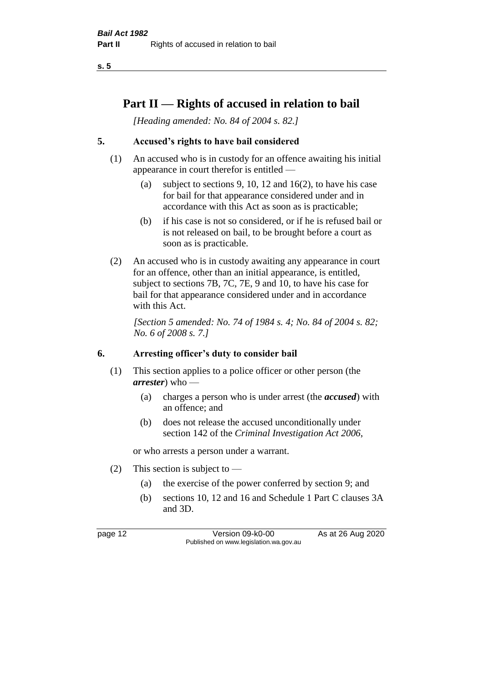**s. 5**

## **Part II — Rights of accused in relation to bail**

*[Heading amended: No. 84 of 2004 s. 82.]* 

## **5. Accused's rights to have bail considered**

- (1) An accused who is in custody for an offence awaiting his initial appearance in court therefor is entitled —
	- (a) subject to sections 9, 10, 12 and 16(2), to have his case for bail for that appearance considered under and in accordance with this Act as soon as is practicable;
	- (b) if his case is not so considered, or if he is refused bail or is not released on bail, to be brought before a court as soon as is practicable.
- (2) An accused who is in custody awaiting any appearance in court for an offence, other than an initial appearance, is entitled, subject to sections 7B, 7C, 7E, 9 and 10, to have his case for bail for that appearance considered under and in accordance with this Act.

*[Section 5 amended: No. 74 of 1984 s. 4; No. 84 of 2004 s. 82; No. 6 of 2008 s. 7.]* 

#### **6. Arresting officer's duty to consider bail**

- (1) This section applies to a police officer or other person (the *arrester*) who —
	- (a) charges a person who is under arrest (the *accused*) with an offence; and
	- (b) does not release the accused unconditionally under section 142 of the *Criminal Investigation Act 2006*,

or who arrests a person under a warrant.

- (2) This section is subject to  $-$ 
	- (a) the exercise of the power conferred by section 9; and
	- (b) sections 10, 12 and 16 and Schedule 1 Part C clauses 3A and 3D.

page 12 Version 09-k0-00 As at 26 Aug 2020 Published on www.legislation.wa.gov.au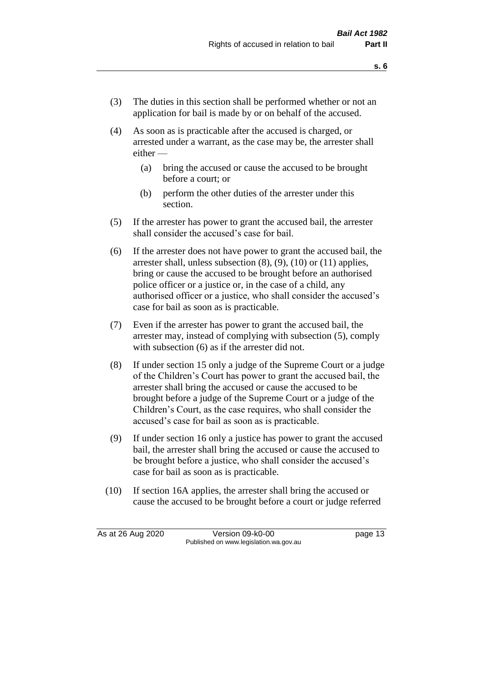- (3) The duties in this section shall be performed whether or not an application for bail is made by or on behalf of the accused.
- (4) As soon as is practicable after the accused is charged, or arrested under a warrant, as the case may be, the arrester shall either —
	- (a) bring the accused or cause the accused to be brought before a court; or
	- (b) perform the other duties of the arrester under this section.
- (5) If the arrester has power to grant the accused bail, the arrester shall consider the accused's case for bail.
- (6) If the arrester does not have power to grant the accused bail, the arrester shall, unless subsection (8), (9), (10) or (11) applies, bring or cause the accused to be brought before an authorised police officer or a justice or, in the case of a child, any authorised officer or a justice, who shall consider the accused's case for bail as soon as is practicable.
- (7) Even if the arrester has power to grant the accused bail, the arrester may, instead of complying with subsection (5), comply with subsection  $(6)$  as if the arrester did not.
- (8) If under section 15 only a judge of the Supreme Court or a judge of the Children's Court has power to grant the accused bail, the arrester shall bring the accused or cause the accused to be brought before a judge of the Supreme Court or a judge of the Children's Court, as the case requires, who shall consider the accused's case for bail as soon as is practicable.
- (9) If under section 16 only a justice has power to grant the accused bail, the arrester shall bring the accused or cause the accused to be brought before a justice, who shall consider the accused's case for bail as soon as is practicable.
- (10) If section 16A applies, the arrester shall bring the accused or cause the accused to be brought before a court or judge referred

As at 26 Aug 2020 Version 09-k0-00 page 13 Published on www.legislation.wa.gov.au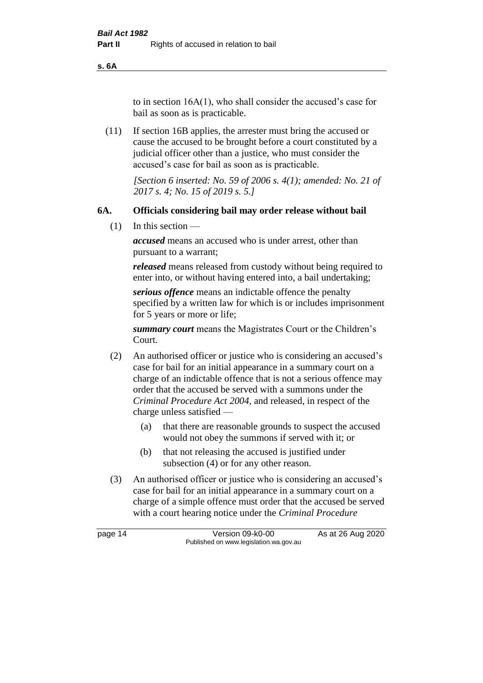**s. 6A**

to in section 16A(1), who shall consider the accused's case for bail as soon as is practicable.

(11) If section 16B applies, the arrester must bring the accused or cause the accused to be brought before a court constituted by a judicial officer other than a justice, who must consider the accused's case for bail as soon as is practicable.

> *[Section 6 inserted: No. 59 of 2006 s. 4(1); amended: No. 21 of 2017 s. 4; No. 15 of 2019 s. 5.]*

## **6A. Officials considering bail may order release without bail**

(1) In this section —

*accused* means an accused who is under arrest, other than pursuant to a warrant;

*released* means released from custody without being required to enter into, or without having entered into, a bail undertaking;

*serious offence* means an indictable offence the penalty specified by a written law for which is or includes imprisonment for 5 years or more or life;

*summary court* means the Magistrates Court or the Children's Court.

- (2) An authorised officer or justice who is considering an accused's case for bail for an initial appearance in a summary court on a charge of an indictable offence that is not a serious offence may order that the accused be served with a summons under the *Criminal Procedure Act 2004*, and released, in respect of the charge unless satisfied —
	- (a) that there are reasonable grounds to suspect the accused would not obey the summons if served with it; or
	- (b) that not releasing the accused is justified under subsection (4) or for any other reason.
- (3) An authorised officer or justice who is considering an accused's case for bail for an initial appearance in a summary court on a charge of a simple offence must order that the accused be served with a court hearing notice under the *Criminal Procedure*

page 14 Version 09-k0-00 As at 26 Aug 2020 Published on www.legislation.wa.gov.au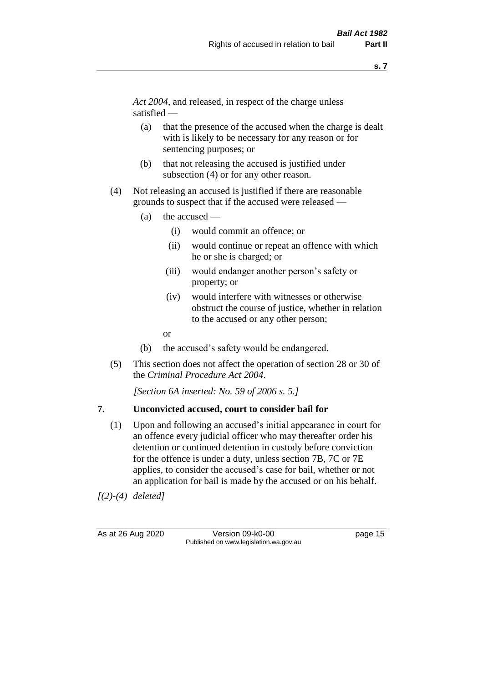*Act 2004*, and released, in respect of the charge unless satisfied —

- (a) that the presence of the accused when the charge is dealt with is likely to be necessary for any reason or for sentencing purposes; or
- (b) that not releasing the accused is justified under subsection (4) or for any other reason.
- (4) Not releasing an accused is justified if there are reasonable grounds to suspect that if the accused were released —
	- (a) the accused
		- (i) would commit an offence; or
		- (ii) would continue or repeat an offence with which he or she is charged; or
		- (iii) would endanger another person's safety or property; or
		- (iv) would interfere with witnesses or otherwise obstruct the course of justice, whether in relation to the accused or any other person;
		- or
	- (b) the accused's safety would be endangered.
- (5) This section does not affect the operation of section 28 or 30 of the *Criminal Procedure Act 2004*.

*[Section 6A inserted: No. 59 of 2006 s. 5.]* 

#### **7. Unconvicted accused, court to consider bail for**

(1) Upon and following an accused's initial appearance in court for an offence every judicial officer who may thereafter order his detention or continued detention in custody before conviction for the offence is under a duty, unless section 7B, 7C or 7E applies, to consider the accused's case for bail, whether or not an application for bail is made by the accused or on his behalf.

*[(2)-(4) deleted]*

As at 26 Aug 2020 Version 09-k0-00 page 15 Published on www.legislation.wa.gov.au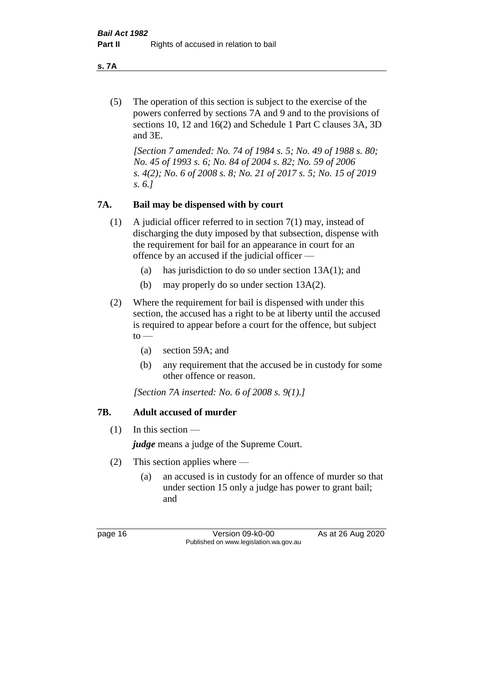**s. 7A**

(5) The operation of this section is subject to the exercise of the powers conferred by sections 7A and 9 and to the provisions of sections 10, 12 and 16(2) and Schedule 1 Part C clauses 3A, 3D and 3E.

*[Section 7 amended: No. 74 of 1984 s. 5; No. 49 of 1988 s. 80; No. 45 of 1993 s. 6; No. 84 of 2004 s. 82; No. 59 of 2006 s. 4(2); No. 6 of 2008 s. 8; No. 21 of 2017 s. 5; No. 15 of 2019 s. 6.]* 

## **7A. Bail may be dispensed with by court**

- (1) A judicial officer referred to in section 7(1) may, instead of discharging the duty imposed by that subsection, dispense with the requirement for bail for an appearance in court for an offence by an accused if the judicial officer —
	- (a) has jurisdiction to do so under section 13A(1); and
	- (b) may properly do so under section 13A(2).
- (2) Where the requirement for bail is dispensed with under this section, the accused has a right to be at liberty until the accused is required to appear before a court for the offence, but subject  $to -$ 
	- (a) section 59A; and
	- (b) any requirement that the accused be in custody for some other offence or reason.

*[Section 7A inserted: No. 6 of 2008 s. 9(1).]*

## **7B. Adult accused of murder**

 $(1)$  In this section —

*judge* means a judge of the Supreme Court.

- (2) This section applies where
	- (a) an accused is in custody for an offence of murder so that under section 15 only a judge has power to grant bail; and

page 16 Version 09-k0-00 As at 26 Aug 2020 Published on www.legislation.wa.gov.au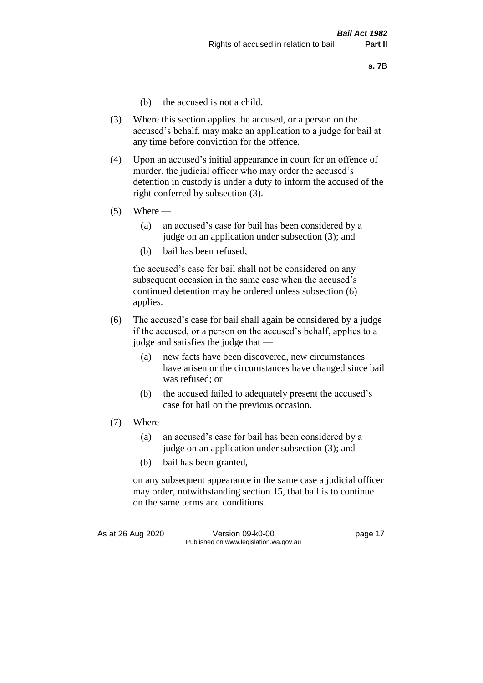- (b) the accused is not a child.
- (3) Where this section applies the accused, or a person on the accused's behalf, may make an application to a judge for bail at any time before conviction for the offence.
- (4) Upon an accused's initial appearance in court for an offence of murder, the judicial officer who may order the accused's detention in custody is under a duty to inform the accused of the right conferred by subsection (3).
- $(5)$  Where
	- (a) an accused's case for bail has been considered by a judge on an application under subsection (3); and
	- (b) bail has been refused,

the accused's case for bail shall not be considered on any subsequent occasion in the same case when the accused's continued detention may be ordered unless subsection (6) applies.

- (6) The accused's case for bail shall again be considered by a judge if the accused, or a person on the accused's behalf, applies to a judge and satisfies the judge that —
	- (a) new facts have been discovered, new circumstances have arisen or the circumstances have changed since bail was refused; or
	- (b) the accused failed to adequately present the accused's case for bail on the previous occasion.
- $(7)$  Where
	- (a) an accused's case for bail has been considered by a judge on an application under subsection (3); and
	- (b) bail has been granted,

on any subsequent appearance in the same case a judicial officer may order, notwithstanding section 15, that bail is to continue on the same terms and conditions.

As at 26 Aug 2020 Version 09-k0-00 page 17 Published on www.legislation.wa.gov.au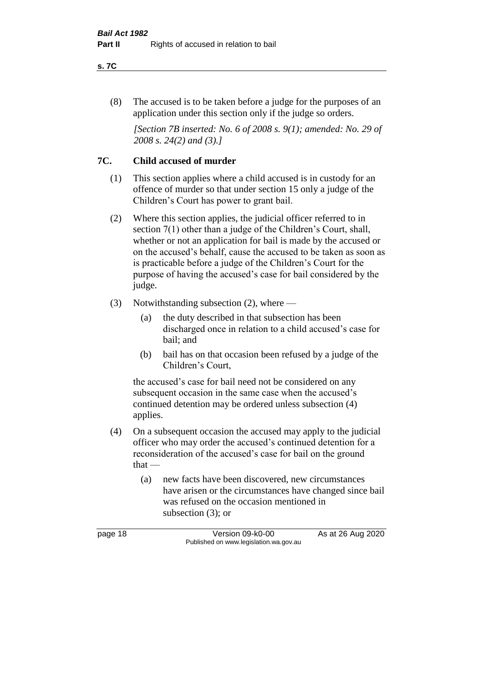#### **s. 7C**

(8) The accused is to be taken before a judge for the purposes of an application under this section only if the judge so orders.

*[Section 7B inserted: No. 6 of 2008 s. 9(1); amended: No. 29 of 2008 s. 24(2) and (3).]*

## **7C. Child accused of murder**

- (1) This section applies where a child accused is in custody for an offence of murder so that under section 15 only a judge of the Children's Court has power to grant bail.
- (2) Where this section applies, the judicial officer referred to in section 7(1) other than a judge of the Children's Court, shall, whether or not an application for bail is made by the accused or on the accused's behalf, cause the accused to be taken as soon as is practicable before a judge of the Children's Court for the purpose of having the accused's case for bail considered by the judge.
- (3) Notwithstanding subsection (2), where
	- (a) the duty described in that subsection has been discharged once in relation to a child accused's case for bail; and
	- (b) bail has on that occasion been refused by a judge of the Children's Court,

the accused's case for bail need not be considered on any subsequent occasion in the same case when the accused's continued detention may be ordered unless subsection (4) applies.

- (4) On a subsequent occasion the accused may apply to the judicial officer who may order the accused's continued detention for a reconsideration of the accused's case for bail on the ground that —
	- (a) new facts have been discovered, new circumstances have arisen or the circumstances have changed since bail was refused on the occasion mentioned in subsection (3); or

page 18 Version 09-k0-00 As at 26 Aug 2020 Published on www.legislation.wa.gov.au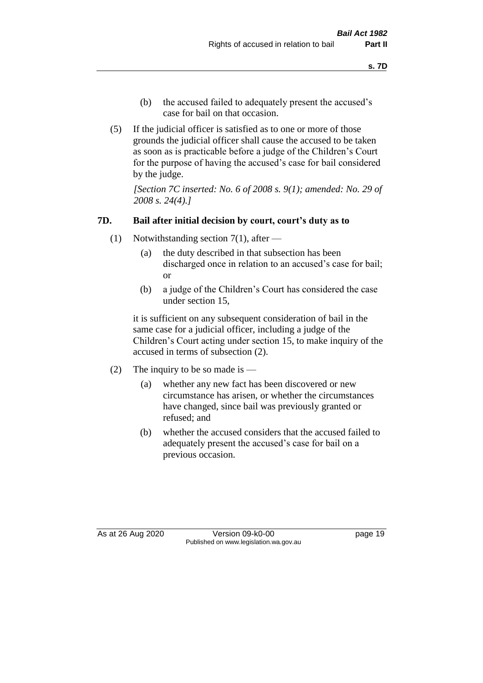- (b) the accused failed to adequately present the accused's case for bail on that occasion.
- (5) If the judicial officer is satisfied as to one or more of those grounds the judicial officer shall cause the accused to be taken as soon as is practicable before a judge of the Children's Court for the purpose of having the accused's case for bail considered by the judge.

*[Section 7C inserted: No. 6 of 2008 s. 9(1); amended: No. 29 of 2008 s. 24(4).]*

## **7D. Bail after initial decision by court, court's duty as to**

- (1) Notwithstanding section 7(1), after
	- (a) the duty described in that subsection has been discharged once in relation to an accused's case for bail; or
	- (b) a judge of the Children's Court has considered the case under section 15,

it is sufficient on any subsequent consideration of bail in the same case for a judicial officer, including a judge of the Children's Court acting under section 15, to make inquiry of the accused in terms of subsection (2).

- (2) The inquiry to be so made is  $-$ 
	- (a) whether any new fact has been discovered or new circumstance has arisen, or whether the circumstances have changed, since bail was previously granted or refused; and
	- (b) whether the accused considers that the accused failed to adequately present the accused's case for bail on a previous occasion.

As at 26 Aug 2020 Version 09-k0-00 page 19 Published on www.legislation.wa.gov.au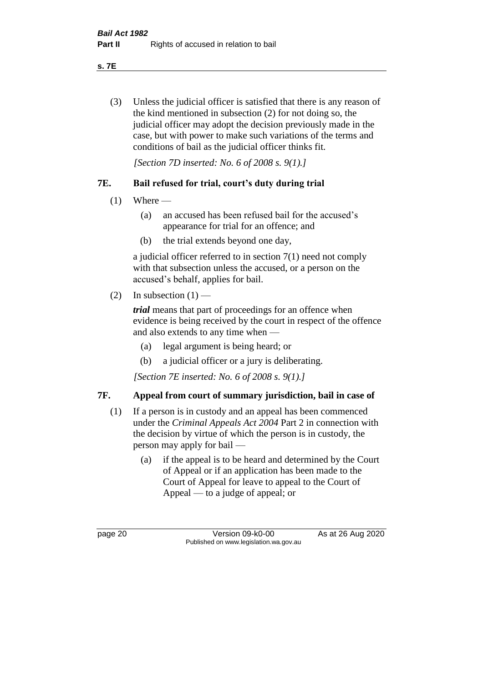**s. 7E**

(3) Unless the judicial officer is satisfied that there is any reason of the kind mentioned in subsection (2) for not doing so, the judicial officer may adopt the decision previously made in the case, but with power to make such variations of the terms and conditions of bail as the judicial officer thinks fit.

*[Section 7D inserted: No. 6 of 2008 s. 9(1).]*

## **7E. Bail refused for trial, court's duty during trial**

- $(1)$  Where
	- (a) an accused has been refused bail for the accused's appearance for trial for an offence; and
	- (b) the trial extends beyond one day,

a judicial officer referred to in section 7(1) need not comply with that subsection unless the accused, or a person on the accused's behalf, applies for bail.

(2) In subsection  $(1)$  —

*trial* means that part of proceedings for an offence when evidence is being received by the court in respect of the offence and also extends to any time when —

- (a) legal argument is being heard; or
- (b) a judicial officer or a jury is deliberating.

*[Section 7E inserted: No. 6 of 2008 s. 9(1).]*

## **7F. Appeal from court of summary jurisdiction, bail in case of**

- (1) If a person is in custody and an appeal has been commenced under the *Criminal Appeals Act 2004* Part 2 in connection with the decision by virtue of which the person is in custody, the person may apply for bail —
	- (a) if the appeal is to be heard and determined by the Court of Appeal or if an application has been made to the Court of Appeal for leave to appeal to the Court of Appeal — to a judge of appeal; or

page 20 Version 09-k0-00 As at 26 Aug 2020 Published on www.legislation.wa.gov.au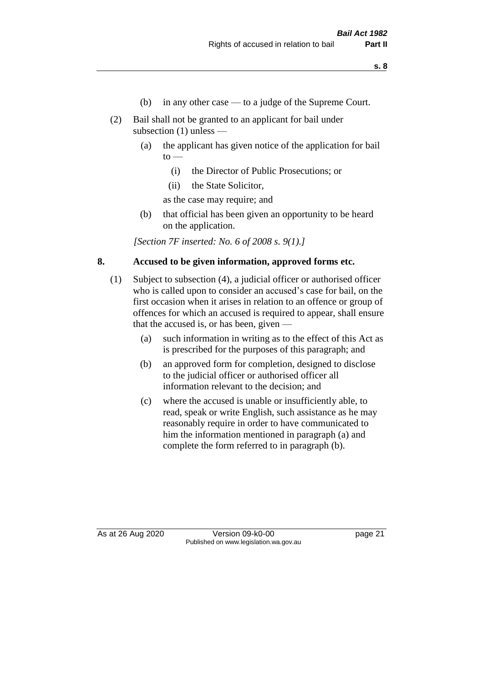- (b) in any other case to a judge of the Supreme Court.
- (2) Bail shall not be granted to an applicant for bail under subsection (1) unless —
	- (a) the applicant has given notice of the application for bail  $\mathrm{to}$  —
		- (i) the Director of Public Prosecutions; or
		- (ii) the State Solicitor,

as the case may require; and

(b) that official has been given an opportunity to be heard on the application.

*[Section 7F inserted: No. 6 of 2008 s. 9(1).]*

## **8. Accused to be given information, approved forms etc.**

- (1) Subject to subsection (4), a judicial officer or authorised officer who is called upon to consider an accused's case for bail, on the first occasion when it arises in relation to an offence or group of offences for which an accused is required to appear, shall ensure that the accused is, or has been, given —
	- (a) such information in writing as to the effect of this Act as is prescribed for the purposes of this paragraph; and
	- (b) an approved form for completion, designed to disclose to the judicial officer or authorised officer all information relevant to the decision; and
	- (c) where the accused is unable or insufficiently able, to read, speak or write English, such assistance as he may reasonably require in order to have communicated to him the information mentioned in paragraph (a) and complete the form referred to in paragraph (b).

As at 26 Aug 2020 Version 09-k0-00 page 21 Published on www.legislation.wa.gov.au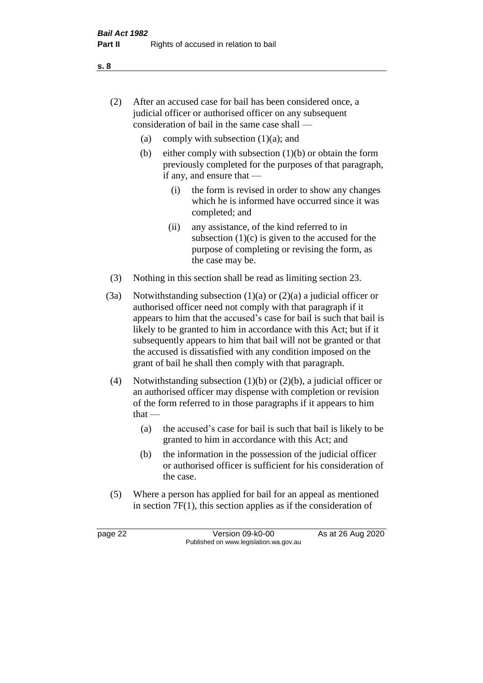- (2) After an accused case for bail has been considered once, a judicial officer or authorised officer on any subsequent consideration of bail in the same case shall —
	- (a) comply with subsection  $(1)(a)$ ; and
	- (b) either comply with subsection  $(1)(b)$  or obtain the form previously completed for the purposes of that paragraph, if any, and ensure that —
		- (i) the form is revised in order to show any changes which he is informed have occurred since it was completed; and
		- (ii) any assistance, of the kind referred to in subsection  $(1)(c)$  is given to the accused for the purpose of completing or revising the form, as the case may be.
- (3) Nothing in this section shall be read as limiting section 23.
- (3a) Notwithstanding subsection  $(1)(a)$  or  $(2)(a)$  a judicial officer or authorised officer need not comply with that paragraph if it appears to him that the accused's case for bail is such that bail is likely to be granted to him in accordance with this Act; but if it subsequently appears to him that bail will not be granted or that the accused is dissatisfied with any condition imposed on the grant of bail he shall then comply with that paragraph.
- (4) Notwithstanding subsection (1)(b) or (2)(b), a judicial officer or an authorised officer may dispense with completion or revision of the form referred to in those paragraphs if it appears to him  $that -$ 
	- (a) the accused's case for bail is such that bail is likely to be granted to him in accordance with this Act; and
	- (b) the information in the possession of the judicial officer or authorised officer is sufficient for his consideration of the case.
- (5) Where a person has applied for bail for an appeal as mentioned in section 7F(1), this section applies as if the consideration of

page 22 Version 09-k0-00 As at 26 Aug 2020 Published on www.legislation.wa.gov.au

**s. 8**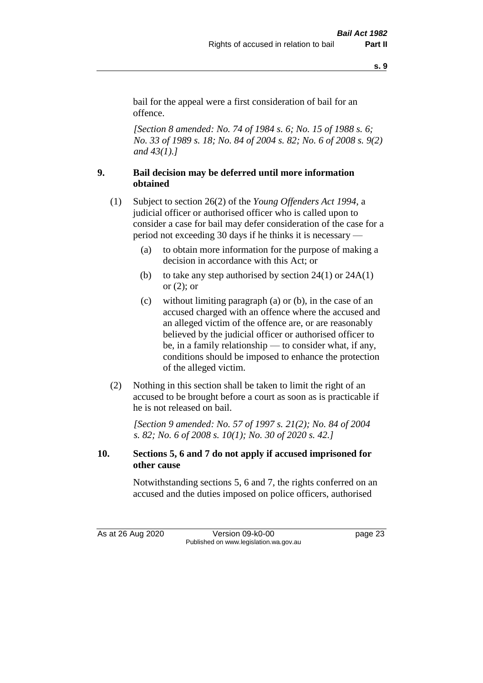**s. 9**

bail for the appeal were a first consideration of bail for an offence.

*[Section 8 amended: No. 74 of 1984 s. 6; No. 15 of 1988 s. 6; No. 33 of 1989 s. 18; No. 84 of 2004 s. 82; No. 6 of 2008 s. 9(2) and 43(1).]* 

## **9. Bail decision may be deferred until more information obtained**

- (1) Subject to section 26(2) of the *Young Offenders Act 1994*, a judicial officer or authorised officer who is called upon to consider a case for bail may defer consideration of the case for a period not exceeding 30 days if he thinks it is necessary —
	- (a) to obtain more information for the purpose of making a decision in accordance with this Act; or
	- (b) to take any step authorised by section  $24(1)$  or  $24A(1)$ or (2); or
	- (c) without limiting paragraph (a) or (b), in the case of an accused charged with an offence where the accused and an alleged victim of the offence are, or are reasonably believed by the judicial officer or authorised officer to be, in a family relationship — to consider what, if any, conditions should be imposed to enhance the protection of the alleged victim.
- (2) Nothing in this section shall be taken to limit the right of an accused to be brought before a court as soon as is practicable if he is not released on bail.

*[Section 9 amended: No. 57 of 1997 s. 21(2); No. 84 of 2004 s. 82; No. 6 of 2008 s. 10(1); No. 30 of 2020 s. 42.]*

## **10. Sections 5, 6 and 7 do not apply if accused imprisoned for other cause**

Notwithstanding sections 5, 6 and 7, the rights conferred on an accused and the duties imposed on police officers, authorised

As at 26 Aug 2020 Version 09-k0-00 page 23 Published on www.legislation.wa.gov.au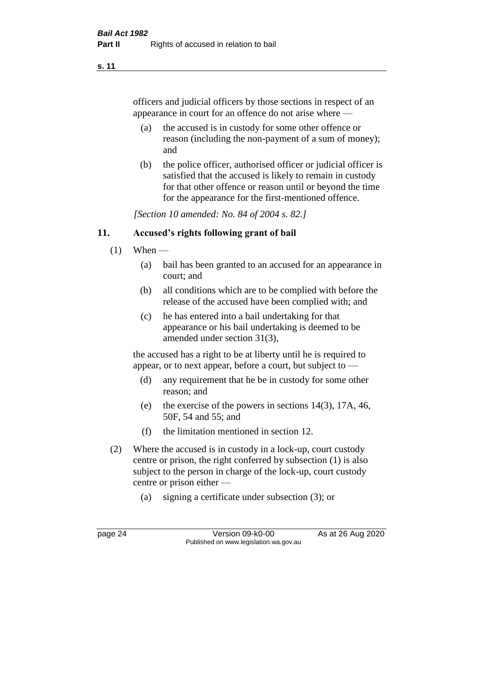#### **s. 11**

officers and judicial officers by those sections in respect of an appearance in court for an offence do not arise where —

- (a) the accused is in custody for some other offence or reason (including the non-payment of a sum of money); and
- (b) the police officer, authorised officer or judicial officer is satisfied that the accused is likely to remain in custody for that other offence or reason until or beyond the time for the appearance for the first-mentioned offence.

*[Section 10 amended: No. 84 of 2004 s. 82.]*

## **11. Accused's rights following grant of bail**

- $(1)$  When
	- (a) bail has been granted to an accused for an appearance in court; and
	- (b) all conditions which are to be complied with before the release of the accused have been complied with; and
	- (c) he has entered into a bail undertaking for that appearance or his bail undertaking is deemed to be amended under section 31(3),

the accused has a right to be at liberty until he is required to appear, or to next appear, before a court, but subject to —

- (d) any requirement that he be in custody for some other reason; and
- (e) the exercise of the powers in sections 14(3), 17A, 46, 50F, 54 and 55; and
- (f) the limitation mentioned in section 12.
- (2) Where the accused is in custody in a lock-up, court custody centre or prison, the right conferred by subsection (1) is also subject to the person in charge of the lock-up, court custody centre or prison either —
	- (a) signing a certificate under subsection (3); or

page 24 Version 09-k0-00 As at 26 Aug 2020 Published on www.legislation.wa.gov.au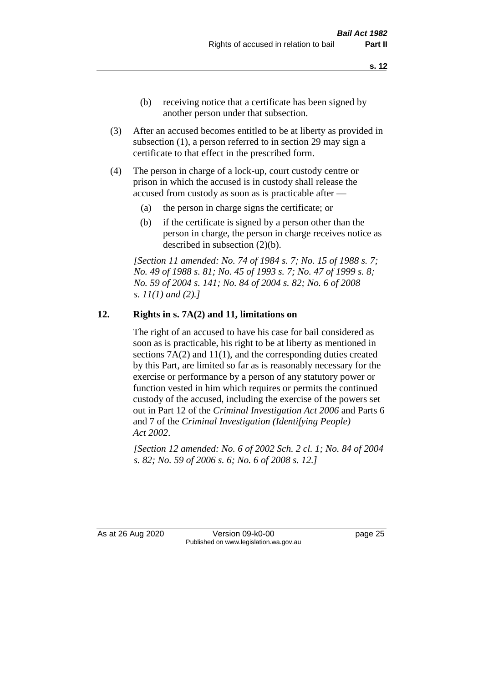- (b) receiving notice that a certificate has been signed by another person under that subsection.
- (3) After an accused becomes entitled to be at liberty as provided in subsection (1), a person referred to in section 29 may sign a certificate to that effect in the prescribed form.
- (4) The person in charge of a lock-up, court custody centre or prison in which the accused is in custody shall release the accused from custody as soon as is practicable after —
	- (a) the person in charge signs the certificate; or
	- (b) if the certificate is signed by a person other than the person in charge, the person in charge receives notice as described in subsection (2)(b).

*[Section 11 amended: No. 74 of 1984 s. 7; No. 15 of 1988 s. 7; No. 49 of 1988 s. 81; No. 45 of 1993 s. 7; No. 47 of 1999 s. 8; No. 59 of 2004 s. 141; No. 84 of 2004 s. 82; No. 6 of 2008 s. 11(1) and (2).]* 

#### **12. Rights in s. 7A(2) and 11, limitations on**

The right of an accused to have his case for bail considered as soon as is practicable, his right to be at liberty as mentioned in sections 7A(2) and 11(1), and the corresponding duties created by this Part, are limited so far as is reasonably necessary for the exercise or performance by a person of any statutory power or function vested in him which requires or permits the continued custody of the accused, including the exercise of the powers set out in Part 12 of the *Criminal Investigation Act 2006* and Parts 6 and 7 of the *Criminal Investigation (Identifying People) Act 2002*.

*[Section 12 amended: No. 6 of 2002 Sch. 2 cl. 1; No. 84 of 2004 s. 82; No. 59 of 2006 s. 6; No. 6 of 2008 s. 12.]*

As at 26 Aug 2020 Version 09-k0-00 page 25 Published on www.legislation.wa.gov.au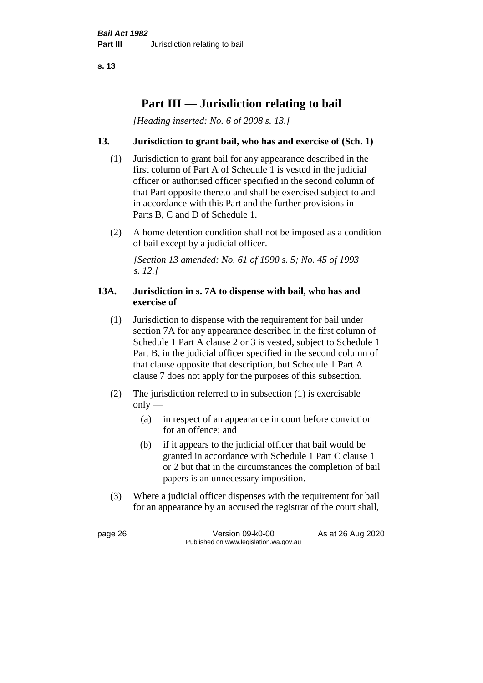**s. 13**

# **Part III — Jurisdiction relating to bail**

*[Heading inserted: No. 6 of 2008 s. 13.]*

## **13. Jurisdiction to grant bail, who has and exercise of (Sch. 1)**

- (1) Jurisdiction to grant bail for any appearance described in the first column of Part A of Schedule 1 is vested in the judicial officer or authorised officer specified in the second column of that Part opposite thereto and shall be exercised subject to and in accordance with this Part and the further provisions in Parts B, C and D of Schedule 1.
- (2) A home detention condition shall not be imposed as a condition of bail except by a judicial officer.

*[Section 13 amended: No. 61 of 1990 s. 5; No. 45 of 1993 s. 12.]* 

#### **13A. Jurisdiction in s. 7A to dispense with bail, who has and exercise of**

- (1) Jurisdiction to dispense with the requirement for bail under section 7A for any appearance described in the first column of Schedule 1 Part A clause 2 or 3 is vested, subject to Schedule 1 Part B, in the judicial officer specified in the second column of that clause opposite that description, but Schedule 1 Part A clause 7 does not apply for the purposes of this subsection.
- (2) The jurisdiction referred to in subsection (1) is exercisable  $only$ —
	- (a) in respect of an appearance in court before conviction for an offence; and
	- (b) if it appears to the judicial officer that bail would be granted in accordance with Schedule 1 Part C clause 1 or 2 but that in the circumstances the completion of bail papers is an unnecessary imposition.
- (3) Where a judicial officer dispenses with the requirement for bail for an appearance by an accused the registrar of the court shall,

page 26 Version 09-k0-00 As at 26 Aug 2020 Published on www.legislation.wa.gov.au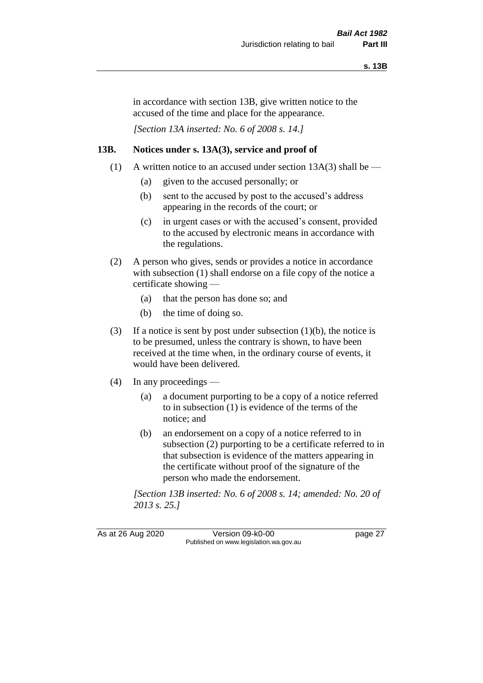in accordance with section 13B, give written notice to the accused of the time and place for the appearance.

*[Section 13A inserted: No. 6 of 2008 s. 14.]*

## **13B. Notices under s. 13A(3), service and proof of**

- (1) A written notice to an accused under section  $13A(3)$  shall be
	- (a) given to the accused personally; or
	- (b) sent to the accused by post to the accused's address appearing in the records of the court; or
	- (c) in urgent cases or with the accused's consent, provided to the accused by electronic means in accordance with the regulations.
- (2) A person who gives, sends or provides a notice in accordance with subsection (1) shall endorse on a file copy of the notice a certificate showing —
	- (a) that the person has done so; and
	- (b) the time of doing so.
- (3) If a notice is sent by post under subsection  $(1)(b)$ , the notice is to be presumed, unless the contrary is shown, to have been received at the time when, in the ordinary course of events, it would have been delivered.
- (4) In any proceedings
	- (a) a document purporting to be a copy of a notice referred to in subsection (1) is evidence of the terms of the notice; and
	- (b) an endorsement on a copy of a notice referred to in subsection (2) purporting to be a certificate referred to in that subsection is evidence of the matters appearing in the certificate without proof of the signature of the person who made the endorsement.

*[Section 13B inserted: No. 6 of 2008 s. 14; amended: No. 20 of 2013 s. 25.]*

As at 26 Aug 2020 Version 09-k0-00 page 27 Published on www.legislation.wa.gov.au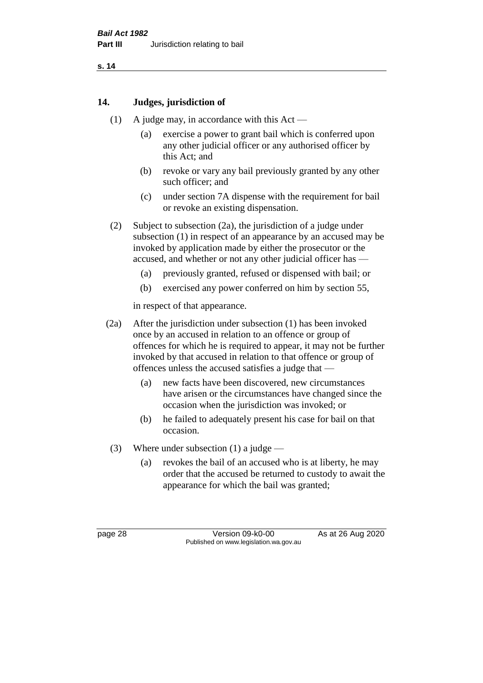## **14. Judges, jurisdiction of**

- (1) A judge may, in accordance with this Act
	- (a) exercise a power to grant bail which is conferred upon any other judicial officer or any authorised officer by this Act; and
	- (b) revoke or vary any bail previously granted by any other such officer; and
	- (c) under section 7A dispense with the requirement for bail or revoke an existing dispensation.
- (2) Subject to subsection (2a), the jurisdiction of a judge under subsection (1) in respect of an appearance by an accused may be invoked by application made by either the prosecutor or the accused, and whether or not any other judicial officer has —
	- (a) previously granted, refused or dispensed with bail; or
	- (b) exercised any power conferred on him by section 55,

in respect of that appearance.

- (2a) After the jurisdiction under subsection (1) has been invoked once by an accused in relation to an offence or group of offences for which he is required to appear, it may not be further invoked by that accused in relation to that offence or group of offences unless the accused satisfies a judge that —
	- (a) new facts have been discovered, new circumstances have arisen or the circumstances have changed since the occasion when the jurisdiction was invoked; or
	- (b) he failed to adequately present his case for bail on that occasion.
- (3) Where under subsection (1) a judge
	- (a) revokes the bail of an accused who is at liberty, he may order that the accused be returned to custody to await the appearance for which the bail was granted;

page 28 Version 09-k0-00 As at 26 Aug 2020 Published on www.legislation.wa.gov.au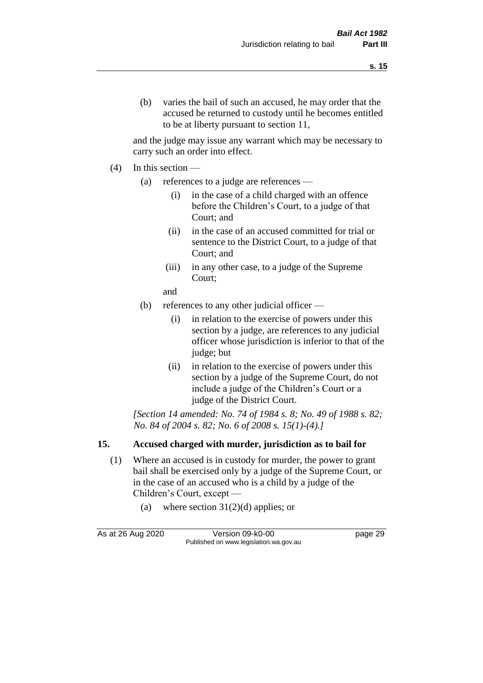and the judge may issue any warrant which may be necessary to carry such an order into effect.

- (4) In this section
	- (a) references to a judge are references
		- (i) in the case of a child charged with an offence before the Children's Court, to a judge of that Court; and
		- (ii) in the case of an accused committed for trial or sentence to the District Court, to a judge of that Court; and
		- (iii) in any other case, to a judge of the Supreme Court;
		- and
	- (b) references to any other judicial officer
		- (i) in relation to the exercise of powers under this section by a judge, are references to any judicial officer whose jurisdiction is inferior to that of the judge; but
		- (ii) in relation to the exercise of powers under this section by a judge of the Supreme Court, do not include a judge of the Children's Court or a judge of the District Court.

*[Section 14 amended: No. 74 of 1984 s. 8; No. 49 of 1988 s. 82; No. 84 of 2004 s. 82; No. 6 of 2008 s. 15(1)-(4).]* 

## **15. Accused charged with murder, jurisdiction as to bail for**

- (1) Where an accused is in custody for murder, the power to grant bail shall be exercised only by a judge of the Supreme Court, or in the case of an accused who is a child by a judge of the Children's Court, except —
	- (a) where section  $31(2)(d)$  applies; or

As at 26 Aug 2020 Version 09-k0-00 Version 09-k0-00 Page 29 Published on www.legislation.wa.gov.au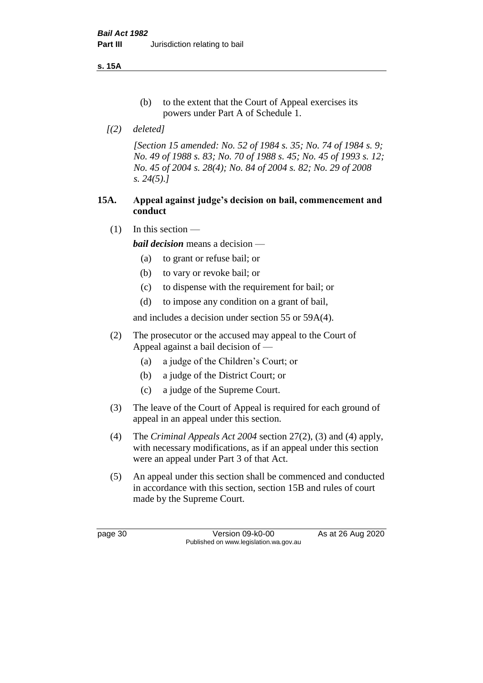**s. 15A**

- (b) to the extent that the Court of Appeal exercises its powers under Part A of Schedule 1.
- *[(2) deleted]*

*[Section 15 amended: No. 52 of 1984 s. 35; No. 74 of 1984 s. 9; No. 49 of 1988 s. 83; No. 70 of 1988 s. 45; No. 45 of 1993 s. 12; No. 45 of 2004 s. 28(4); No. 84 of 2004 s. 82; No. 29 of 2008 s. 24(5).]* 

## **15A. Appeal against judge's decision on bail, commencement and conduct**

 $(1)$  In this section —

*bail decision* means a decision —

- (a) to grant or refuse bail; or
- (b) to vary or revoke bail; or
- (c) to dispense with the requirement for bail; or
- (d) to impose any condition on a grant of bail,

and includes a decision under section 55 or 59A(4).

- (2) The prosecutor or the accused may appeal to the Court of Appeal against a bail decision of —
	- (a) a judge of the Children's Court; or
	- (b) a judge of the District Court; or
	- (c) a judge of the Supreme Court.
- (3) The leave of the Court of Appeal is required for each ground of appeal in an appeal under this section.
- (4) The *Criminal Appeals Act 2004* section 27(2), (3) and (4) apply, with necessary modifications, as if an appeal under this section were an appeal under Part 3 of that Act.
- (5) An appeal under this section shall be commenced and conducted in accordance with this section, section 15B and rules of court made by the Supreme Court.

page 30 Version 09-k0-00 As at 26 Aug 2020 Published on www.legislation.wa.gov.au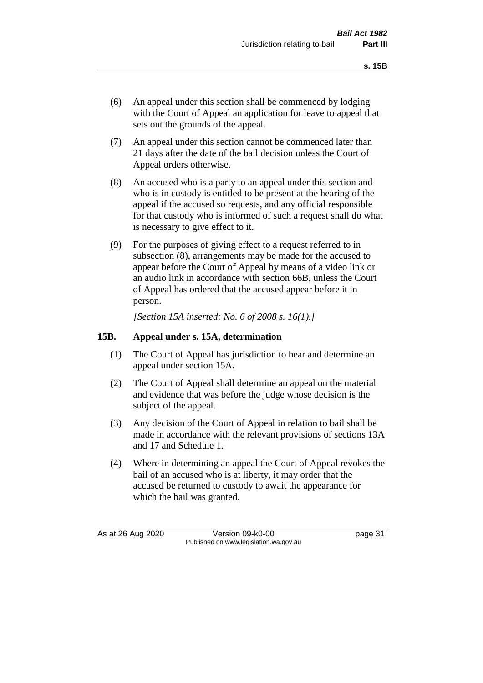- (6) An appeal under this section shall be commenced by lodging with the Court of Appeal an application for leave to appeal that sets out the grounds of the appeal.
- (7) An appeal under this section cannot be commenced later than 21 days after the date of the bail decision unless the Court of Appeal orders otherwise.
- (8) An accused who is a party to an appeal under this section and who is in custody is entitled to be present at the hearing of the appeal if the accused so requests, and any official responsible for that custody who is informed of such a request shall do what is necessary to give effect to it.
- (9) For the purposes of giving effect to a request referred to in subsection (8), arrangements may be made for the accused to appear before the Court of Appeal by means of a video link or an audio link in accordance with section 66B, unless the Court of Appeal has ordered that the accused appear before it in person.

*[Section 15A inserted: No. 6 of 2008 s. 16(1).]*

## **15B. Appeal under s. 15A, determination**

- (1) The Court of Appeal has jurisdiction to hear and determine an appeal under section 15A.
- (2) The Court of Appeal shall determine an appeal on the material and evidence that was before the judge whose decision is the subject of the appeal.
- (3) Any decision of the Court of Appeal in relation to bail shall be made in accordance with the relevant provisions of sections 13A and 17 and Schedule 1.
- (4) Where in determining an appeal the Court of Appeal revokes the bail of an accused who is at liberty, it may order that the accused be returned to custody to await the appearance for which the bail was granted.

As at 26 Aug 2020 Version 09-k0-00 page 31 Published on www.legislation.wa.gov.au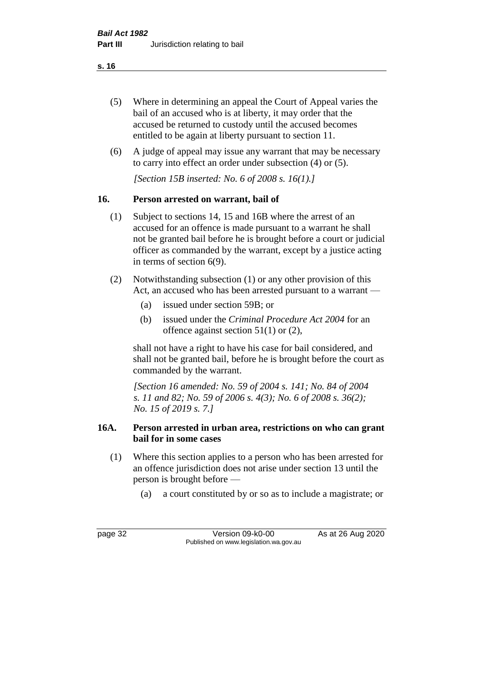- (5) Where in determining an appeal the Court of Appeal varies the bail of an accused who is at liberty, it may order that the accused be returned to custody until the accused becomes entitled to be again at liberty pursuant to section 11.
- (6) A judge of appeal may issue any warrant that may be necessary to carry into effect an order under subsection (4) or (5).

*[Section 15B inserted: No. 6 of 2008 s. 16(1).]*

# **16. Person arrested on warrant, bail of**

- (1) Subject to sections 14, 15 and 16B where the arrest of an accused for an offence is made pursuant to a warrant he shall not be granted bail before he is brought before a court or judicial officer as commanded by the warrant, except by a justice acting in terms of section 6(9).
- (2) Notwithstanding subsection (1) or any other provision of this Act, an accused who has been arrested pursuant to a warrant —
	- (a) issued under section 59B; or
	- (b) issued under the *Criminal Procedure Act 2004* for an offence against section 51(1) or (2),

shall not have a right to have his case for bail considered, and shall not be granted bail, before he is brought before the court as commanded by the warrant.

*[Section 16 amended: No. 59 of 2004 s. 141; No. 84 of 2004 s. 11 and 82; No. 59 of 2006 s. 4(3); No. 6 of 2008 s. 36(2); No. 15 of 2019 s. 7.]*

## **16A. Person arrested in urban area, restrictions on who can grant bail for in some cases**

- (1) Where this section applies to a person who has been arrested for an offence jurisdiction does not arise under section 13 until the person is brought before —
	- (a) a court constituted by or so as to include a magistrate; or

page 32 Version 09-k0-00 As at 26 Aug 2020 Published on www.legislation.wa.gov.au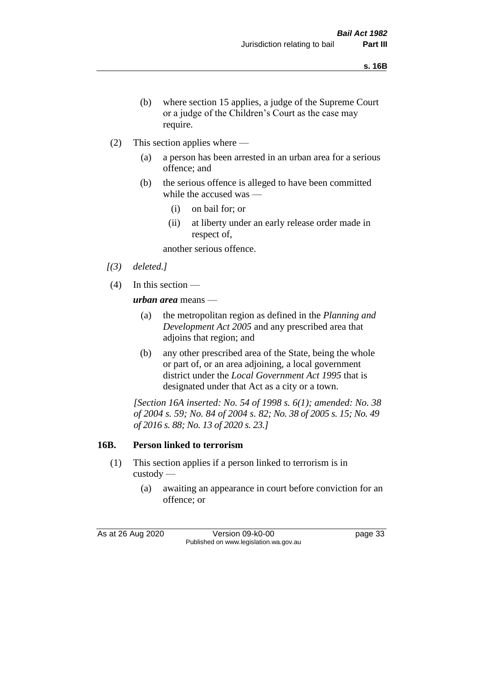- (b) where section 15 applies, a judge of the Supreme Court or a judge of the Children's Court as the case may require.
- (2) This section applies where
	- (a) a person has been arrested in an urban area for a serious offence; and
	- (b) the serious offence is alleged to have been committed while the accused was —
		- (i) on bail for; or
		- (ii) at liberty under an early release order made in respect of,

another serious offence.

- *[(3) deleted.]*
- (4) In this section —

*urban area* means —

- (a) the metropolitan region as defined in the *Planning and Development Act 2005* and any prescribed area that adjoins that region; and
- (b) any other prescribed area of the State, being the whole or part of, or an area adjoining, a local government district under the *Local Government Act 1995* that is designated under that Act as a city or a town.

*[Section 16A inserted: No. 54 of 1998 s. 6(1); amended: No. 38 of 2004 s. 59; No. 84 of 2004 s. 82; No. 38 of 2005 s. 15; No. 49 of 2016 s. 88; No. 13 of 2020 s. 23.]*

## **16B. Person linked to terrorism**

- (1) This section applies if a person linked to terrorism is in custody —
	- (a) awaiting an appearance in court before conviction for an offence; or

As at 26 Aug 2020 Version 09-k0-00 page 33 Published on www.legislation.wa.gov.au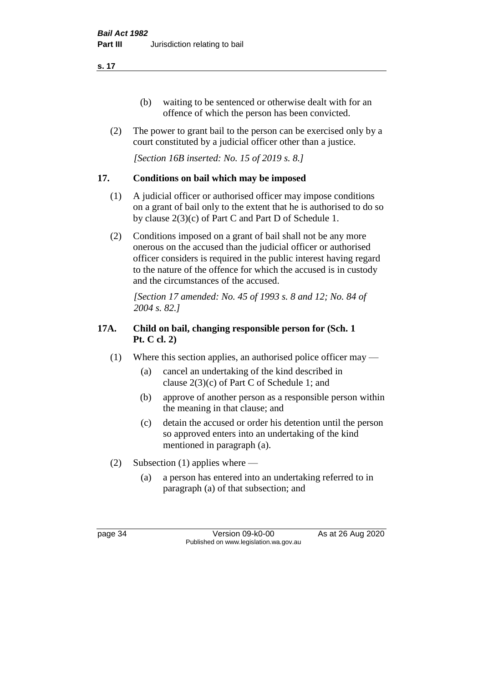- (b) waiting to be sentenced or otherwise dealt with for an offence of which the person has been convicted.
- (2) The power to grant bail to the person can be exercised only by a court constituted by a judicial officer other than a justice.

*[Section 16B inserted: No. 15 of 2019 s. 8.]*

## **17. Conditions on bail which may be imposed**

- (1) A judicial officer or authorised officer may impose conditions on a grant of bail only to the extent that he is authorised to do so by clause 2(3)(c) of Part C and Part D of Schedule 1.
- (2) Conditions imposed on a grant of bail shall not be any more onerous on the accused than the judicial officer or authorised officer considers is required in the public interest having regard to the nature of the offence for which the accused is in custody and the circumstances of the accused.

*[Section 17 amended: No. 45 of 1993 s. 8 and 12; No. 84 of 2004 s. 82.]* 

# **17A. Child on bail, changing responsible person for (Sch. 1 Pt. C cl. 2)**

- (1) Where this section applies, an authorised police officer may
	- (a) cancel an undertaking of the kind described in clause 2(3)(c) of Part C of Schedule 1; and
	- (b) approve of another person as a responsible person within the meaning in that clause; and
	- (c) detain the accused or order his detention until the person so approved enters into an undertaking of the kind mentioned in paragraph (a).
- (2) Subsection (1) applies where
	- (a) a person has entered into an undertaking referred to in paragraph (a) of that subsection; and

page 34 Version 09-k0-00 As at 26 Aug 2020 Published on www.legislation.wa.gov.au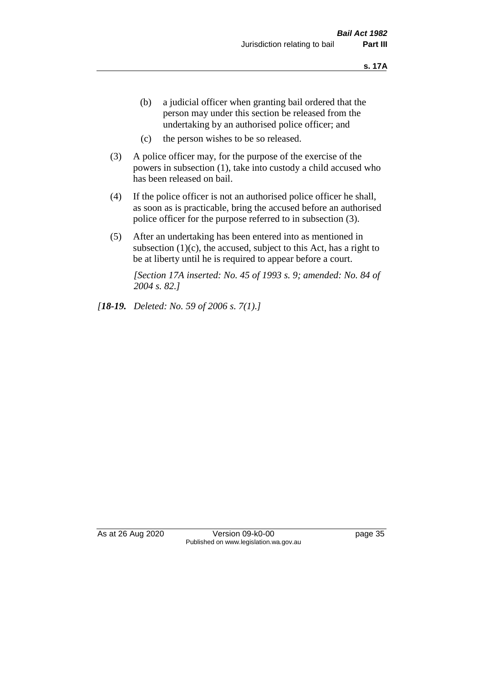- (b) a judicial officer when granting bail ordered that the person may under this section be released from the undertaking by an authorised police officer; and
- (c) the person wishes to be so released.
- (3) A police officer may, for the purpose of the exercise of the powers in subsection (1), take into custody a child accused who has been released on bail.
- (4) If the police officer is not an authorised police officer he shall, as soon as is practicable, bring the accused before an authorised police officer for the purpose referred to in subsection (3).
- (5) After an undertaking has been entered into as mentioned in subsection  $(1)(c)$ , the accused, subject to this Act, has a right to be at liberty until he is required to appear before a court.

*[Section 17A inserted: No. 45 of 1993 s. 9; amended: No. 84 of 2004 s. 82.]* 

*[18-19. Deleted: No. 59 of 2006 s. 7(1).]*

As at 26 Aug 2020 Version 09-k0-00 page 35 Published on www.legislation.wa.gov.au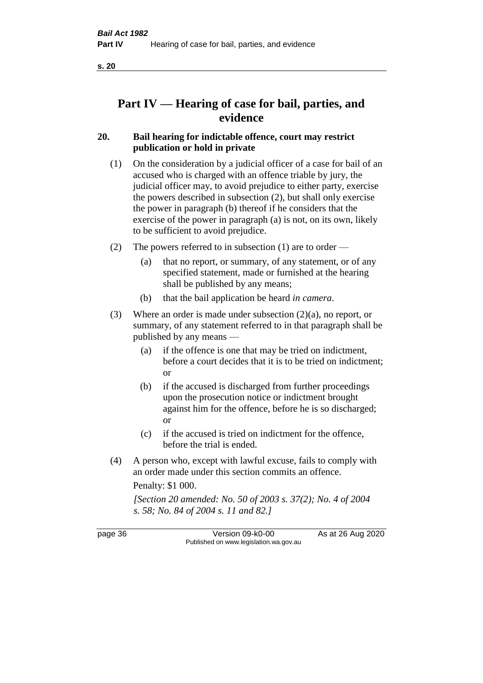# **Part IV — Hearing of case for bail, parties, and evidence**

## **20. Bail hearing for indictable offence, court may restrict publication or hold in private**

- (1) On the consideration by a judicial officer of a case for bail of an accused who is charged with an offence triable by jury, the judicial officer may, to avoid prejudice to either party, exercise the powers described in subsection (2), but shall only exercise the power in paragraph (b) thereof if he considers that the exercise of the power in paragraph (a) is not, on its own, likely to be sufficient to avoid prejudice.
- (2) The powers referred to in subsection (1) are to order
	- (a) that no report, or summary, of any statement, or of any specified statement, made or furnished at the hearing shall be published by any means;
	- (b) that the bail application be heard *in camera*.
- (3) Where an order is made under subsection (2)(a), no report, or summary, of any statement referred to in that paragraph shall be published by any means —
	- (a) if the offence is one that may be tried on indictment, before a court decides that it is to be tried on indictment; or
	- (b) if the accused is discharged from further proceedings upon the prosecution notice or indictment brought against him for the offence, before he is so discharged; or
	- (c) if the accused is tried on indictment for the offence, before the trial is ended.
- (4) A person who, except with lawful excuse, fails to comply with an order made under this section commits an offence.

Penalty: \$1 000.

*[Section 20 amended: No. 50 of 2003 s. 37(2); No. 4 of 2004 s. 58; No. 84 of 2004 s. 11 and 82.]*

page 36 Version 09-k0-00 As at 26 Aug 2020 Published on www.legislation.wa.gov.au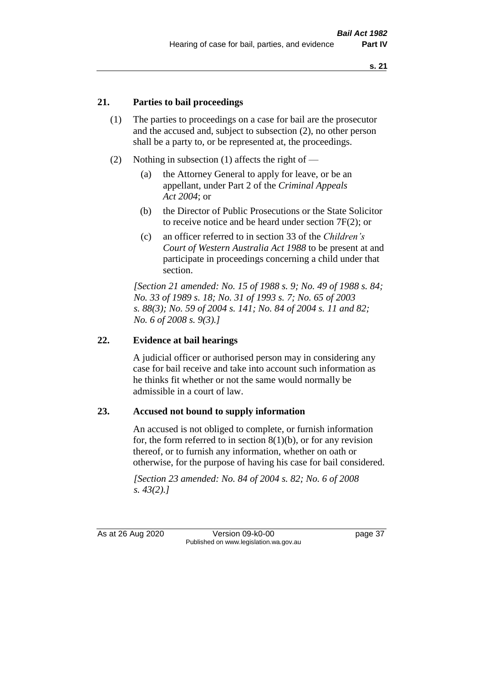## **21. Parties to bail proceedings**

- (1) The parties to proceedings on a case for bail are the prosecutor and the accused and, subject to subsection (2), no other person shall be a party to, or be represented at, the proceedings.
- (2) Nothing in subsection (1) affects the right of
	- (a) the Attorney General to apply for leave, or be an appellant, under Part 2 of the *Criminal Appeals Act 2004*; or
	- (b) the Director of Public Prosecutions or the State Solicitor to receive notice and be heard under section 7F(2); or
	- (c) an officer referred to in section 33 of the *Children's Court of Western Australia Act 1988* to be present at and participate in proceedings concerning a child under that section.

*[Section 21 amended: No. 15 of 1988 s. 9; No. 49 of 1988 s. 84; No. 33 of 1989 s. 18; No. 31 of 1993 s. 7; No. 65 of 2003 s. 88(3); No. 59 of 2004 s. 141; No. 84 of 2004 s. 11 and 82; No. 6 of 2008 s. 9(3).]* 

## **22. Evidence at bail hearings**

A judicial officer or authorised person may in considering any case for bail receive and take into account such information as he thinks fit whether or not the same would normally be admissible in a court of law.

#### **23. Accused not bound to supply information**

An accused is not obliged to complete, or furnish information for, the form referred to in section  $8(1)(b)$ , or for any revision thereof, or to furnish any information, whether on oath or otherwise, for the purpose of having his case for bail considered.

*[Section 23 amended: No. 84 of 2004 s. 82; No. 6 of 2008 s. 43(2).]* 

As at 26 Aug 2020 Version 09-k0-00 page 37 Published on www.legislation.wa.gov.au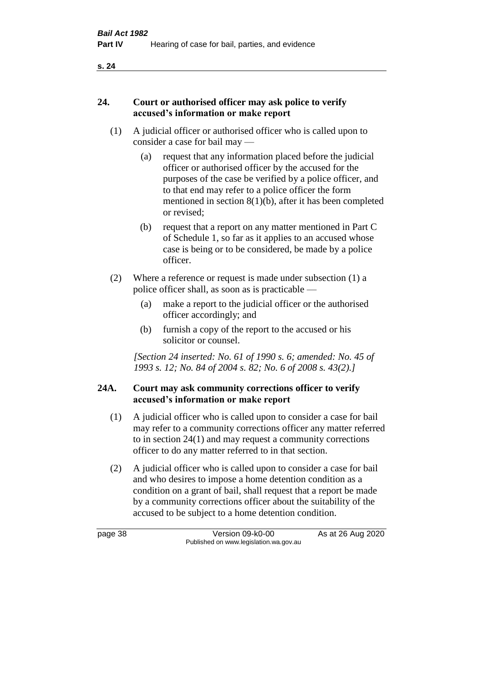### **24. Court or authorised officer may ask police to verify accused's information or make report**

- (1) A judicial officer or authorised officer who is called upon to consider a case for bail may —
	- (a) request that any information placed before the judicial officer or authorised officer by the accused for the purposes of the case be verified by a police officer, and to that end may refer to a police officer the form mentioned in section 8(1)(b), after it has been completed or revised;
	- (b) request that a report on any matter mentioned in Part C of Schedule 1, so far as it applies to an accused whose case is being or to be considered, be made by a police officer.
- (2) Where a reference or request is made under subsection (1) a police officer shall, as soon as is practicable —
	- (a) make a report to the judicial officer or the authorised officer accordingly; and
	- (b) furnish a copy of the report to the accused or his solicitor or counsel.

*[Section 24 inserted: No. 61 of 1990 s. 6; amended: No. 45 of 1993 s. 12; No. 84 of 2004 s. 82; No. 6 of 2008 s. 43(2).]* 

## **24A. Court may ask community corrections officer to verify accused's information or make report**

- (1) A judicial officer who is called upon to consider a case for bail may refer to a community corrections officer any matter referred to in section 24(1) and may request a community corrections officer to do any matter referred to in that section.
- (2) A judicial officer who is called upon to consider a case for bail and who desires to impose a home detention condition as a condition on a grant of bail, shall request that a report be made by a community corrections officer about the suitability of the accused to be subject to a home detention condition.

page 38 Version 09-k0-00 As at 26 Aug 2020 Published on www.legislation.wa.gov.au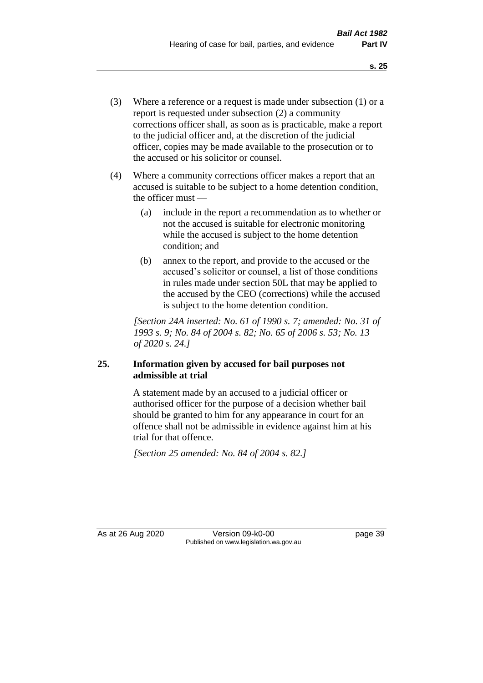- (3) Where a reference or a request is made under subsection (1) or a report is requested under subsection (2) a community corrections officer shall, as soon as is practicable, make a report to the judicial officer and, at the discretion of the judicial officer, copies may be made available to the prosecution or to the accused or his solicitor or counsel.
- (4) Where a community corrections officer makes a report that an accused is suitable to be subject to a home detention condition, the officer must —
	- (a) include in the report a recommendation as to whether or not the accused is suitable for electronic monitoring while the accused is subject to the home detention condition; and
	- (b) annex to the report, and provide to the accused or the accused's solicitor or counsel, a list of those conditions in rules made under section 50L that may be applied to the accused by the CEO (corrections) while the accused is subject to the home detention condition.

*[Section 24A inserted: No. 61 of 1990 s. 7; amended: No. 31 of 1993 s. 9; No. 84 of 2004 s. 82; No. 65 of 2006 s. 53; No. 13 of 2020 s. 24.]* 

## **25. Information given by accused for bail purposes not admissible at trial**

A statement made by an accused to a judicial officer or authorised officer for the purpose of a decision whether bail should be granted to him for any appearance in court for an offence shall not be admissible in evidence against him at his trial for that offence.

*[Section 25 amended: No. 84 of 2004 s. 82.]* 

As at 26 Aug 2020 Version 09-k0-00 page 39 Published on www.legislation.wa.gov.au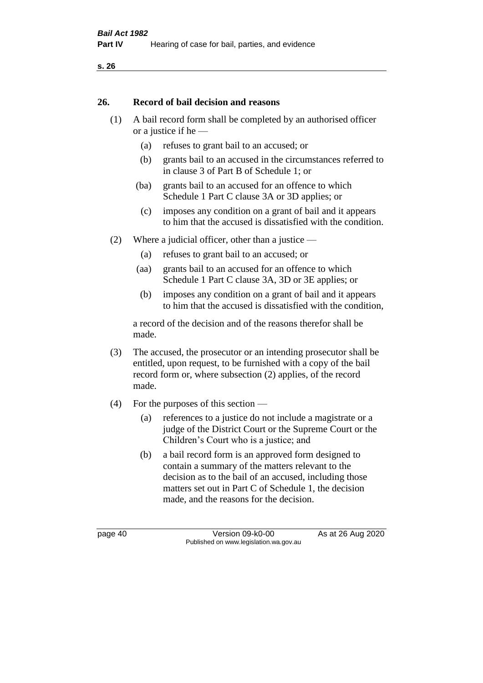#### **26. Record of bail decision and reasons**

- (1) A bail record form shall be completed by an authorised officer or a justice if he —
	- (a) refuses to grant bail to an accused; or
	- (b) grants bail to an accused in the circumstances referred to in clause 3 of Part B of Schedule 1; or
	- (ba) grants bail to an accused for an offence to which Schedule 1 Part C clause 3A or 3D applies; or
	- (c) imposes any condition on a grant of bail and it appears to him that the accused is dissatisfied with the condition.
- (2) Where a judicial officer, other than a justice
	- (a) refuses to grant bail to an accused; or
	- (aa) grants bail to an accused for an offence to which Schedule 1 Part C clause 3A, 3D or 3E applies; or
	- (b) imposes any condition on a grant of bail and it appears to him that the accused is dissatisfied with the condition,

a record of the decision and of the reasons therefor shall be made.

- (3) The accused, the prosecutor or an intending prosecutor shall be entitled, upon request, to be furnished with a copy of the bail record form or, where subsection (2) applies, of the record made.
- (4) For the purposes of this section
	- (a) references to a justice do not include a magistrate or a judge of the District Court or the Supreme Court or the Children's Court who is a justice; and
	- (b) a bail record form is an approved form designed to contain a summary of the matters relevant to the decision as to the bail of an accused, including those matters set out in Part C of Schedule 1, the decision made, and the reasons for the decision.

page 40 Version 09-k0-00 As at 26 Aug 2020 Published on www.legislation.wa.gov.au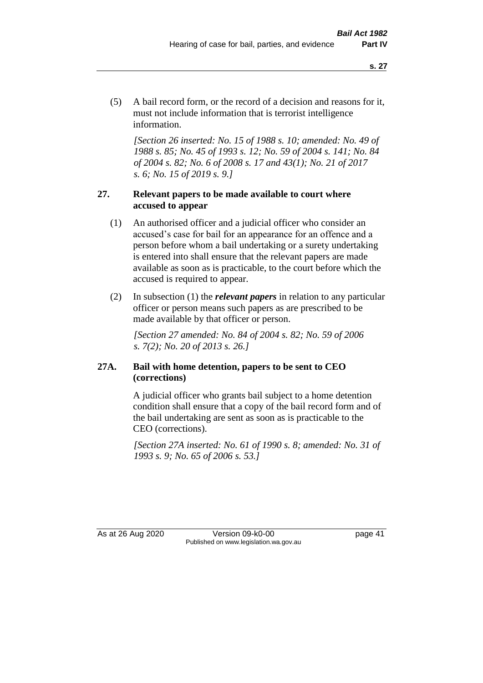(5) A bail record form, or the record of a decision and reasons for it, must not include information that is terrorist intelligence information.

*[Section 26 inserted: No. 15 of 1988 s. 10; amended: No. 49 of 1988 s. 85; No. 45 of 1993 s. 12; No. 59 of 2004 s. 141; No. 84 of 2004 s. 82; No. 6 of 2008 s. 17 and 43(1); No. 21 of 2017 s. 6; No. 15 of 2019 s. 9.]* 

## **27. Relevant papers to be made available to court where accused to appear**

- (1) An authorised officer and a judicial officer who consider an accused's case for bail for an appearance for an offence and a person before whom a bail undertaking or a surety undertaking is entered into shall ensure that the relevant papers are made available as soon as is practicable, to the court before which the accused is required to appear.
- (2) In subsection (1) the *relevant papers* in relation to any particular officer or person means such papers as are prescribed to be made available by that officer or person.

*[Section 27 amended: No. 84 of 2004 s. 82; No. 59 of 2006 s. 7(2); No. 20 of 2013 s. 26.]* 

## **27A. Bail with home detention, papers to be sent to CEO (corrections)**

A judicial officer who grants bail subject to a home detention condition shall ensure that a copy of the bail record form and of the bail undertaking are sent as soon as is practicable to the CEO (corrections).

*[Section 27A inserted: No. 61 of 1990 s. 8; amended: No. 31 of 1993 s. 9; No. 65 of 2006 s. 53.]* 

As at 26 Aug 2020 Version 09-k0-00 page 41 Published on www.legislation.wa.gov.au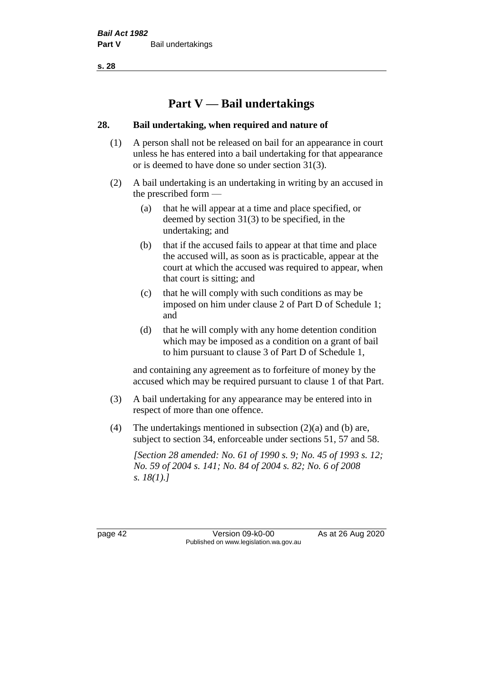# **Part V — Bail undertakings**

## **28. Bail undertaking, when required and nature of**

- (1) A person shall not be released on bail for an appearance in court unless he has entered into a bail undertaking for that appearance or is deemed to have done so under section 31(3).
- (2) A bail undertaking is an undertaking in writing by an accused in the prescribed form —
	- (a) that he will appear at a time and place specified, or deemed by section 31(3) to be specified, in the undertaking; and
	- (b) that if the accused fails to appear at that time and place the accused will, as soon as is practicable, appear at the court at which the accused was required to appear, when that court is sitting; and
	- (c) that he will comply with such conditions as may be imposed on him under clause 2 of Part D of Schedule 1; and
	- (d) that he will comply with any home detention condition which may be imposed as a condition on a grant of bail to him pursuant to clause 3 of Part D of Schedule 1,

and containing any agreement as to forfeiture of money by the accused which may be required pursuant to clause 1 of that Part.

- (3) A bail undertaking for any appearance may be entered into in respect of more than one offence.
- (4) The undertakings mentioned in subsection (2)(a) and (b) are, subject to section 34, enforceable under sections 51, 57 and 58.

*[Section 28 amended: No. 61 of 1990 s. 9; No. 45 of 1993 s. 12; No. 59 of 2004 s. 141; No. 84 of 2004 s. 82; No. 6 of 2008 s. 18(1).]* 

page 42 Version 09-k0-00 As at 26 Aug 2020 Published on www.legislation.wa.gov.au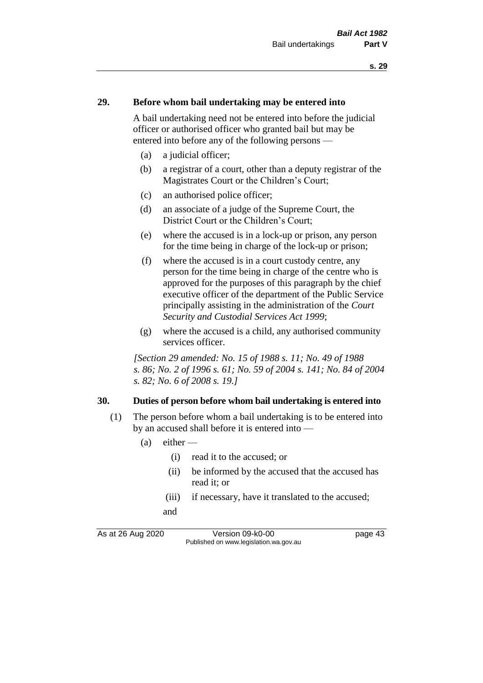#### **29. Before whom bail undertaking may be entered into**

A bail undertaking need not be entered into before the judicial officer or authorised officer who granted bail but may be entered into before any of the following persons —

- (a) a judicial officer;
- (b) a registrar of a court, other than a deputy registrar of the Magistrates Court or the Children's Court;
- (c) an authorised police officer;
- (d) an associate of a judge of the Supreme Court, the District Court or the Children's Court;
- (e) where the accused is in a lock-up or prison, any person for the time being in charge of the lock-up or prison;
- (f) where the accused is in a court custody centre, any person for the time being in charge of the centre who is approved for the purposes of this paragraph by the chief executive officer of the department of the Public Service principally assisting in the administration of the *Court Security and Custodial Services Act 1999*;
- (g) where the accused is a child, any authorised community services officer.

*[Section 29 amended: No. 15 of 1988 s. 11; No. 49 of 1988 s. 86; No. 2 of 1996 s. 61; No. 59 of 2004 s. 141; No. 84 of 2004 s. 82; No. 6 of 2008 s. 19.]* 

#### **30. Duties of person before whom bail undertaking is entered into**

- (1) The person before whom a bail undertaking is to be entered into by an accused shall before it is entered into —
	- $(a)$  either
		- (i) read it to the accused; or
		- (ii) be informed by the accused that the accused has read it; or
		- (iii) if necessary, have it translated to the accused; and

As at 26 Aug 2020 Version 09-k0-00 page 43 Published on www.legislation.wa.gov.au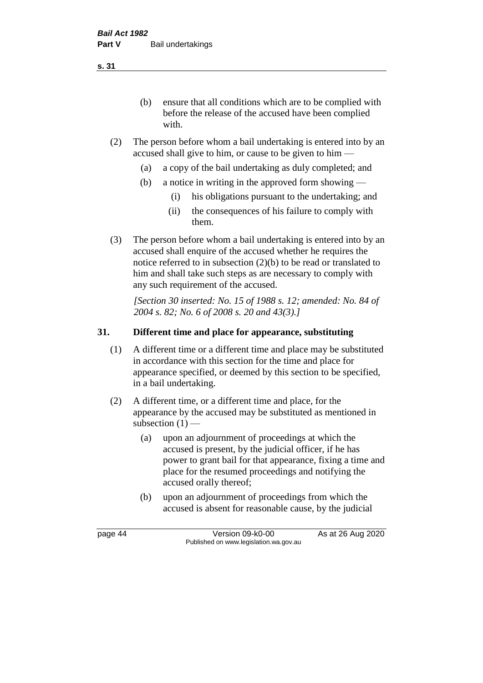(b) ensure that all conditions which are to be complied with before the release of the accused have been complied with.

- (2) The person before whom a bail undertaking is entered into by an accused shall give to him, or cause to be given to him —
	- (a) a copy of the bail undertaking as duly completed; and
	- (b) a notice in writing in the approved form showing
		- (i) his obligations pursuant to the undertaking; and
		- (ii) the consequences of his failure to comply with them.
- (3) The person before whom a bail undertaking is entered into by an accused shall enquire of the accused whether he requires the notice referred to in subsection (2)(b) to be read or translated to him and shall take such steps as are necessary to comply with any such requirement of the accused.

*[Section 30 inserted: No. 15 of 1988 s. 12; amended: No. 84 of 2004 s. 82; No. 6 of 2008 s. 20 and 43(3).]* 

## **31. Different time and place for appearance, substituting**

- (1) A different time or a different time and place may be substituted in accordance with this section for the time and place for appearance specified, or deemed by this section to be specified, in a bail undertaking.
- (2) A different time, or a different time and place, for the appearance by the accused may be substituted as mentioned in subsection  $(1)$  —
	- (a) upon an adjournment of proceedings at which the accused is present, by the judicial officer, if he has power to grant bail for that appearance, fixing a time and place for the resumed proceedings and notifying the accused orally thereof;
	- (b) upon an adjournment of proceedings from which the accused is absent for reasonable cause, by the judicial

page 44 Version 09-k0-00 As at 26 Aug 2020 Published on www.legislation.wa.gov.au

**s. 31**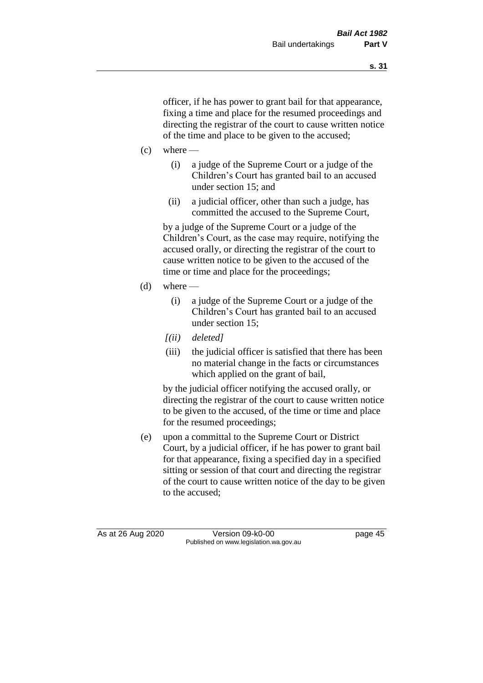officer, if he has power to grant bail for that appearance, fixing a time and place for the resumed proceedings and directing the registrar of the court to cause written notice of the time and place to be given to the accused;

- $(c)$  where
	- (i) a judge of the Supreme Court or a judge of the Children's Court has granted bail to an accused under section 15; and
	- (ii) a judicial officer, other than such a judge, has committed the accused to the Supreme Court,

by a judge of the Supreme Court or a judge of the Children's Court, as the case may require, notifying the accused orally, or directing the registrar of the court to cause written notice to be given to the accused of the time or time and place for the proceedings;

- (d) where  $-$ 
	- (i) a judge of the Supreme Court or a judge of the Children's Court has granted bail to an accused under section 15;
	- *[(ii) deleted]*
	- (iii) the judicial officer is satisfied that there has been no material change in the facts or circumstances which applied on the grant of bail,

by the judicial officer notifying the accused orally, or directing the registrar of the court to cause written notice to be given to the accused, of the time or time and place for the resumed proceedings;

(e) upon a committal to the Supreme Court or District Court, by a judicial officer, if he has power to grant bail for that appearance, fixing a specified day in a specified sitting or session of that court and directing the registrar of the court to cause written notice of the day to be given to the accused;

As at 26 Aug 2020 Version 09-k0-00 page 45 Published on www.legislation.wa.gov.au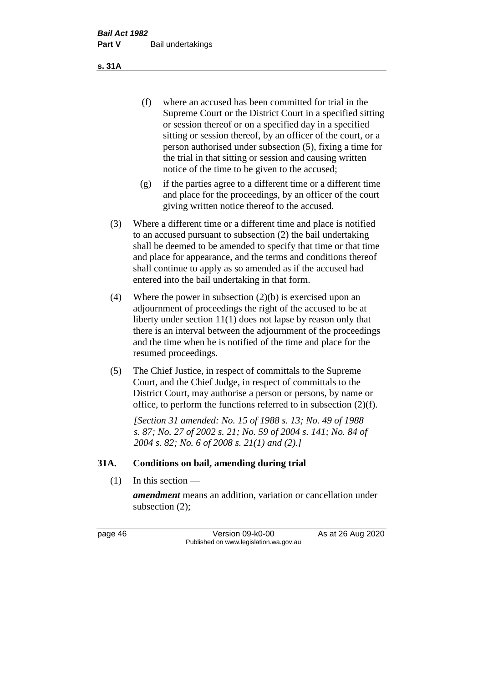(f) where an accused has been committed for trial in the Supreme Court or the District Court in a specified sitting or session thereof or on a specified day in a specified sitting or session thereof, by an officer of the court, or a person authorised under subsection (5), fixing a time for the trial in that sitting or session and causing written notice of the time to be given to the accused;

- (g) if the parties agree to a different time or a different time and place for the proceedings, by an officer of the court giving written notice thereof to the accused.
- (3) Where a different time or a different time and place is notified to an accused pursuant to subsection (2) the bail undertaking shall be deemed to be amended to specify that time or that time and place for appearance, and the terms and conditions thereof shall continue to apply as so amended as if the accused had entered into the bail undertaking in that form.
- (4) Where the power in subsection (2)(b) is exercised upon an adjournment of proceedings the right of the accused to be at liberty under section 11(1) does not lapse by reason only that there is an interval between the adjournment of the proceedings and the time when he is notified of the time and place for the resumed proceedings.
- (5) The Chief Justice, in respect of committals to the Supreme Court, and the Chief Judge, in respect of committals to the District Court, may authorise a person or persons, by name or office, to perform the functions referred to in subsection (2)(f).

*[Section 31 amended: No. 15 of 1988 s. 13; No. 49 of 1988 s. 87; No. 27 of 2002 s. 21; No. 59 of 2004 s. 141; No. 84 of 2004 s. 82; No. 6 of 2008 s. 21(1) and (2).]* 

#### **31A. Conditions on bail, amending during trial**

 $(1)$  In this section —

*amendment* means an addition, variation or cancellation under subsection (2);

page 46 Version 09-k0-00 As at 26 Aug 2020 Published on www.legislation.wa.gov.au

**s. 31A**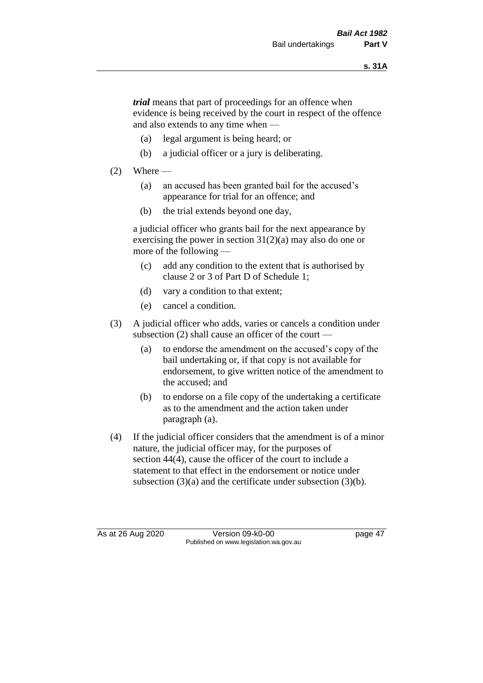*trial* means that part of proceedings for an offence when evidence is being received by the court in respect of the offence and also extends to any time when —

- (a) legal argument is being heard; or
- (b) a judicial officer or a jury is deliberating.

## $(2)$  Where —

- (a) an accused has been granted bail for the accused's appearance for trial for an offence; and
- (b) the trial extends beyond one day,

a judicial officer who grants bail for the next appearance by exercising the power in section  $31(2)(a)$  may also do one or more of the following —

- (c) add any condition to the extent that is authorised by clause 2 or 3 of Part D of Schedule 1;
- (d) vary a condition to that extent;
- (e) cancel a condition.
- (3) A judicial officer who adds, varies or cancels a condition under subsection (2) shall cause an officer of the court —
	- (a) to endorse the amendment on the accused's copy of the bail undertaking or, if that copy is not available for endorsement, to give written notice of the amendment to the accused; and
	- (b) to endorse on a file copy of the undertaking a certificate as to the amendment and the action taken under paragraph (a).
- (4) If the judicial officer considers that the amendment is of a minor nature, the judicial officer may, for the purposes of section 44(4), cause the officer of the court to include a statement to that effect in the endorsement or notice under subsection (3)(a) and the certificate under subsection (3)(b).

As at 26 Aug 2020 Version 09-k0-00 page 47 Published on www.legislation.wa.gov.au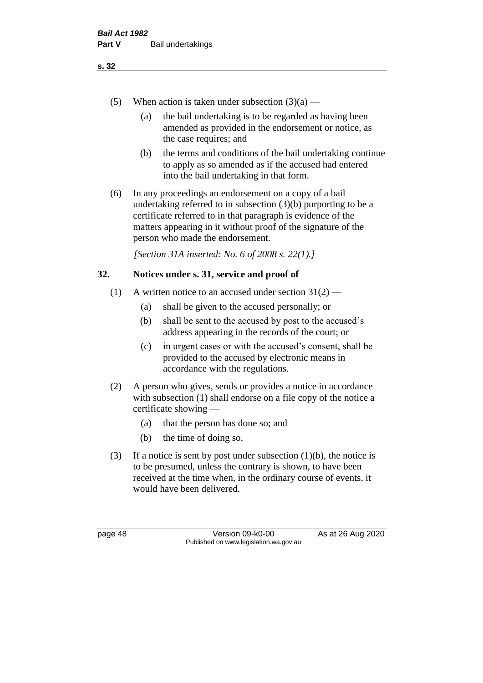- (5) When action is taken under subsection  $(3)(a)$ 
	- (a) the bail undertaking is to be regarded as having been amended as provided in the endorsement or notice, as the case requires; and
	- (b) the terms and conditions of the bail undertaking continue to apply as so amended as if the accused had entered into the bail undertaking in that form.
- (6) In any proceedings an endorsement on a copy of a bail undertaking referred to in subsection (3)(b) purporting to be a certificate referred to in that paragraph is evidence of the matters appearing in it without proof of the signature of the person who made the endorsement.

*[Section 31A inserted: No. 6 of 2008 s. 22(1).]*

## **32. Notices under s. 31, service and proof of**

- (1) A written notice to an accused under section  $31(2)$ 
	- (a) shall be given to the accused personally; or
	- (b) shall be sent to the accused by post to the accused's address appearing in the records of the court; or
	- (c) in urgent cases or with the accused's consent, shall be provided to the accused by electronic means in accordance with the regulations.
- (2) A person who gives, sends or provides a notice in accordance with subsection (1) shall endorse on a file copy of the notice a certificate showing —
	- (a) that the person has done so; and
	- (b) the time of doing so.
- (3) If a notice is sent by post under subsection  $(1)(b)$ , the notice is to be presumed, unless the contrary is shown, to have been received at the time when, in the ordinary course of events, it would have been delivered.

page 48 Version 09-k0-00 As at 26 Aug 2020 Published on www.legislation.wa.gov.au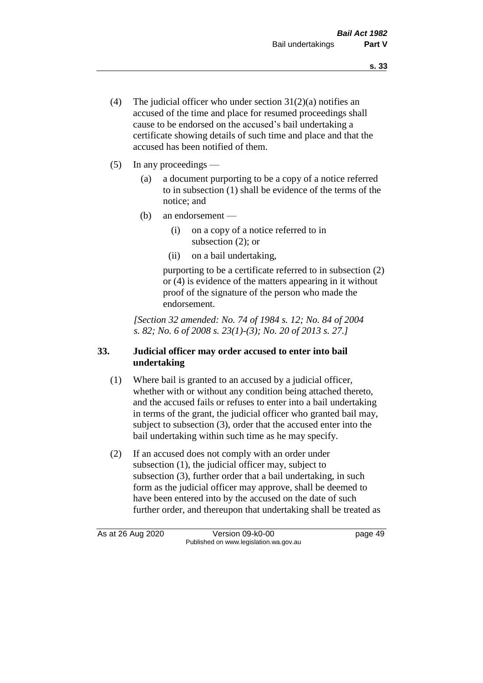- (4) The judicial officer who under section  $31(2)(a)$  notifies an accused of the time and place for resumed proceedings shall cause to be endorsed on the accused's bail undertaking a certificate showing details of such time and place and that the accused has been notified of them.
- (5) In any proceedings
	- (a) a document purporting to be a copy of a notice referred to in subsection (1) shall be evidence of the terms of the notice; and
	- (b) an endorsement
		- (i) on a copy of a notice referred to in subsection (2); or
		- (ii) on a bail undertaking,

purporting to be a certificate referred to in subsection (2) or (4) is evidence of the matters appearing in it without proof of the signature of the person who made the endorsement.

*[Section 32 amended: No. 74 of 1984 s. 12; No. 84 of 2004 s. 82; No. 6 of 2008 s. 23(1)-(3); No. 20 of 2013 s. 27.]* 

# **33. Judicial officer may order accused to enter into bail undertaking**

- (1) Where bail is granted to an accused by a judicial officer, whether with or without any condition being attached thereto, and the accused fails or refuses to enter into a bail undertaking in terms of the grant, the judicial officer who granted bail may, subject to subsection (3), order that the accused enter into the bail undertaking within such time as he may specify.
- (2) If an accused does not comply with an order under subsection (1), the judicial officer may, subject to subsection (3), further order that a bail undertaking, in such form as the judicial officer may approve, shall be deemed to have been entered into by the accused on the date of such further order, and thereupon that undertaking shall be treated as

As at 26 Aug 2020 Version 09-k0-00 page 49 Published on www.legislation.wa.gov.au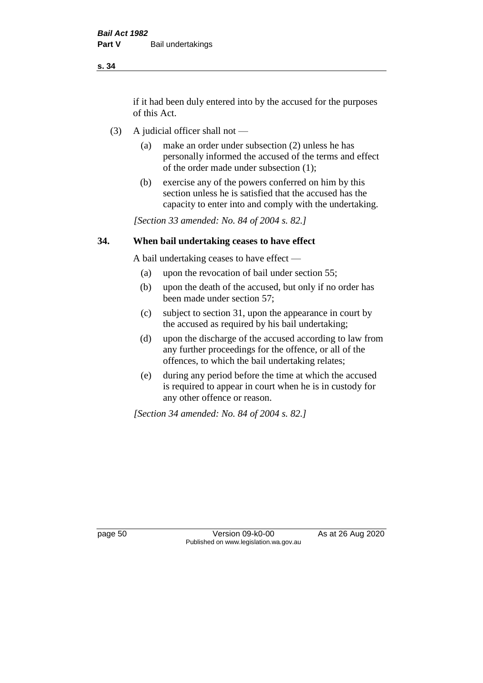if it had been duly entered into by the accused for the purposes of this Act.

- (3) A judicial officer shall not
	- (a) make an order under subsection (2) unless he has personally informed the accused of the terms and effect of the order made under subsection (1);
	- (b) exercise any of the powers conferred on him by this section unless he is satisfied that the accused has the capacity to enter into and comply with the undertaking.

*[Section 33 amended: No. 84 of 2004 s. 82.]* 

#### **34. When bail undertaking ceases to have effect**

A bail undertaking ceases to have effect —

- (a) upon the revocation of bail under section 55;
- (b) upon the death of the accused, but only if no order has been made under section 57;
- (c) subject to section 31, upon the appearance in court by the accused as required by his bail undertaking;
- (d) upon the discharge of the accused according to law from any further proceedings for the offence, or all of the offences, to which the bail undertaking relates;
- (e) during any period before the time at which the accused is required to appear in court when he is in custody for any other offence or reason.

*[Section 34 amended: No. 84 of 2004 s. 82.]* 

page 50 Version 09-k0-00 As at 26 Aug 2020 Published on www.legislation.wa.gov.au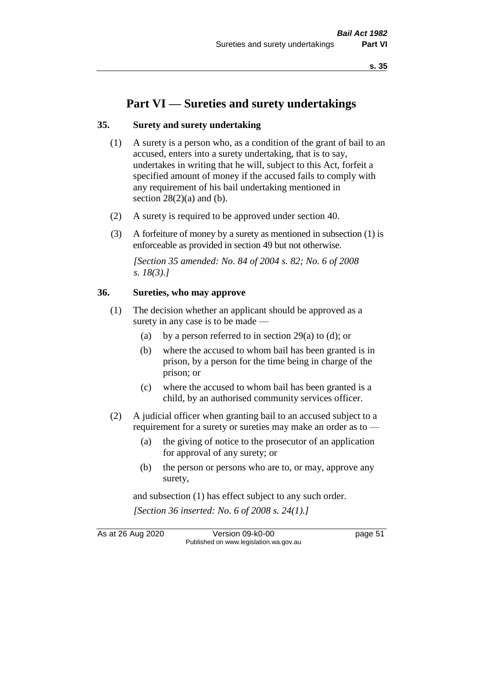# **Part VI — Sureties and surety undertakings**

#### **35. Surety and surety undertaking**

- (1) A surety is a person who, as a condition of the grant of bail to an accused, enters into a surety undertaking, that is to say, undertakes in writing that he will, subject to this Act, forfeit a specified amount of money if the accused fails to comply with any requirement of his bail undertaking mentioned in section  $28(2)(a)$  and (b).
- (2) A surety is required to be approved under section 40.
- (3) A forfeiture of money by a surety as mentioned in subsection (1) is enforceable as provided in section 49 but not otherwise.

*[Section 35 amended: No. 84 of 2004 s. 82; No. 6 of 2008 s. 18(3).]* 

#### **36. Sureties, who may approve**

- (1) The decision whether an applicant should be approved as a surety in any case is to be made —
	- (a) by a person referred to in section 29(a) to (d); or
	- (b) where the accused to whom bail has been granted is in prison, by a person for the time being in charge of the prison; or
	- (c) where the accused to whom bail has been granted is a child, by an authorised community services officer.
- (2) A judicial officer when granting bail to an accused subject to a requirement for a surety or sureties may make an order as to —
	- (a) the giving of notice to the prosecutor of an application for approval of any surety; or
	- (b) the person or persons who are to, or may, approve any surety,

and subsection (1) has effect subject to any such order. *[Section 36 inserted: No. 6 of 2008 s. 24(1).]*

As at 26 Aug 2020 Version 09-k0-00 page 51 Published on www.legislation.wa.gov.au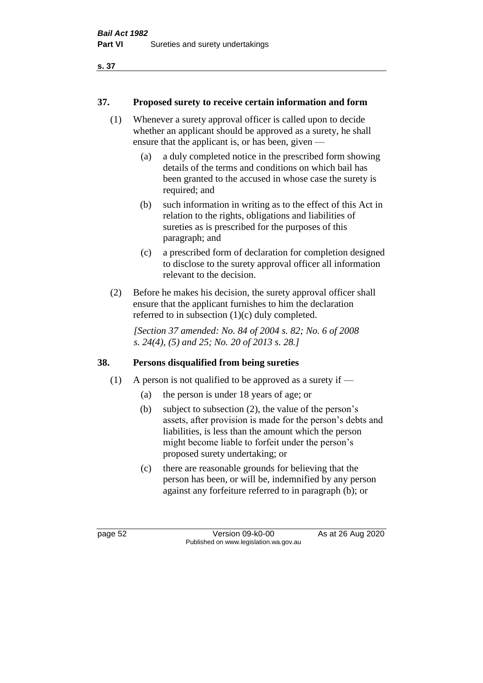## **37. Proposed surety to receive certain information and form**

- (1) Whenever a surety approval officer is called upon to decide whether an applicant should be approved as a surety, he shall ensure that the applicant is, or has been, given —
	- (a) a duly completed notice in the prescribed form showing details of the terms and conditions on which bail has been granted to the accused in whose case the surety is required; and
	- (b) such information in writing as to the effect of this Act in relation to the rights, obligations and liabilities of sureties as is prescribed for the purposes of this paragraph; and
	- (c) a prescribed form of declaration for completion designed to disclose to the surety approval officer all information relevant to the decision.
- (2) Before he makes his decision, the surety approval officer shall ensure that the applicant furnishes to him the declaration referred to in subsection (1)(c) duly completed.

*[Section 37 amended: No. 84 of 2004 s. 82; No. 6 of 2008 s. 24(4), (5) and 25; No. 20 of 2013 s. 28.]* 

## **38. Persons disqualified from being sureties**

- (1) A person is not qualified to be approved as a surety if  $-$ 
	- (a) the person is under 18 years of age; or
	- (b) subject to subsection (2), the value of the person's assets, after provision is made for the person's debts and liabilities, is less than the amount which the person might become liable to forfeit under the person's proposed surety undertaking; or
	- (c) there are reasonable grounds for believing that the person has been, or will be, indemnified by any person against any forfeiture referred to in paragraph (b); or

page 52 Version 09-k0-00 As at 26 Aug 2020 Published on www.legislation.wa.gov.au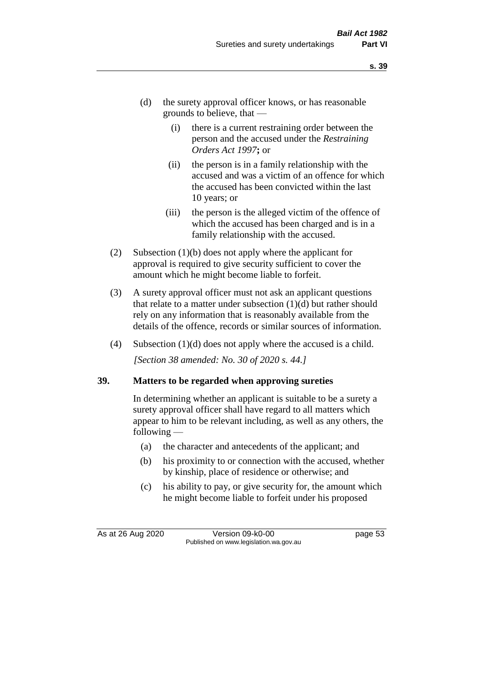- (d) the surety approval officer knows, or has reasonable grounds to believe, that —
	- (i) there is a current restraining order between the person and the accused under the *Restraining Orders Act 1997***;** or
	- (ii) the person is in a family relationship with the accused and was a victim of an offence for which the accused has been convicted within the last 10 years; or
	- (iii) the person is the alleged victim of the offence of which the accused has been charged and is in a family relationship with the accused.
- (2) Subsection (1)(b) does not apply where the applicant for approval is required to give security sufficient to cover the amount which he might become liable to forfeit.
- (3) A surety approval officer must not ask an applicant questions that relate to a matter under subsection  $(1)(d)$  but rather should rely on any information that is reasonably available from the details of the offence, records or similar sources of information.
- (4) Subsection (1)(d) does not apply where the accused is a child. *[Section 38 amended: No. 30 of 2020 s. 44.]*

#### **39. Matters to be regarded when approving sureties**

In determining whether an applicant is suitable to be a surety a surety approval officer shall have regard to all matters which appear to him to be relevant including, as well as any others, the following —

- (a) the character and antecedents of the applicant; and
- (b) his proximity to or connection with the accused, whether by kinship, place of residence or otherwise; and
- (c) his ability to pay, or give security for, the amount which he might become liable to forfeit under his proposed

As at 26 Aug 2020 Version 09-k0-00 page 53 Published on www.legislation.wa.gov.au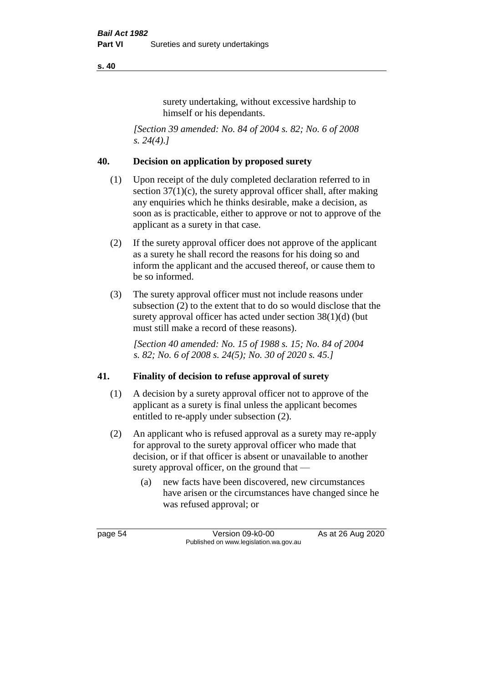surety undertaking, without excessive hardship to himself or his dependants.

*[Section 39 amended: No. 84 of 2004 s. 82; No. 6 of 2008 s. 24(4).]* 

## **40. Decision on application by proposed surety**

- (1) Upon receipt of the duly completed declaration referred to in section  $37(1)(c)$ , the surety approval officer shall, after making any enquiries which he thinks desirable, make a decision, as soon as is practicable, either to approve or not to approve of the applicant as a surety in that case.
- (2) If the surety approval officer does not approve of the applicant as a surety he shall record the reasons for his doing so and inform the applicant and the accused thereof, or cause them to be so informed.
- (3) The surety approval officer must not include reasons under subsection (2) to the extent that to do so would disclose that the surety approval officer has acted under section 38(1)(d) (but must still make a record of these reasons).

*[Section 40 amended: No. 15 of 1988 s. 15; No. 84 of 2004 s. 82; No. 6 of 2008 s. 24(5); No. 30 of 2020 s. 45.]* 

## **41. Finality of decision to refuse approval of surety**

- (1) A decision by a surety approval officer not to approve of the applicant as a surety is final unless the applicant becomes entitled to re-apply under subsection (2).
- (2) An applicant who is refused approval as a surety may re-apply for approval to the surety approval officer who made that decision, or if that officer is absent or unavailable to another surety approval officer, on the ground that —
	- (a) new facts have been discovered, new circumstances have arisen or the circumstances have changed since he was refused approval; or

page 54 Version 09-k0-00 As at 26 Aug 2020 Published on www.legislation.wa.gov.au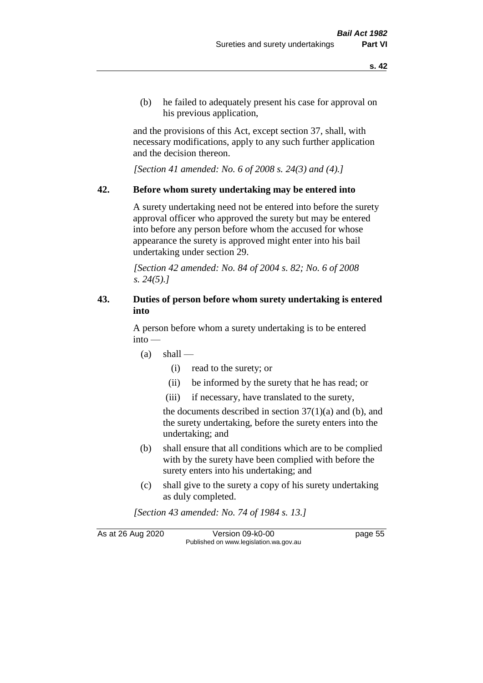(b) he failed to adequately present his case for approval on his previous application,

and the provisions of this Act, except section 37, shall, with necessary modifications, apply to any such further application and the decision thereon.

*[Section 41 amended: No. 6 of 2008 s. 24(3) and (4).]*

#### **42. Before whom surety undertaking may be entered into**

A surety undertaking need not be entered into before the surety approval officer who approved the surety but may be entered into before any person before whom the accused for whose appearance the surety is approved might enter into his bail undertaking under section 29.

*[Section 42 amended: No. 84 of 2004 s. 82; No. 6 of 2008 s. 24(5).]* 

## **43. Duties of person before whom surety undertaking is entered into**

A person before whom a surety undertaking is to be entered into —

- $(a)$  shall
	- (i) read to the surety; or
	- (ii) be informed by the surety that he has read; or
	- (iii) if necessary, have translated to the surety,

the documents described in section  $37(1)(a)$  and (b), and the surety undertaking, before the surety enters into the undertaking; and

- (b) shall ensure that all conditions which are to be complied with by the surety have been complied with before the surety enters into his undertaking; and
- (c) shall give to the surety a copy of his surety undertaking as duly completed.

*[Section 43 amended: No. 74 of 1984 s. 13.]* 

As at 26 Aug 2020 Version 09-k0-00 page 55 Published on www.legislation.wa.gov.au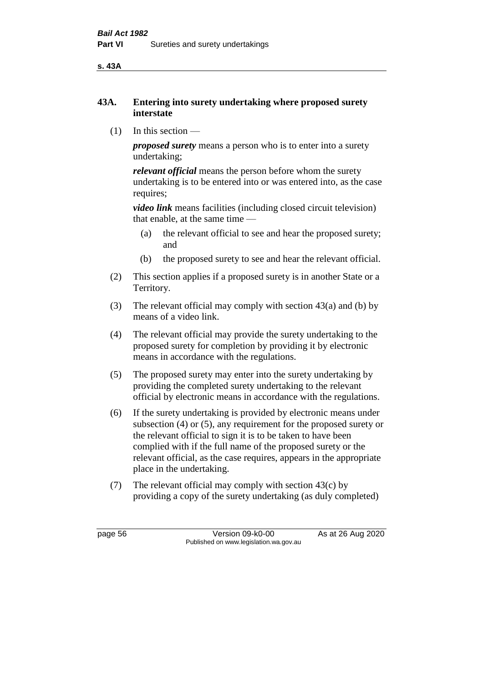**s. 43A**

## **43A. Entering into surety undertaking where proposed surety interstate**

(1) In this section —

*proposed surety* means a person who is to enter into a surety undertaking;

*relevant official* means the person before whom the surety undertaking is to be entered into or was entered into, as the case requires;

*video link* means facilities (including closed circuit television) that enable, at the same time —

- (a) the relevant official to see and hear the proposed surety; and
- (b) the proposed surety to see and hear the relevant official.
- (2) This section applies if a proposed surety is in another State or a Territory.
- (3) The relevant official may comply with section 43(a) and (b) by means of a video link.
- (4) The relevant official may provide the surety undertaking to the proposed surety for completion by providing it by electronic means in accordance with the regulations.
- (5) The proposed surety may enter into the surety undertaking by providing the completed surety undertaking to the relevant official by electronic means in accordance with the regulations.
- (6) If the surety undertaking is provided by electronic means under subsection (4) or (5), any requirement for the proposed surety or the relevant official to sign it is to be taken to have been complied with if the full name of the proposed surety or the relevant official, as the case requires, appears in the appropriate place in the undertaking.
- (7) The relevant official may comply with section 43(c) by providing a copy of the surety undertaking (as duly completed)

page 56 Version 09-k0-00 As at 26 Aug 2020 Published on www.legislation.wa.gov.au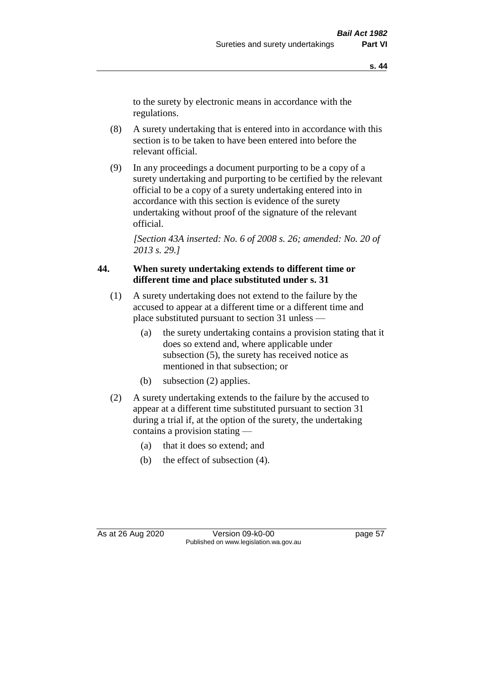to the surety by electronic means in accordance with the regulations.

- (8) A surety undertaking that is entered into in accordance with this section is to be taken to have been entered into before the relevant official.
- (9) In any proceedings a document purporting to be a copy of a surety undertaking and purporting to be certified by the relevant official to be a copy of a surety undertaking entered into in accordance with this section is evidence of the surety undertaking without proof of the signature of the relevant official.

*[Section 43A inserted: No. 6 of 2008 s. 26; amended: No. 20 of 2013 s. 29.]*

## **44. When surety undertaking extends to different time or different time and place substituted under s. 31**

- (1) A surety undertaking does not extend to the failure by the accused to appear at a different time or a different time and place substituted pursuant to section 31 unless —
	- (a) the surety undertaking contains a provision stating that it does so extend and, where applicable under subsection (5), the surety has received notice as mentioned in that subsection; or
	- (b) subsection (2) applies.
- (2) A surety undertaking extends to the failure by the accused to appear at a different time substituted pursuant to section 31 during a trial if, at the option of the surety, the undertaking contains a provision stating —
	- (a) that it does so extend; and
	- (b) the effect of subsection (4).

As at 26 Aug 2020 Version 09-k0-00 page 57 Published on www.legislation.wa.gov.au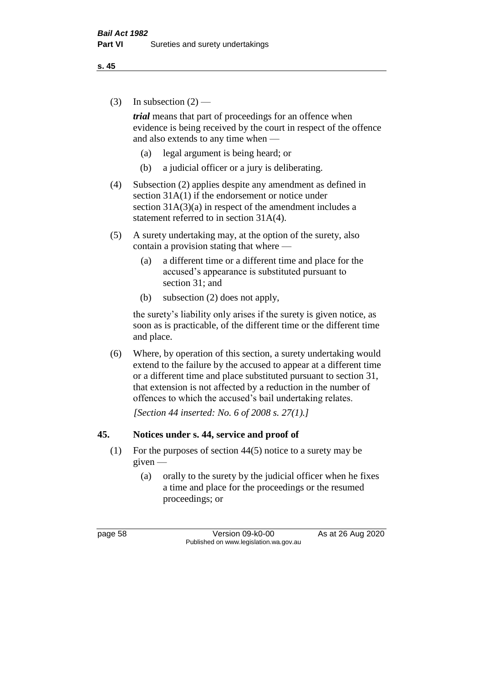(3) In subsection  $(2)$  —

*trial* means that part of proceedings for an offence when evidence is being received by the court in respect of the offence and also extends to any time when —

- (a) legal argument is being heard; or
- (b) a judicial officer or a jury is deliberating.
- (4) Subsection (2) applies despite any amendment as defined in section 31A(1) if the endorsement or notice under section  $31A(3)(a)$  in respect of the amendment includes a statement referred to in section 31A(4).
- (5) A surety undertaking may, at the option of the surety, also contain a provision stating that where —
	- (a) a different time or a different time and place for the accused's appearance is substituted pursuant to section 31; and
	- (b) subsection (2) does not apply,

the surety's liability only arises if the surety is given notice, as soon as is practicable, of the different time or the different time and place.

(6) Where, by operation of this section, a surety undertaking would extend to the failure by the accused to appear at a different time or a different time and place substituted pursuant to section 31, that extension is not affected by a reduction in the number of offences to which the accused's bail undertaking relates.

*[Section 44 inserted: No. 6 of 2008 s. 27(1).]*

#### **45. Notices under s. 44, service and proof of**

- (1) For the purposes of section 44(5) notice to a surety may be given —
	- (a) orally to the surety by the judicial officer when he fixes a time and place for the proceedings or the resumed proceedings; or

page 58 Version 09-k0-00 As at 26 Aug 2020 Published on www.legislation.wa.gov.au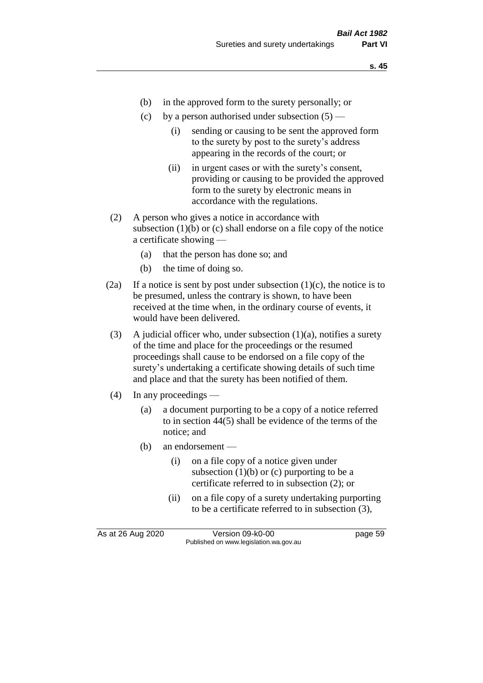- (b) in the approved form to the surety personally; or
- (c) by a person authorised under subsection  $(5)$ 
	- (i) sending or causing to be sent the approved form to the surety by post to the surety's address appearing in the records of the court; or
	- (ii) in urgent cases or with the surety's consent, providing or causing to be provided the approved form to the surety by electronic means in accordance with the regulations.
- (2) A person who gives a notice in accordance with subsection  $(1)(b)$  or  $(c)$  shall endorse on a file copy of the notice a certificate showing —
	- (a) that the person has done so; and
	- (b) the time of doing so.
- (2a) If a notice is sent by post under subsection  $(1)(c)$ , the notice is to be presumed, unless the contrary is shown, to have been received at the time when, in the ordinary course of events, it would have been delivered.
- (3) A judicial officer who, under subsection  $(1)(a)$ , notifies a surety of the time and place for the proceedings or the resumed proceedings shall cause to be endorsed on a file copy of the surety's undertaking a certificate showing details of such time and place and that the surety has been notified of them.
- (4) In any proceedings
	- (a) a document purporting to be a copy of a notice referred to in section 44(5) shall be evidence of the terms of the notice; and
	- (b) an endorsement
		- (i) on a file copy of a notice given under subsection  $(1)(b)$  or  $(c)$  purporting to be a certificate referred to in subsection (2); or
		- (ii) on a file copy of a surety undertaking purporting to be a certificate referred to in subsection (3),

As at 26 Aug 2020 Version 09-k0-00 page 59 Published on www.legislation.wa.gov.au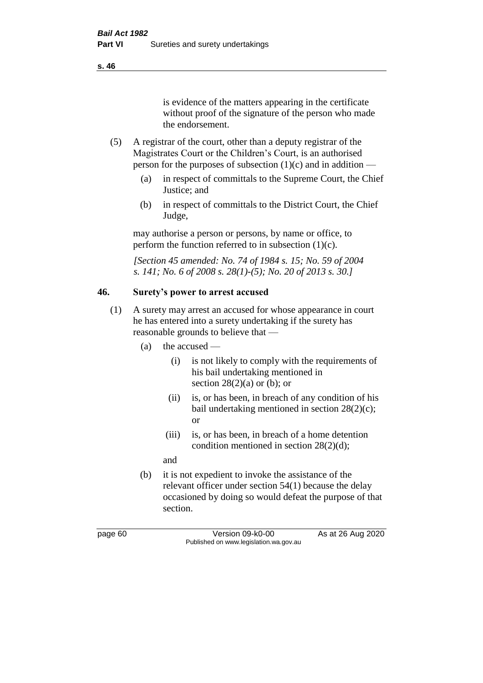is evidence of the matters appearing in the certificate without proof of the signature of the person who made the endorsement.

- (5) A registrar of the court, other than a deputy registrar of the Magistrates Court or the Children's Court, is an authorised person for the purposes of subsection  $(1)(c)$  and in addition —
	- (a) in respect of committals to the Supreme Court, the Chief Justice; and
	- (b) in respect of committals to the District Court, the Chief Judge,

may authorise a person or persons, by name or office, to perform the function referred to in subsection  $(1)(c)$ .

*[Section 45 amended: No. 74 of 1984 s. 15; No. 59 of 2004 s. 141; No. 6 of 2008 s. 28(1)-(5); No. 20 of 2013 s. 30.]* 

# **46. Surety's power to arrest accused**

- (1) A surety may arrest an accused for whose appearance in court he has entered into a surety undertaking if the surety has reasonable grounds to believe that —
	- (a) the accused
		- (i) is not likely to comply with the requirements of his bail undertaking mentioned in section  $28(2)(a)$  or (b); or
		- (ii) is, or has been, in breach of any condition of his bail undertaking mentioned in section 28(2)(c); or
		- (iii) is, or has been, in breach of a home detention condition mentioned in section 28(2)(d);

and

(b) it is not expedient to invoke the assistance of the relevant officer under section 54(1) because the delay occasioned by doing so would defeat the purpose of that section.

page 60 Version 09-k0-00 As at 26 Aug 2020 Published on www.legislation.wa.gov.au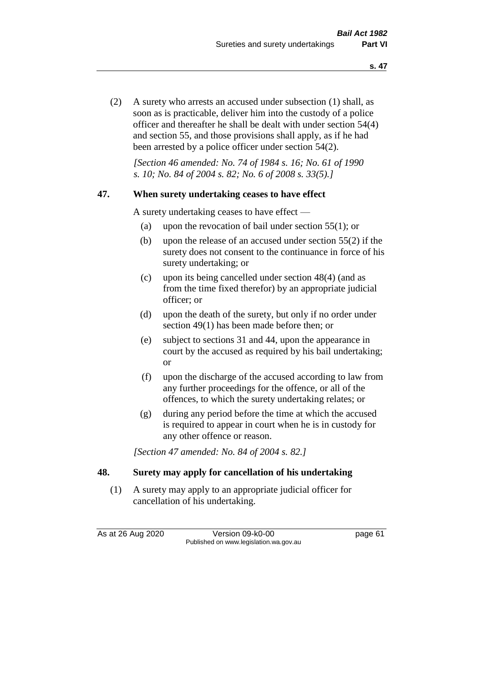(2) A surety who arrests an accused under subsection (1) shall, as soon as is practicable, deliver him into the custody of a police officer and thereafter he shall be dealt with under section 54(4) and section 55, and those provisions shall apply, as if he had been arrested by a police officer under section 54(2).

*[Section 46 amended: No. 74 of 1984 s. 16; No. 61 of 1990 s. 10; No. 84 of 2004 s. 82; No. 6 of 2008 s. 33(5).]* 

#### **47. When surety undertaking ceases to have effect**

A surety undertaking ceases to have effect —

- (a) upon the revocation of bail under section 55(1); or
- (b) upon the release of an accused under section 55(2) if the surety does not consent to the continuance in force of his surety undertaking; or
- (c) upon its being cancelled under section 48(4) (and as from the time fixed therefor) by an appropriate judicial officer; or
- (d) upon the death of the surety, but only if no order under section 49(1) has been made before then; or
- (e) subject to sections 31 and 44, upon the appearance in court by the accused as required by his bail undertaking; or
- (f) upon the discharge of the accused according to law from any further proceedings for the offence, or all of the offences, to which the surety undertaking relates; or
- (g) during any period before the time at which the accused is required to appear in court when he is in custody for any other offence or reason.

*[Section 47 amended: No. 84 of 2004 s. 82.]* 

#### **48. Surety may apply for cancellation of his undertaking**

(1) A surety may apply to an appropriate judicial officer for cancellation of his undertaking.

As at 26 Aug 2020 Version 09-k0-00 page 61 Published on www.legislation.wa.gov.au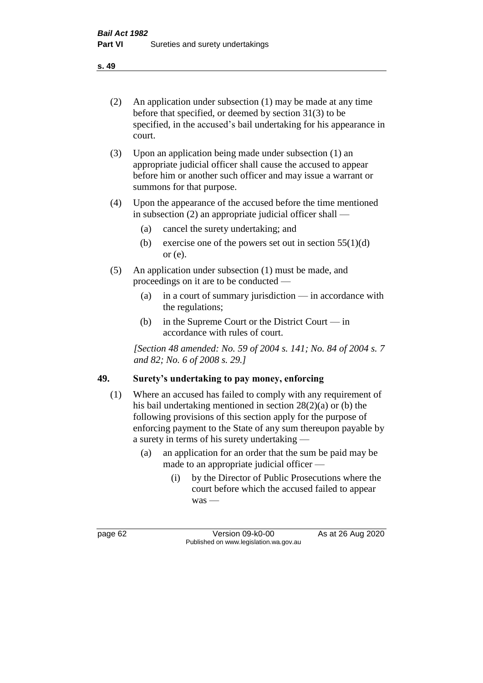- (2) An application under subsection (1) may be made at any time before that specified, or deemed by section 31(3) to be specified, in the accused's bail undertaking for his appearance in court.
- (3) Upon an application being made under subsection (1) an appropriate judicial officer shall cause the accused to appear before him or another such officer and may issue a warrant or summons for that purpose.
- (4) Upon the appearance of the accused before the time mentioned in subsection (2) an appropriate judicial officer shall —
	- (a) cancel the surety undertaking; and
	- (b) exercise one of the powers set out in section  $55(1)(d)$ or (e).
- (5) An application under subsection (1) must be made, and proceedings on it are to be conducted —
	- (a) in a court of summary jurisdiction in accordance with the regulations;
	- (b) in the Supreme Court or the District Court in accordance with rules of court.

*[Section 48 amended: No. 59 of 2004 s. 141; No. 84 of 2004 s. 7 and 82; No. 6 of 2008 s. 29.]* 

## **49. Surety's undertaking to pay money, enforcing**

- (1) Where an accused has failed to comply with any requirement of his bail undertaking mentioned in section 28(2)(a) or (b) the following provisions of this section apply for the purpose of enforcing payment to the State of any sum thereupon payable by a surety in terms of his surety undertaking —
	- (a) an application for an order that the sum be paid may be made to an appropriate judicial officer —
		- (i) by the Director of Public Prosecutions where the court before which the accused failed to appear was —

page 62 Version 09-k0-00 As at 26 Aug 2020 Published on www.legislation.wa.gov.au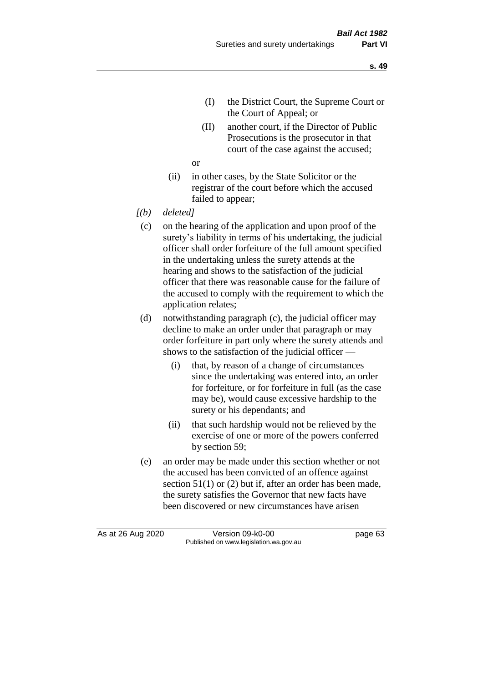- (I) the District Court, the Supreme Court or the Court of Appeal; or
- (II) another court, if the Director of Public Prosecutions is the prosecutor in that court of the case against the accused;

or

- (ii) in other cases, by the State Solicitor or the registrar of the court before which the accused failed to appear;
- *[(b) deleted]*
	- (c) on the hearing of the application and upon proof of the surety's liability in terms of his undertaking, the judicial officer shall order forfeiture of the full amount specified in the undertaking unless the surety attends at the hearing and shows to the satisfaction of the judicial officer that there was reasonable cause for the failure of the accused to comply with the requirement to which the application relates;
	- (d) notwithstanding paragraph (c), the judicial officer may decline to make an order under that paragraph or may order forfeiture in part only where the surety attends and shows to the satisfaction of the judicial officer —
		- (i) that, by reason of a change of circumstances since the undertaking was entered into, an order for forfeiture, or for forfeiture in full (as the case may be), would cause excessive hardship to the surety or his dependants; and
		- (ii) that such hardship would not be relieved by the exercise of one or more of the powers conferred by section 59;
	- (e) an order may be made under this section whether or not the accused has been convicted of an offence against section 51(1) or (2) but if, after an order has been made, the surety satisfies the Governor that new facts have been discovered or new circumstances have arisen

As at 26 Aug 2020 Version 09-k0-00 page 63 Published on www.legislation.wa.gov.au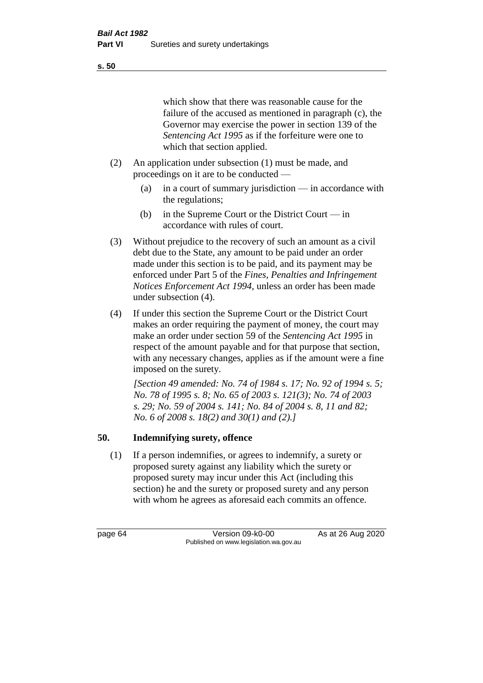#### **s. 50**

which show that there was reasonable cause for the failure of the accused as mentioned in paragraph (c), the Governor may exercise the power in section 139 of the *Sentencing Act 1995* as if the forfeiture were one to which that section applied.

- (2) An application under subsection (1) must be made, and proceedings on it are to be conducted —
	- (a) in a court of summary jurisdiction in accordance with the regulations;
	- (b) in the Supreme Court or the District Court in accordance with rules of court.
- (3) Without prejudice to the recovery of such an amount as a civil debt due to the State, any amount to be paid under an order made under this section is to be paid, and its payment may be enforced under Part 5 of the *Fines, Penalties and Infringement Notices Enforcement Act 1994*, unless an order has been made under subsection (4).
- (4) If under this section the Supreme Court or the District Court makes an order requiring the payment of money, the court may make an order under section 59 of the *Sentencing Act 1995* in respect of the amount payable and for that purpose that section, with any necessary changes, applies as if the amount were a fine imposed on the surety.

*[Section 49 amended: No. 74 of 1984 s. 17; No. 92 of 1994 s. 5; No. 78 of 1995 s. 8; No. 65 of 2003 s. 121(3); No. 74 of 2003 s. 29; No. 59 of 2004 s. 141; No. 84 of 2004 s. 8, 11 and 82; No. 6 of 2008 s. 18(2) and 30(1) and (2).]* 

## **50. Indemnifying surety, offence**

(1) If a person indemnifies, or agrees to indemnify, a surety or proposed surety against any liability which the surety or proposed surety may incur under this Act (including this section) he and the surety or proposed surety and any person with whom he agrees as aforesaid each commits an offence.

page 64 Version 09-k0-00 As at 26 Aug 2020 Published on www.legislation.wa.gov.au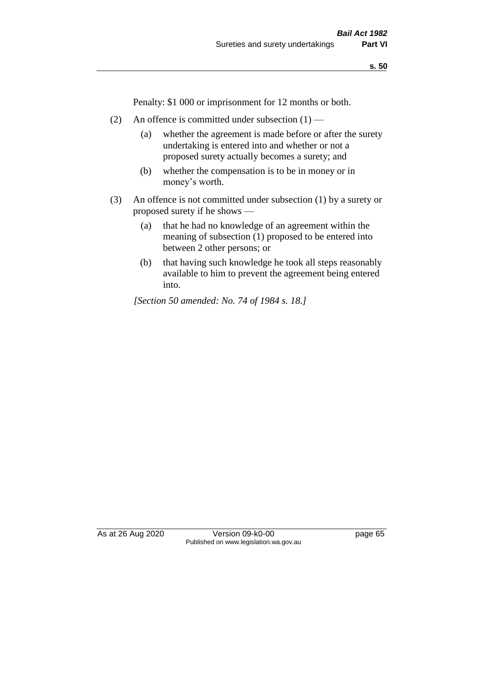**s. 50**

Penalty: \$1 000 or imprisonment for 12 months or both.

- (2) An offence is committed under subsection  $(1)$ 
	- (a) whether the agreement is made before or after the surety undertaking is entered into and whether or not a proposed surety actually becomes a surety; and
	- (b) whether the compensation is to be in money or in money's worth.
- (3) An offence is not committed under subsection (1) by a surety or proposed surety if he shows —
	- (a) that he had no knowledge of an agreement within the meaning of subsection (1) proposed to be entered into between 2 other persons; or
	- (b) that having such knowledge he took all steps reasonably available to him to prevent the agreement being entered into.

*[Section 50 amended: No. 74 of 1984 s. 18.]* 

As at 26 Aug 2020 Version 09-k0-00 page 65 Published on www.legislation.wa.gov.au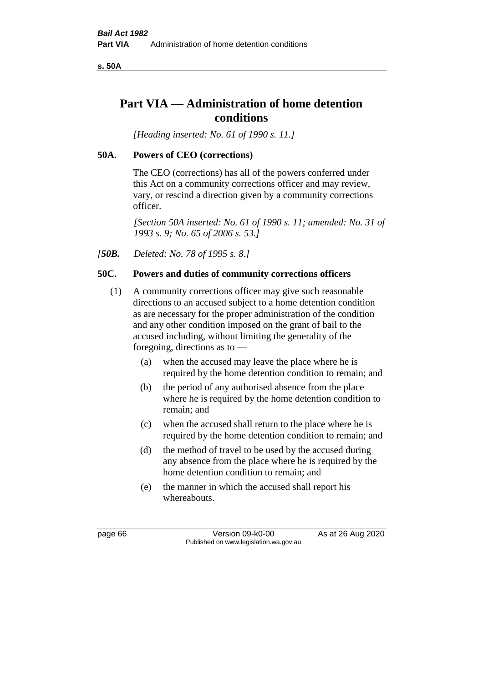**s. 50A**

# **Part VIA — Administration of home detention conditions**

*[Heading inserted: No. 61 of 1990 s. 11.]* 

## **50A. Powers of CEO (corrections)**

The CEO (corrections) has all of the powers conferred under this Act on a community corrections officer and may review, vary, or rescind a direction given by a community corrections officer.

*[Section 50A inserted: No. 61 of 1990 s. 11; amended: No. 31 of 1993 s. 9; No. 65 of 2006 s. 53.]* 

*[50B. Deleted: No. 78 of 1995 s. 8.]* 

## **50C. Powers and duties of community corrections officers**

- (1) A community corrections officer may give such reasonable directions to an accused subject to a home detention condition as are necessary for the proper administration of the condition and any other condition imposed on the grant of bail to the accused including, without limiting the generality of the foregoing, directions as to —
	- (a) when the accused may leave the place where he is required by the home detention condition to remain; and
	- (b) the period of any authorised absence from the place where he is required by the home detention condition to remain; and
	- (c) when the accused shall return to the place where he is required by the home detention condition to remain; and
	- (d) the method of travel to be used by the accused during any absence from the place where he is required by the home detention condition to remain; and
	- (e) the manner in which the accused shall report his whereabouts.

page 66 Version 09-k0-00 As at 26 Aug 2020 Published on www.legislation.wa.gov.au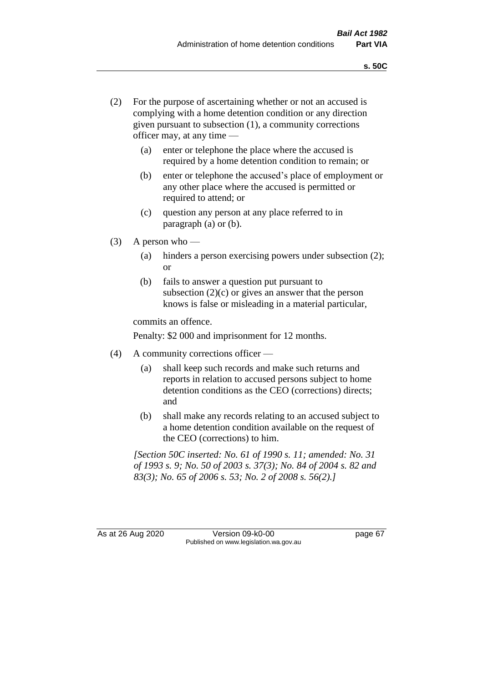- (2) For the purpose of ascertaining whether or not an accused is complying with a home detention condition or any direction given pursuant to subsection (1), a community corrections officer may, at any time —
	- (a) enter or telephone the place where the accused is required by a home detention condition to remain; or
	- (b) enter or telephone the accused's place of employment or any other place where the accused is permitted or required to attend; or
	- (c) question any person at any place referred to in paragraph (a) or (b).
- (3) A person who
	- (a) hinders a person exercising powers under subsection (2); or
	- (b) fails to answer a question put pursuant to subsection  $(2)(c)$  or gives an answer that the person knows is false or misleading in a material particular,

commits an offence.

Penalty: \$2 000 and imprisonment for 12 months.

- (4) A community corrections officer
	- (a) shall keep such records and make such returns and reports in relation to accused persons subject to home detention conditions as the CEO (corrections) directs; and
	- (b) shall make any records relating to an accused subject to a home detention condition available on the request of the CEO (corrections) to him.

*[Section 50C inserted: No. 61 of 1990 s. 11; amended: No. 31 of 1993 s. 9; No. 50 of 2003 s. 37(3); No. 84 of 2004 s. 82 and 83(3); No. 65 of 2006 s. 53; No. 2 of 2008 s. 56(2).]* 

As at 26 Aug 2020 Version 09-k0-00 page 67 Published on www.legislation.wa.gov.au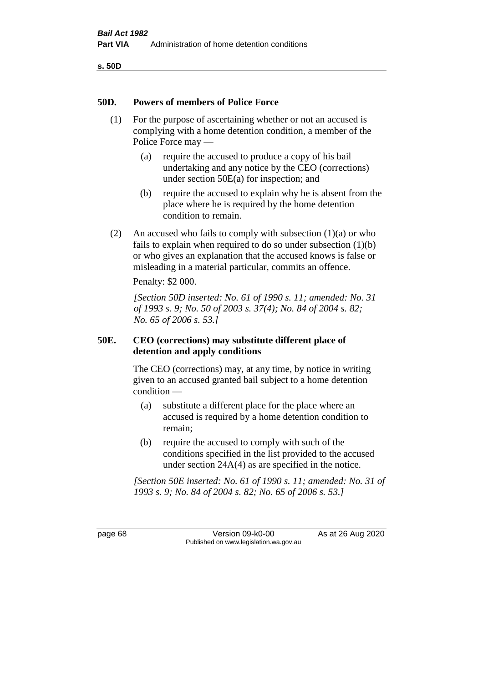**s. 50D**

#### **50D. Powers of members of Police Force**

- (1) For the purpose of ascertaining whether or not an accused is complying with a home detention condition, a member of the Police Force may —
	- (a) require the accused to produce a copy of his bail undertaking and any notice by the CEO (corrections) under section 50E(a) for inspection; and
	- (b) require the accused to explain why he is absent from the place where he is required by the home detention condition to remain.
- (2) An accused who fails to comply with subsection  $(1)(a)$  or who fails to explain when required to do so under subsection (1)(b) or who gives an explanation that the accused knows is false or misleading in a material particular, commits an offence.

Penalty: \$2 000.

*[Section 50D inserted: No. 61 of 1990 s. 11; amended: No. 31 of 1993 s. 9; No. 50 of 2003 s. 37(4); No. 84 of 2004 s. 82; No. 65 of 2006 s. 53.]* 

## **50E. CEO (corrections) may substitute different place of detention and apply conditions**

The CEO (corrections) may, at any time, by notice in writing given to an accused granted bail subject to a home detention condition —

- (a) substitute a different place for the place where an accused is required by a home detention condition to remain;
- (b) require the accused to comply with such of the conditions specified in the list provided to the accused under section 24A(4) as are specified in the notice.

*[Section 50E inserted: No. 61 of 1990 s. 11; amended: No. 31 of 1993 s. 9; No. 84 of 2004 s. 82; No. 65 of 2006 s. 53.]* 

page 68 Version 09-k0-00 As at 26 Aug 2020 Published on www.legislation.wa.gov.au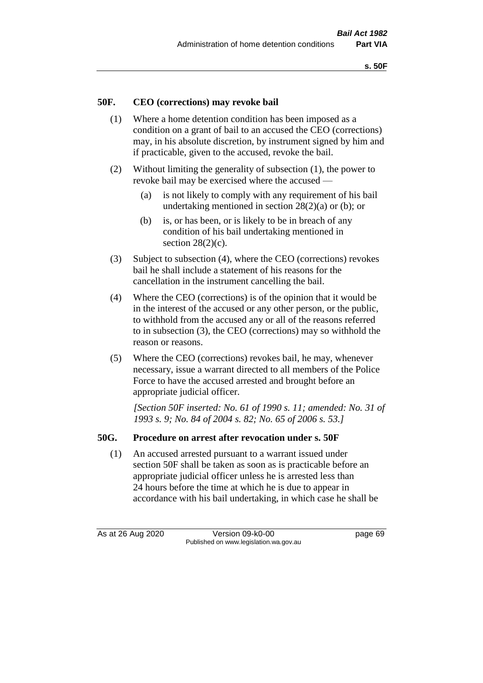## **50F. CEO (corrections) may revoke bail**

- (1) Where a home detention condition has been imposed as a condition on a grant of bail to an accused the CEO (corrections) may, in his absolute discretion, by instrument signed by him and if practicable, given to the accused, revoke the bail.
- (2) Without limiting the generality of subsection (1), the power to revoke bail may be exercised where the accused —
	- (a) is not likely to comply with any requirement of his bail undertaking mentioned in section 28(2)(a) or (b); or
	- (b) is, or has been, or is likely to be in breach of any condition of his bail undertaking mentioned in section  $28(2)(c)$ .
- (3) Subject to subsection (4), where the CEO (corrections) revokes bail he shall include a statement of his reasons for the cancellation in the instrument cancelling the bail.
- (4) Where the CEO (corrections) is of the opinion that it would be in the interest of the accused or any other person, or the public, to withhold from the accused any or all of the reasons referred to in subsection (3), the CEO (corrections) may so withhold the reason or reasons.
- (5) Where the CEO (corrections) revokes bail, he may, whenever necessary, issue a warrant directed to all members of the Police Force to have the accused arrested and brought before an appropriate judicial officer.

*[Section 50F inserted: No. 61 of 1990 s. 11; amended: No. 31 of 1993 s. 9; No. 84 of 2004 s. 82; No. 65 of 2006 s. 53.]* 

#### **50G. Procedure on arrest after revocation under s. 50F**

(1) An accused arrested pursuant to a warrant issued under section 50F shall be taken as soon as is practicable before an appropriate judicial officer unless he is arrested less than 24 hours before the time at which he is due to appear in accordance with his bail undertaking, in which case he shall be

As at 26 Aug 2020 Version 09-k0-00 page 69 Published on www.legislation.wa.gov.au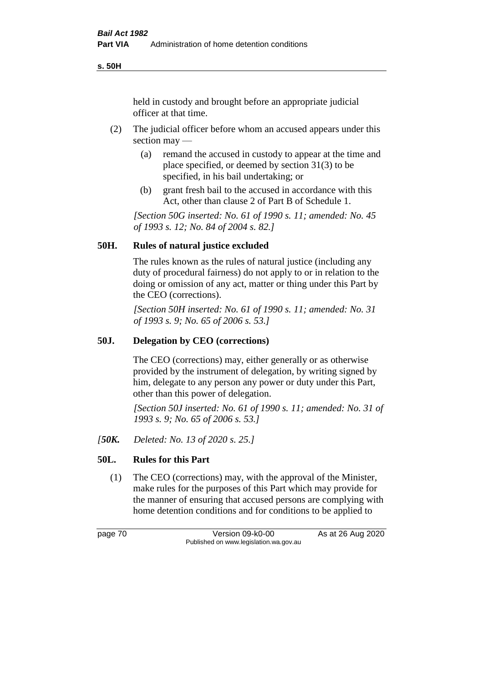**s. 50H**

held in custody and brought before an appropriate judicial officer at that time.

- (2) The judicial officer before whom an accused appears under this section may —
	- (a) remand the accused in custody to appear at the time and place specified, or deemed by section 31(3) to be specified, in his bail undertaking; or
	- (b) grant fresh bail to the accused in accordance with this Act, other than clause 2 of Part B of Schedule 1.

*[Section 50G inserted: No. 61 of 1990 s. 11; amended: No. 45 of 1993 s. 12; No. 84 of 2004 s. 82.]* 

## **50H. Rules of natural justice excluded**

The rules known as the rules of natural justice (including any duty of procedural fairness) do not apply to or in relation to the doing or omission of any act, matter or thing under this Part by the CEO (corrections).

*[Section 50H inserted: No. 61 of 1990 s. 11; amended: No. 31 of 1993 s. 9; No. 65 of 2006 s. 53.]* 

## **50J. Delegation by CEO (corrections)**

The CEO (corrections) may, either generally or as otherwise provided by the instrument of delegation, by writing signed by him, delegate to any person any power or duty under this Part, other than this power of delegation.

*[Section 50J inserted: No. 61 of 1990 s. 11; amended: No. 31 of 1993 s. 9; No. 65 of 2006 s. 53.]* 

*[50K. Deleted: No. 13 of 2020 s. 25.]*

## **50L. Rules for this Part**

(1) The CEO (corrections) may, with the approval of the Minister, make rules for the purposes of this Part which may provide for the manner of ensuring that accused persons are complying with home detention conditions and for conditions to be applied to

page 70 Version 09-k0-00 As at 26 Aug 2020 Published on www.legislation.wa.gov.au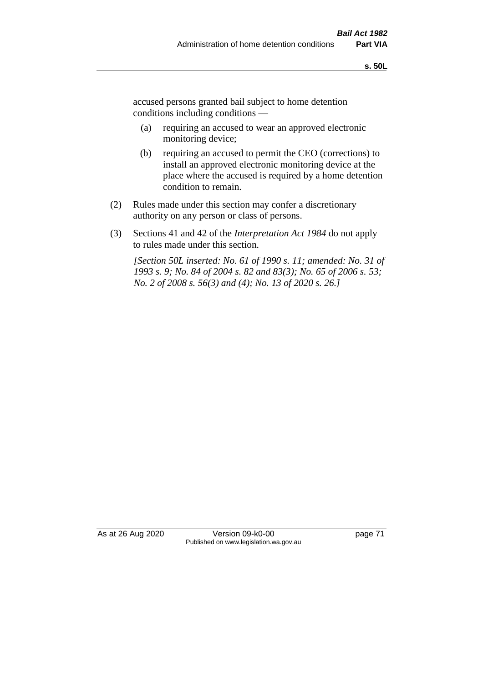accused persons granted bail subject to home detention conditions including conditions —

- (a) requiring an accused to wear an approved electronic monitoring device;
- (b) requiring an accused to permit the CEO (corrections) to install an approved electronic monitoring device at the place where the accused is required by a home detention condition to remain.
- (2) Rules made under this section may confer a discretionary authority on any person or class of persons.
- (3) Sections 41 and 42 of the *Interpretation Act 1984* do not apply to rules made under this section.

*[Section 50L inserted: No. 61 of 1990 s. 11; amended: No. 31 of 1993 s. 9; No. 84 of 2004 s. 82 and 83(3); No. 65 of 2006 s. 53; No. 2 of 2008 s. 56(3) and (4); No. 13 of 2020 s. 26.]* 

As at 26 Aug 2020 Version 09-k0-00 page 71 Published on www.legislation.wa.gov.au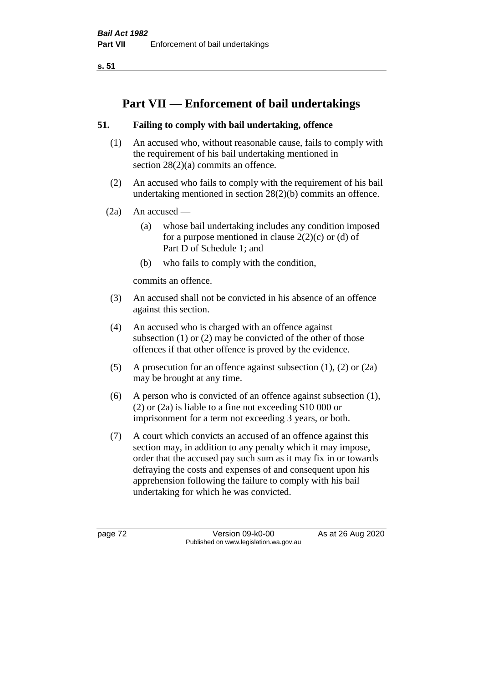**s. 51**

# **Part VII — Enforcement of bail undertakings**

## **51. Failing to comply with bail undertaking, offence**

- (1) An accused who, without reasonable cause, fails to comply with the requirement of his bail undertaking mentioned in section 28(2)(a) commits an offence.
- (2) An accused who fails to comply with the requirement of his bail undertaking mentioned in section 28(2)(b) commits an offence.
- $(2a)$  An accused
	- (a) whose bail undertaking includes any condition imposed for a purpose mentioned in clause  $2(2)(c)$  or (d) of Part D of Schedule 1; and
	- (b) who fails to comply with the condition,

commits an offence.

- (3) An accused shall not be convicted in his absence of an offence against this section.
- (4) An accused who is charged with an offence against subsection (1) or (2) may be convicted of the other of those offences if that other offence is proved by the evidence.
- (5) A prosecution for an offence against subsection (1), (2) or (2a) may be brought at any time.
- (6) A person who is convicted of an offence against subsection (1), (2) or (2a) is liable to a fine not exceeding \$10 000 or imprisonment for a term not exceeding 3 years, or both.
- (7) A court which convicts an accused of an offence against this section may, in addition to any penalty which it may impose, order that the accused pay such sum as it may fix in or towards defraying the costs and expenses of and consequent upon his apprehension following the failure to comply with his bail undertaking for which he was convicted.

page 72 Version 09-k0-00 As at 26 Aug 2020 Published on www.legislation.wa.gov.au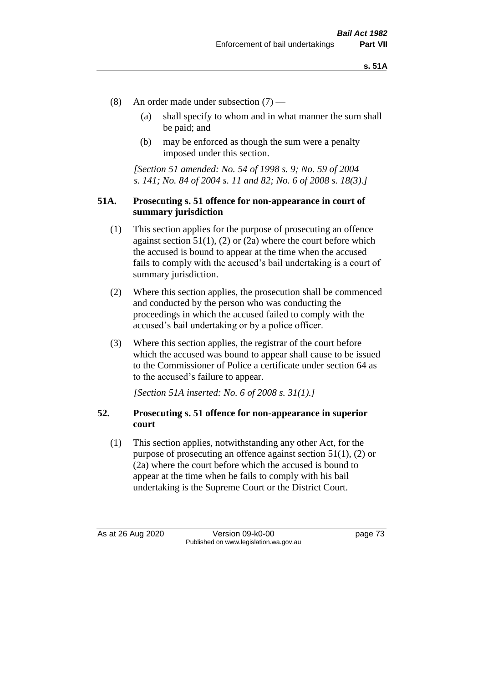- (8) An order made under subsection (7)
	- (a) shall specify to whom and in what manner the sum shall be paid; and
	- (b) may be enforced as though the sum were a penalty imposed under this section.

*[Section 51 amended: No. 54 of 1998 s. 9; No. 59 of 2004 s. 141; No. 84 of 2004 s. 11 and 82; No. 6 of 2008 s. 18(3).]*

### **51A. Prosecuting s. 51 offence for non-appearance in court of summary jurisdiction**

- (1) This section applies for the purpose of prosecuting an offence against section  $51(1)$ ,  $(2)$  or  $(2a)$  where the court before which the accused is bound to appear at the time when the accused fails to comply with the accused's bail undertaking is a court of summary jurisdiction.
- (2) Where this section applies, the prosecution shall be commenced and conducted by the person who was conducting the proceedings in which the accused failed to comply with the accused's bail undertaking or by a police officer.
- (3) Where this section applies, the registrar of the court before which the accused was bound to appear shall cause to be issued to the Commissioner of Police a certificate under section 64 as to the accused's failure to appear.

*[Section 51A inserted: No. 6 of 2008 s. 31(1).]*

## **52. Prosecuting s. 51 offence for non-appearance in superior court**

(1) This section applies, notwithstanding any other Act, for the purpose of prosecuting an offence against section 51(1), (2) or (2a) where the court before which the accused is bound to appear at the time when he fails to comply with his bail undertaking is the Supreme Court or the District Court.

As at 26 Aug 2020 Version 09-k0-00 page 73 Published on www.legislation.wa.gov.au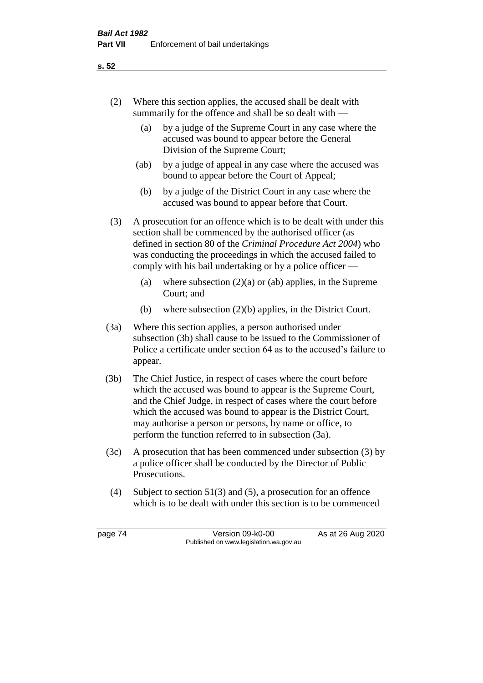- (2) Where this section applies, the accused shall be dealt with summarily for the offence and shall be so dealt with —
	- (a) by a judge of the Supreme Court in any case where the accused was bound to appear before the General Division of the Supreme Court;
	- (ab) by a judge of appeal in any case where the accused was bound to appear before the Court of Appeal;
	- (b) by a judge of the District Court in any case where the accused was bound to appear before that Court.
- (3) A prosecution for an offence which is to be dealt with under this section shall be commenced by the authorised officer (as defined in section 80 of the *Criminal Procedure Act 2004*) who was conducting the proceedings in which the accused failed to comply with his bail undertaking or by a police officer —
	- (a) where subsection  $(2)(a)$  or (ab) applies, in the Supreme Court; and
	- (b) where subsection (2)(b) applies, in the District Court.
- (3a) Where this section applies, a person authorised under subsection (3b) shall cause to be issued to the Commissioner of Police a certificate under section 64 as to the accused's failure to appear.
- (3b) The Chief Justice, in respect of cases where the court before which the accused was bound to appear is the Supreme Court, and the Chief Judge, in respect of cases where the court before which the accused was bound to appear is the District Court, may authorise a person or persons, by name or office, to perform the function referred to in subsection (3a).
- (3c) A prosecution that has been commenced under subsection (3) by a police officer shall be conducted by the Director of Public Prosecutions.
- (4) Subject to section 51(3) and (5), a prosecution for an offence which is to be dealt with under this section is to be commenced

page 74 Version 09-k0-00 As at 26 Aug 2020 Published on www.legislation.wa.gov.au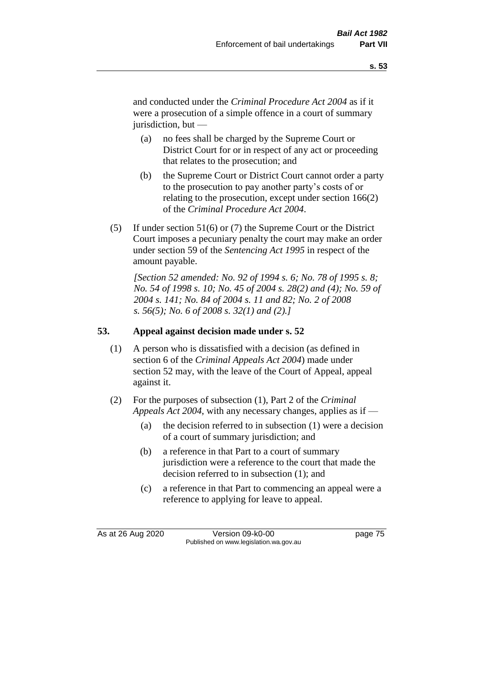and conducted under the *Criminal Procedure Act 2004* as if it were a prosecution of a simple offence in a court of summary jurisdiction, but —

- (a) no fees shall be charged by the Supreme Court or District Court for or in respect of any act or proceeding that relates to the prosecution; and
- (b) the Supreme Court or District Court cannot order a party to the prosecution to pay another party's costs of or relating to the prosecution, except under section 166(2) of the *Criminal Procedure Act 2004*.
- (5) If under section 51(6) or (7) the Supreme Court or the District Court imposes a pecuniary penalty the court may make an order under section 59 of the *Sentencing Act 1995* in respect of the amount payable.

*[Section 52 amended: No. 92 of 1994 s. 6; No. 78 of 1995 s. 8; No. 54 of 1998 s. 10; No. 45 of 2004 s. 28(2) and (4); No. 59 of 2004 s. 141; No. 84 of 2004 s. 11 and 82; No. 2 of 2008 s. 56(5); No. 6 of 2008 s. 32(1) and (2).]* 

## **53. Appeal against decision made under s. 52**

- (1) A person who is dissatisfied with a decision (as defined in section 6 of the *Criminal Appeals Act 2004*) made under section 52 may, with the leave of the Court of Appeal, appeal against it.
- (2) For the purposes of subsection (1), Part 2 of the *Criminal Appeals Act 2004*, with any necessary changes, applies as if —
	- (a) the decision referred to in subsection (1) were a decision of a court of summary jurisdiction; and
	- (b) a reference in that Part to a court of summary jurisdiction were a reference to the court that made the decision referred to in subsection (1); and
	- (c) a reference in that Part to commencing an appeal were a reference to applying for leave to appeal.

As at 26 Aug 2020 Version 09-k0-00 page 75 Published on www.legislation.wa.gov.au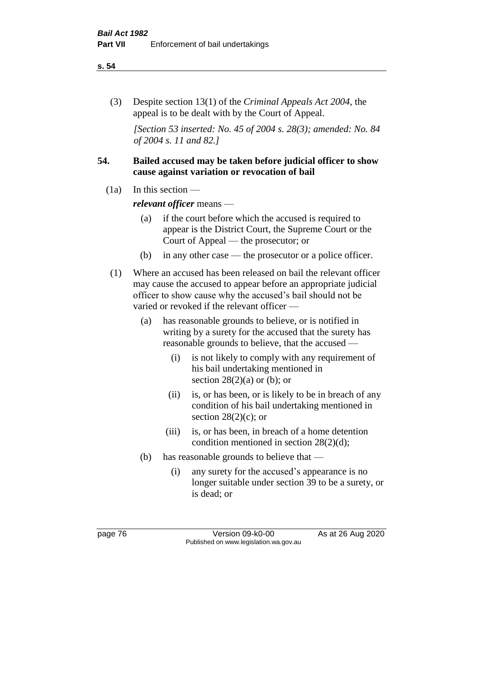#### **s. 54**

(3) Despite section 13(1) of the *Criminal Appeals Act 2004*, the appeal is to be dealt with by the Court of Appeal.

*[Section 53 inserted: No. 45 of 2004 s. 28(3); amended: No. 84 of 2004 s. 11 and 82.]*

## **54. Bailed accused may be taken before judicial officer to show cause against variation or revocation of bail**

 $(1a)$  In this section —

*relevant officer* means —

- (a) if the court before which the accused is required to appear is the District Court, the Supreme Court or the Court of Appeal — the prosecutor; or
- (b) in any other case the prosecutor or a police officer.
- (1) Where an accused has been released on bail the relevant officer may cause the accused to appear before an appropriate judicial officer to show cause why the accused's bail should not be varied or revoked if the relevant officer —
	- (a) has reasonable grounds to believe, or is notified in writing by a surety for the accused that the surety has reasonable grounds to believe, that the accused —
		- (i) is not likely to comply with any requirement of his bail undertaking mentioned in section  $28(2)(a)$  or (b); or
		- (ii) is, or has been, or is likely to be in breach of any condition of his bail undertaking mentioned in section  $28(2)(c)$ ; or
		- (iii) is, or has been, in breach of a home detention condition mentioned in section 28(2)(d);
	- (b) has reasonable grounds to believe that
		- (i) any surety for the accused's appearance is no longer suitable under section 39 to be a surety, or is dead; or

page 76 Version 09-k0-00 As at 26 Aug 2020 Published on www.legislation.wa.gov.au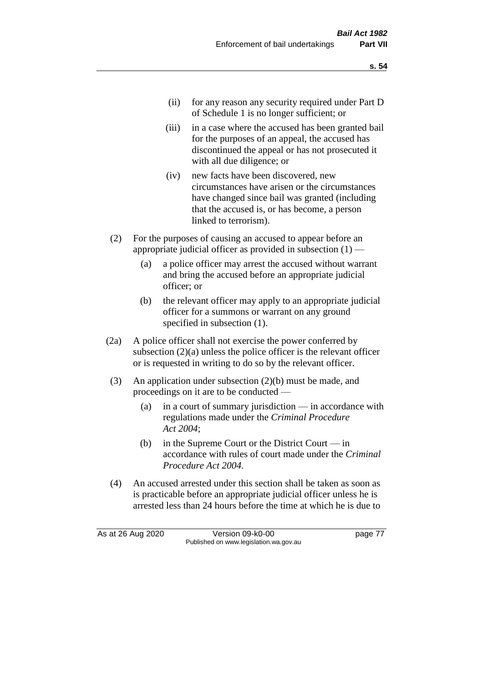- (ii) for any reason any security required under Part D of Schedule 1 is no longer sufficient; or
- (iii) in a case where the accused has been granted bail for the purposes of an appeal, the accused has discontinued the appeal or has not prosecuted it with all due diligence; or
- (iv) new facts have been discovered, new circumstances have arisen or the circumstances have changed since bail was granted (including that the accused is, or has become, a person linked to terrorism).
- (2) For the purposes of causing an accused to appear before an appropriate judicial officer as provided in subsection  $(1)$  —
	- (a) a police officer may arrest the accused without warrant and bring the accused before an appropriate judicial officer; or
	- (b) the relevant officer may apply to an appropriate judicial officer for a summons or warrant on any ground specified in subsection (1).
- (2a) A police officer shall not exercise the power conferred by subsection (2)(a) unless the police officer is the relevant officer or is requested in writing to do so by the relevant officer.
- (3) An application under subsection (2)(b) must be made, and proceedings on it are to be conducted —
	- (a) in a court of summary jurisdiction in accordance with regulations made under the *Criminal Procedure Act 2004*;
	- (b) in the Supreme Court or the District Court  $-\text{in}$ accordance with rules of court made under the *Criminal Procedure Act 2004*.
- (4) An accused arrested under this section shall be taken as soon as is practicable before an appropriate judicial officer unless he is arrested less than 24 hours before the time at which he is due to

As at 26 Aug 2020 Version 09-k0-00 page 77 Published on www.legislation.wa.gov.au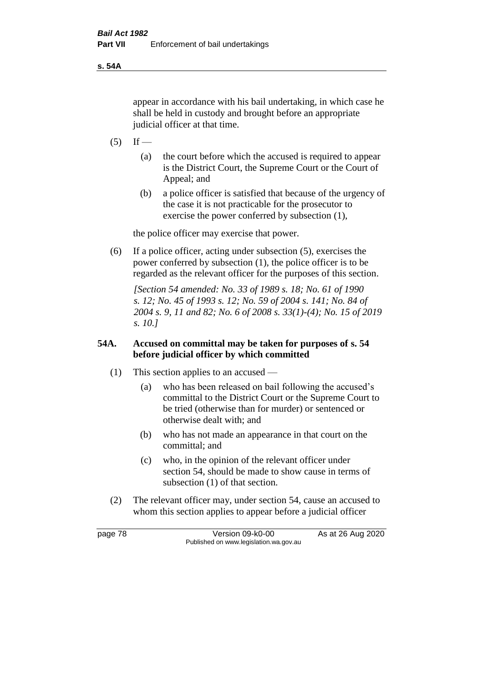**s. 54A**

appear in accordance with his bail undertaking, in which case he shall be held in custody and brought before an appropriate judicial officer at that time.

- $(5)$  If
	- (a) the court before which the accused is required to appear is the District Court, the Supreme Court or the Court of Appeal; and
	- (b) a police officer is satisfied that because of the urgency of the case it is not practicable for the prosecutor to exercise the power conferred by subsection (1),

the police officer may exercise that power.

(6) If a police officer, acting under subsection (5), exercises the power conferred by subsection (1), the police officer is to be regarded as the relevant officer for the purposes of this section.

*[Section 54 amended: No. 33 of 1989 s. 18; No. 61 of 1990 s. 12; No. 45 of 1993 s. 12; No. 59 of 2004 s. 141; No. 84 of 2004 s. 9, 11 and 82; No. 6 of 2008 s. 33(1)-(4); No. 15 of 2019 s. 10.]* 

## **54A. Accused on committal may be taken for purposes of s. 54 before judicial officer by which committed**

- (1) This section applies to an accused
	- (a) who has been released on bail following the accused's committal to the District Court or the Supreme Court to be tried (otherwise than for murder) or sentenced or otherwise dealt with; and
	- (b) who has not made an appearance in that court on the committal; and
	- (c) who, in the opinion of the relevant officer under section 54, should be made to show cause in terms of subsection (1) of that section.
- (2) The relevant officer may, under section 54, cause an accused to whom this section applies to appear before a judicial officer

page 78 Version 09-k0-00 As at 26 Aug 2020 Published on www.legislation.wa.gov.au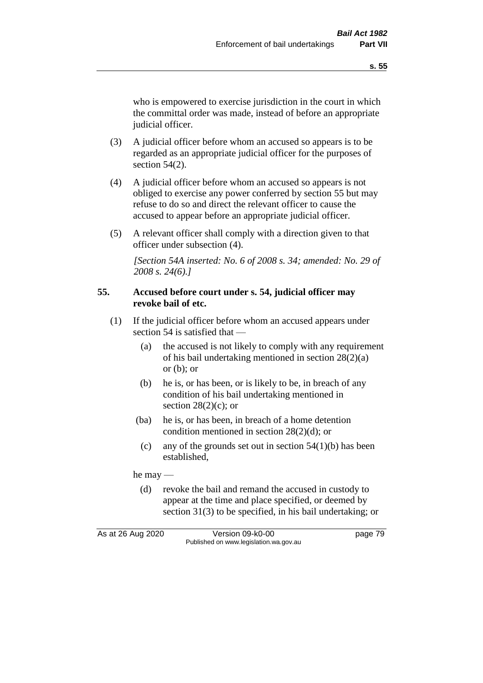who is empowered to exercise jurisdiction in the court in which the committal order was made, instead of before an appropriate judicial officer.

- (3) A judicial officer before whom an accused so appears is to be regarded as an appropriate judicial officer for the purposes of section 54(2).
- (4) A judicial officer before whom an accused so appears is not obliged to exercise any power conferred by section 55 but may refuse to do so and direct the relevant officer to cause the accused to appear before an appropriate judicial officer.
- (5) A relevant officer shall comply with a direction given to that officer under subsection (4).

*[Section 54A inserted: No. 6 of 2008 s. 34; amended: No. 29 of 2008 s. 24(6).]*

### **55. Accused before court under s. 54, judicial officer may revoke bail of etc.**

- (1) If the judicial officer before whom an accused appears under section 54 is satisfied that —
	- (a) the accused is not likely to comply with any requirement of his bail undertaking mentioned in section 28(2)(a) or  $(b)$ ; or
	- (b) he is, or has been, or is likely to be, in breach of any condition of his bail undertaking mentioned in section  $28(2)(c)$ ; or
	- (ba) he is, or has been, in breach of a home detention condition mentioned in section 28(2)(d); or
		- (c) any of the grounds set out in section  $54(1)(b)$  has been established,

he may —

(d) revoke the bail and remand the accused in custody to appear at the time and place specified, or deemed by section 31(3) to be specified, in his bail undertaking; or

As at 26 Aug 2020 Version 09-k0-00 page 79 Published on www.legislation.wa.gov.au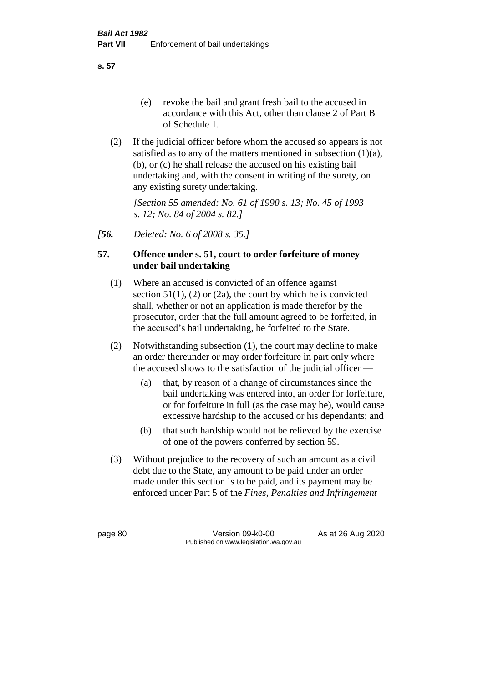**s. 57**

- (e) revoke the bail and grant fresh bail to the accused in accordance with this Act, other than clause 2 of Part B of Schedule 1.
- (2) If the judicial officer before whom the accused so appears is not satisfied as to any of the matters mentioned in subsection (1)(a), (b), or (c) he shall release the accused on his existing bail undertaking and, with the consent in writing of the surety, on any existing surety undertaking.

*[Section 55 amended: No. 61 of 1990 s. 13; No. 45 of 1993 s. 12; No. 84 of 2004 s. 82.]* 

*[56. Deleted: No. 6 of 2008 s. 35.]*

## **57. Offence under s. 51, court to order forfeiture of money under bail undertaking**

- (1) Where an accused is convicted of an offence against section  $51(1)$ ,  $(2)$  or  $(2a)$ , the court by which he is convicted shall, whether or not an application is made therefor by the prosecutor, order that the full amount agreed to be forfeited, in the accused's bail undertaking, be forfeited to the State.
- (2) Notwithstanding subsection (1), the court may decline to make an order thereunder or may order forfeiture in part only where the accused shows to the satisfaction of the judicial officer —
	- (a) that, by reason of a change of circumstances since the bail undertaking was entered into, an order for forfeiture, or for forfeiture in full (as the case may be), would cause excessive hardship to the accused or his dependants; and
	- (b) that such hardship would not be relieved by the exercise of one of the powers conferred by section 59.
- (3) Without prejudice to the recovery of such an amount as a civil debt due to the State, any amount to be paid under an order made under this section is to be paid, and its payment may be enforced under Part 5 of the *Fines, Penalties and Infringement*

page 80 Version 09-k0-00 As at 26 Aug 2020 Published on www.legislation.wa.gov.au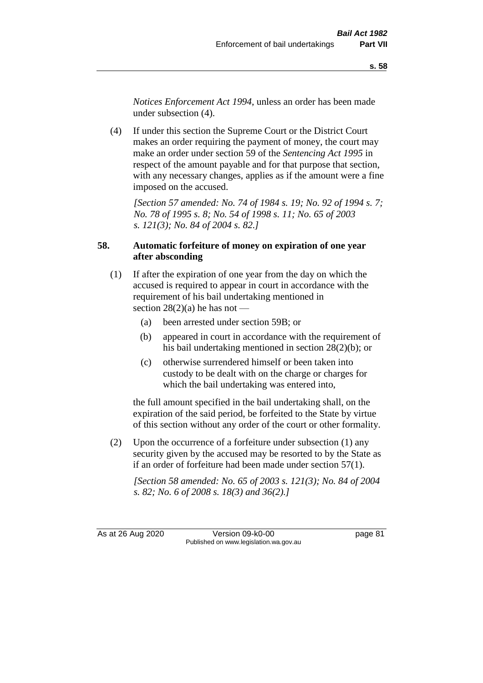*Notices Enforcement Act 1994*, unless an order has been made under subsection (4).

(4) If under this section the Supreme Court or the District Court makes an order requiring the payment of money, the court may make an order under section 59 of the *Sentencing Act 1995* in respect of the amount payable and for that purpose that section, with any necessary changes, applies as if the amount were a fine imposed on the accused.

*[Section 57 amended: No. 74 of 1984 s. 19; No. 92 of 1994 s. 7; No. 78 of 1995 s. 8; No. 54 of 1998 s. 11; No. 65 of 2003 s. 121(3); No. 84 of 2004 s. 82.]* 

## **58. Automatic forfeiture of money on expiration of one year after absconding**

- (1) If after the expiration of one year from the day on which the accused is required to appear in court in accordance with the requirement of his bail undertaking mentioned in section  $28(2)(a)$  he has not —
	- (a) been arrested under section 59B; or
	- (b) appeared in court in accordance with the requirement of his bail undertaking mentioned in section 28(2)(b); or
	- (c) otherwise surrendered himself or been taken into custody to be dealt with on the charge or charges for which the bail undertaking was entered into,

the full amount specified in the bail undertaking shall, on the expiration of the said period, be forfeited to the State by virtue of this section without any order of the court or other formality.

(2) Upon the occurrence of a forfeiture under subsection (1) any security given by the accused may be resorted to by the State as if an order of forfeiture had been made under section 57(1).

*[Section 58 amended: No. 65 of 2003 s. 121(3); No. 84 of 2004 s. 82; No. 6 of 2008 s. 18(3) and 36(2).]*

As at 26 Aug 2020 Version 09-k0-00 page 81 Published on www.legislation.wa.gov.au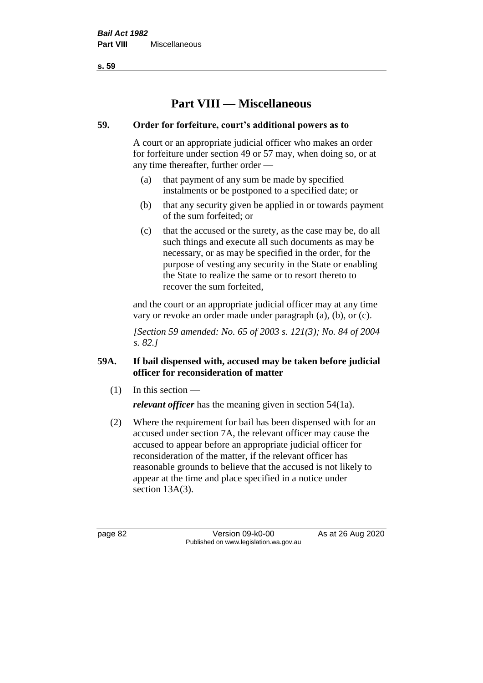**s. 59**

# **Part VIII — Miscellaneous**

## **59. Order for forfeiture, court's additional powers as to**

A court or an appropriate judicial officer who makes an order for forfeiture under section 49 or 57 may, when doing so, or at any time thereafter, further order —

- (a) that payment of any sum be made by specified instalments or be postponed to a specified date; or
- (b) that any security given be applied in or towards payment of the sum forfeited; or
- (c) that the accused or the surety, as the case may be, do all such things and execute all such documents as may be necessary, or as may be specified in the order, for the purpose of vesting any security in the State or enabling the State to realize the same or to resort thereto to recover the sum forfeited,

and the court or an appropriate judicial officer may at any time vary or revoke an order made under paragraph (a), (b), or (c).

*[Section 59 amended: No. 65 of 2003 s. 121(3); No. 84 of 2004 s. 82.]*

## **59A. If bail dispensed with, accused may be taken before judicial officer for reconsideration of matter**

 $(1)$  In this section —

*relevant officer* has the meaning given in section 54(1a).

(2) Where the requirement for bail has been dispensed with for an accused under section 7A, the relevant officer may cause the accused to appear before an appropriate judicial officer for reconsideration of the matter, if the relevant officer has reasonable grounds to believe that the accused is not likely to appear at the time and place specified in a notice under section 13A(3).

page 82 Version 09-k0-00 As at 26 Aug 2020 Published on www.legislation.wa.gov.au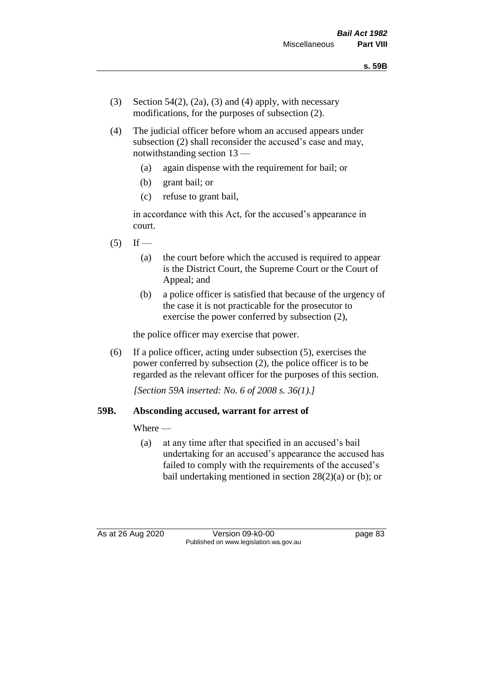- (3) Section 54(2), (2a), (3) and (4) apply, with necessary modifications, for the purposes of subsection (2).
- (4) The judicial officer before whom an accused appears under subsection (2) shall reconsider the accused's case and may, notwithstanding section 13 —
	- (a) again dispense with the requirement for bail; or
	- (b) grant bail; or
	- (c) refuse to grant bail,

in accordance with this Act, for the accused's appearance in court.

- $(5)$  If
	- (a) the court before which the accused is required to appear is the District Court, the Supreme Court or the Court of Appeal; and
	- (b) a police officer is satisfied that because of the urgency of the case it is not practicable for the prosecutor to exercise the power conferred by subsection (2),

the police officer may exercise that power.

(6) If a police officer, acting under subsection (5), exercises the power conferred by subsection (2), the police officer is to be regarded as the relevant officer for the purposes of this section.

*[Section 59A inserted: No. 6 of 2008 s. 36(1).]*

## **59B. Absconding accused, warrant for arrest of**

Where —

(a) at any time after that specified in an accused's bail undertaking for an accused's appearance the accused has failed to comply with the requirements of the accused's bail undertaking mentioned in section  $28(2)(a)$  or (b); or

As at 26 Aug 2020 Version 09-k0-00 page 83 Published on www.legislation.wa.gov.au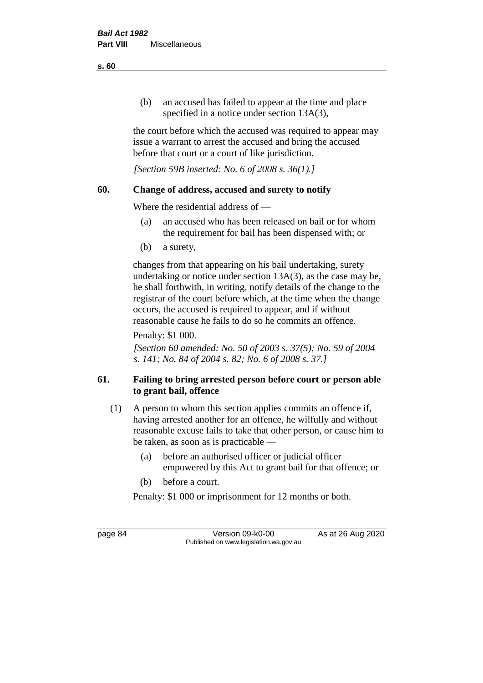(b) an accused has failed to appear at the time and place specified in a notice under section 13A(3),

the court before which the accused was required to appear may issue a warrant to arrest the accused and bring the accused before that court or a court of like jurisdiction.

*[Section 59B inserted: No. 6 of 2008 s. 36(1).]*

## **60. Change of address, accused and surety to notify**

Where the residential address of —

- (a) an accused who has been released on bail or for whom the requirement for bail has been dispensed with; or
- (b) a surety,

changes from that appearing on his bail undertaking, surety undertaking or notice under section 13A(3), as the case may be, he shall forthwith, in writing, notify details of the change to the registrar of the court before which, at the time when the change occurs, the accused is required to appear, and if without reasonable cause he fails to do so he commits an offence.

Penalty: \$1 000.

*[Section 60 amended: No. 50 of 2003 s. 37(5); No. 59 of 2004 s. 141; No. 84 of 2004 s. 82; No. 6 of 2008 s. 37.]*

## **61. Failing to bring arrested person before court or person able to grant bail, offence**

- (1) A person to whom this section applies commits an offence if, having arrested another for an offence, he wilfully and without reasonable excuse fails to take that other person, or cause him to be taken, as soon as is practicable —
	- (a) before an authorised officer or judicial officer empowered by this Act to grant bail for that offence; or
	- (b) before a court.
	- Penalty: \$1 000 or imprisonment for 12 months or both.

page 84 Version 09-k0-00 As at 26 Aug 2020 Published on www.legislation.wa.gov.au

**s. 60**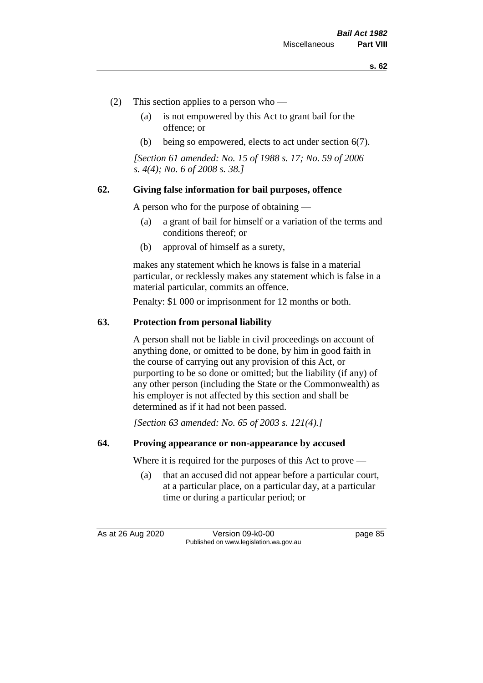- (2) This section applies to a person who
	- (a) is not empowered by this Act to grant bail for the offence; or
	- (b) being so empowered, elects to act under section 6(7).

*[Section 61 amended: No. 15 of 1988 s. 17; No. 59 of 2006 s. 4(4); No. 6 of 2008 s. 38.]* 

#### **62. Giving false information for bail purposes, offence**

A person who for the purpose of obtaining —

- (a) a grant of bail for himself or a variation of the terms and conditions thereof; or
- (b) approval of himself as a surety,

makes any statement which he knows is false in a material particular, or recklessly makes any statement which is false in a material particular, commits an offence.

Penalty: \$1 000 or imprisonment for 12 months or both.

#### **63. Protection from personal liability**

A person shall not be liable in civil proceedings on account of anything done, or omitted to be done, by him in good faith in the course of carrying out any provision of this Act, or purporting to be so done or omitted; but the liability (if any) of any other person (including the State or the Commonwealth) as his employer is not affected by this section and shall be determined as if it had not been passed.

*[Section 63 amended: No. 65 of 2003 s. 121(4).]*

#### **64. Proving appearance or non-appearance by accused**

Where it is required for the purposes of this Act to prove —

(a) that an accused did not appear before a particular court, at a particular place, on a particular day, at a particular time or during a particular period; or

As at 26 Aug 2020 Version 09-k0-00 page 85 Published on www.legislation.wa.gov.au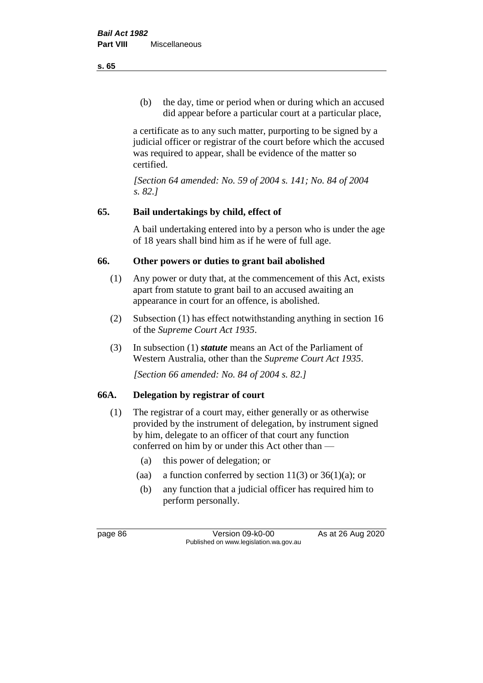(b) the day, time or period when or during which an accused did appear before a particular court at a particular place,

a certificate as to any such matter, purporting to be signed by a judicial officer or registrar of the court before which the accused was required to appear, shall be evidence of the matter so certified.

*[Section 64 amended: No. 59 of 2004 s. 141; No. 84 of 2004 s. 82.]* 

## **65. Bail undertakings by child, effect of**

A bail undertaking entered into by a person who is under the age of 18 years shall bind him as if he were of full age.

## **66. Other powers or duties to grant bail abolished**

- (1) Any power or duty that, at the commencement of this Act, exists apart from statute to grant bail to an accused awaiting an appearance in court for an offence, is abolished.
- (2) Subsection (1) has effect notwithstanding anything in section 16 of the *Supreme Court Act 1935*.
- (3) In subsection (1) *statute* means an Act of the Parliament of Western Australia, other than the *Supreme Court Act 1935*.

*[Section 66 amended: No. 84 of 2004 s. 82.]*

## **66A. Delegation by registrar of court**

- (1) The registrar of a court may, either generally or as otherwise provided by the instrument of delegation, by instrument signed by him, delegate to an officer of that court any function conferred on him by or under this Act other than —
	- (a) this power of delegation; or
	- (aa) a function conferred by section  $11(3)$  or  $36(1)(a)$ ; or
	- (b) any function that a judicial officer has required him to perform personally.

page 86 Version 09-k0-00 As at 26 Aug 2020 Published on www.legislation.wa.gov.au

**s. 65**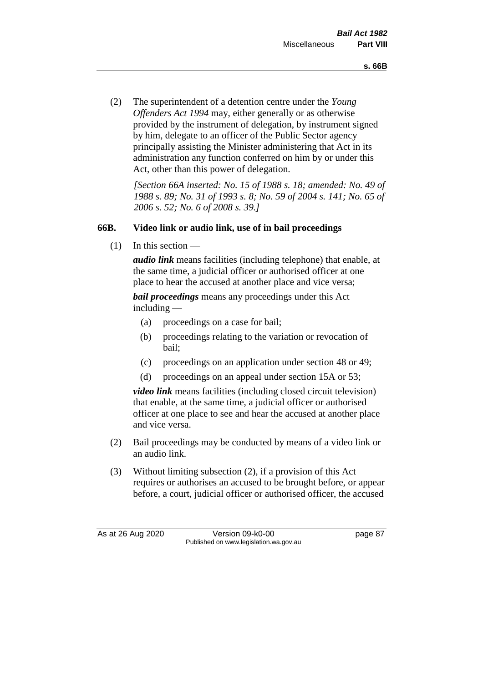(2) The superintendent of a detention centre under the *Young Offenders Act 1994* may, either generally or as otherwise provided by the instrument of delegation, by instrument signed by him, delegate to an officer of the Public Sector agency principally assisting the Minister administering that Act in its administration any function conferred on him by or under this Act, other than this power of delegation.

*[Section 66A inserted: No. 15 of 1988 s. 18; amended: No. 49 of 1988 s. 89; No. 31 of 1993 s. 8; No. 59 of 2004 s. 141; No. 65 of 2006 s. 52; No. 6 of 2008 s. 39.]* 

## **66B. Video link or audio link, use of in bail proceedings**

 $(1)$  In this section —

*audio link* means facilities (including telephone) that enable, at the same time, a judicial officer or authorised officer at one place to hear the accused at another place and vice versa;

*bail proceedings* means any proceedings under this Act including —

- (a) proceedings on a case for bail;
- (b) proceedings relating to the variation or revocation of bail;
- (c) proceedings on an application under section 48 or 49;
- (d) proceedings on an appeal under section 15A or 53;

*video link* means facilities (including closed circuit television) that enable, at the same time, a judicial officer or authorised officer at one place to see and hear the accused at another place and vice versa.

- (2) Bail proceedings may be conducted by means of a video link or an audio link.
- (3) Without limiting subsection (2), if a provision of this Act requires or authorises an accused to be brought before, or appear before, a court, judicial officer or authorised officer, the accused

As at 26 Aug 2020 Version 09-k0-00 page 87 Published on www.legislation.wa.gov.au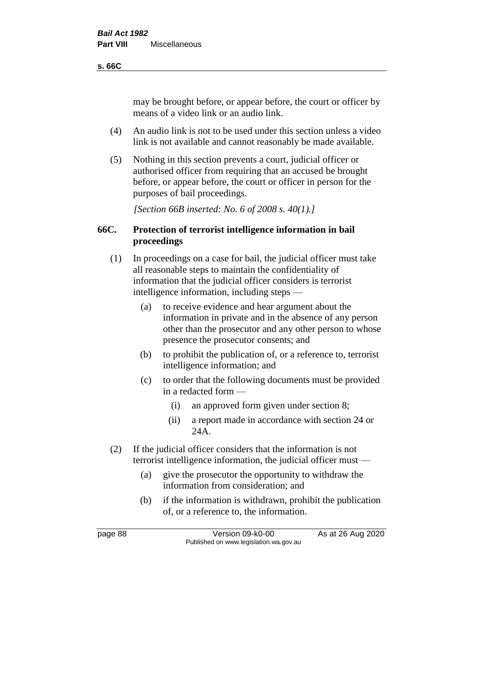#### **s. 66C**

may be brought before, or appear before, the court or officer by means of a video link or an audio link.

- (4) An audio link is not to be used under this section unless a video link is not available and cannot reasonably be made available.
- (5) Nothing in this section prevents a court, judicial officer or authorised officer from requiring that an accused be brought before, or appear before, the court or officer in person for the purposes of bail proceedings.

*[Section 66B inserted: No. 6 of 2008 s. 40(1).]*

## **66C. Protection of terrorist intelligence information in bail proceedings**

- (1) In proceedings on a case for bail, the judicial officer must take all reasonable steps to maintain the confidentiality of information that the judicial officer considers is terrorist intelligence information, including steps —
	- (a) to receive evidence and hear argument about the information in private and in the absence of any person other than the prosecutor and any other person to whose presence the prosecutor consents; and
	- (b) to prohibit the publication of, or a reference to, terrorist intelligence information; and
	- (c) to order that the following documents must be provided in a redacted form —
		- (i) an approved form given under section 8;
		- (ii) a report made in accordance with section 24 or 24A.
- (2) If the judicial officer considers that the information is not terrorist intelligence information, the judicial officer must —
	- (a) give the prosecutor the opportunity to withdraw the information from consideration; and
	- (b) if the information is withdrawn, prohibit the publication of, or a reference to, the information.

page 88 Version 09-k0-00 As at 26 Aug 2020 Published on www.legislation.wa.gov.au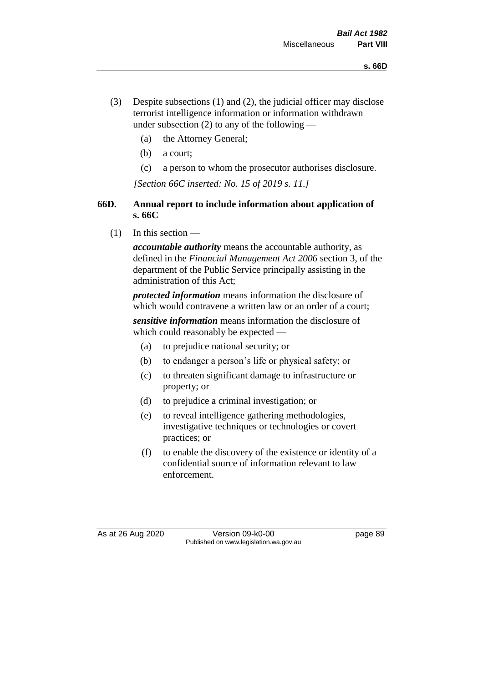- (3) Despite subsections (1) and (2), the judicial officer may disclose terrorist intelligence information or information withdrawn under subsection  $(2)$  to any of the following —
	- (a) the Attorney General;
	- (b) a court;
	- (c) a person to whom the prosecutor authorises disclosure.

*[Section 66C inserted: No. 15 of 2019 s. 11.]*

## **66D. Annual report to include information about application of s. 66C**

 $(1)$  In this section —

*accountable authority* means the accountable authority, as defined in the *Financial Management Act 2006* section 3, of the department of the Public Service principally assisting in the administration of this Act;

*protected information* means information the disclosure of which would contravene a written law or an order of a court;

*sensitive information* means information the disclosure of which could reasonably be expected —

- (a) to prejudice national security; or
- (b) to endanger a person's life or physical safety; or
- (c) to threaten significant damage to infrastructure or property; or
- (d) to prejudice a criminal investigation; or
- (e) to reveal intelligence gathering methodologies, investigative techniques or technologies or covert practices; or
- (f) to enable the discovery of the existence or identity of a confidential source of information relevant to law enforcement.

As at 26 Aug 2020 Version 09-k0-00 page 89 Published on www.legislation.wa.gov.au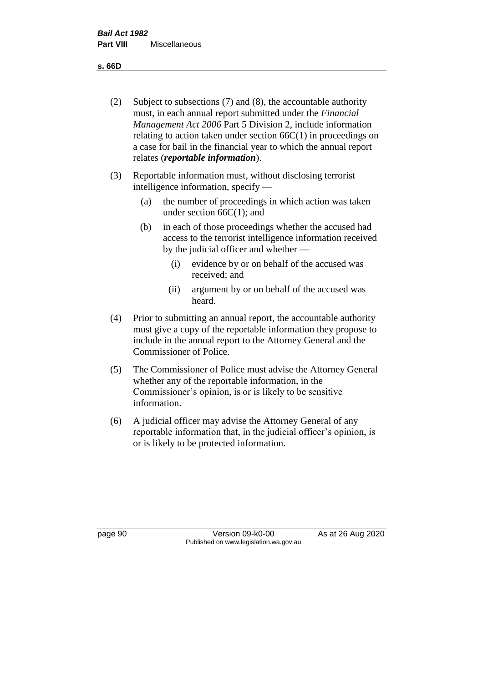**s. 66D**

- (2) Subject to subsections (7) and (8), the accountable authority must, in each annual report submitted under the *Financial Management Act 2006* Part 5 Division 2, include information relating to action taken under section  $66C(1)$  in proceedings on a case for bail in the financial year to which the annual report relates (*reportable information*).
- (3) Reportable information must, without disclosing terrorist intelligence information, specify —
	- (a) the number of proceedings in which action was taken under section  $66C(1)$ ; and
	- (b) in each of those proceedings whether the accused had access to the terrorist intelligence information received by the judicial officer and whether —
		- (i) evidence by or on behalf of the accused was received; and
		- (ii) argument by or on behalf of the accused was heard.
- (4) Prior to submitting an annual report, the accountable authority must give a copy of the reportable information they propose to include in the annual report to the Attorney General and the Commissioner of Police.
- (5) The Commissioner of Police must advise the Attorney General whether any of the reportable information, in the Commissioner's opinion, is or is likely to be sensitive information.
- (6) A judicial officer may advise the Attorney General of any reportable information that, in the judicial officer's opinion, is or is likely to be protected information.

page 90 Version 09-k0-00 As at 26 Aug 2020 Published on www.legislation.wa.gov.au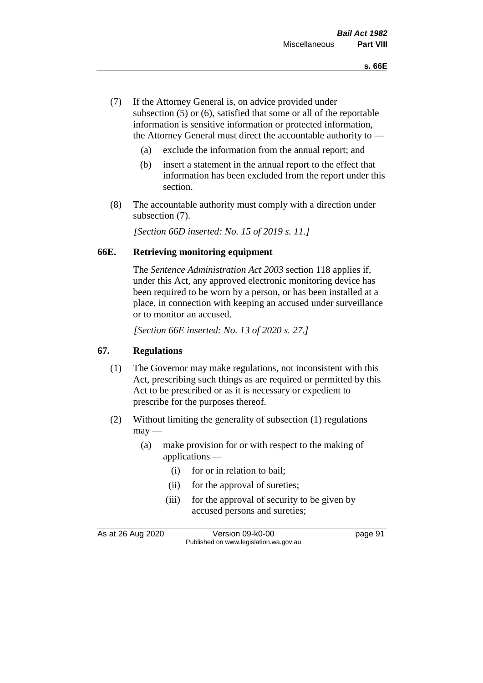- (7) If the Attorney General is, on advice provided under subsection (5) or (6), satisfied that some or all of the reportable information is sensitive information or protected information, the Attorney General must direct the accountable authority to —
	- (a) exclude the information from the annual report; and
	- (b) insert a statement in the annual report to the effect that information has been excluded from the report under this section.
- (8) The accountable authority must comply with a direction under subsection (7).

*[Section 66D inserted: No. 15 of 2019 s. 11.]*

#### **66E. Retrieving monitoring equipment**

The *Sentence Administration Act 2003* section 118 applies if, under this Act, any approved electronic monitoring device has been required to be worn by a person, or has been installed at a place, in connection with keeping an accused under surveillance or to monitor an accused.

*[Section 66E inserted: No. 13 of 2020 s. 27.]*

## **67. Regulations**

- (1) The Governor may make regulations, not inconsistent with this Act, prescribing such things as are required or permitted by this Act to be prescribed or as it is necessary or expedient to prescribe for the purposes thereof.
- (2) Without limiting the generality of subsection (1) regulations  $may$ —
	- (a) make provision for or with respect to the making of applications —
		- (i) for or in relation to bail;
		- (ii) for the approval of sureties;
		- (iii) for the approval of security to be given by accused persons and sureties;

As at 26 Aug 2020 Version 09-k0-00 page 91 Published on www.legislation.wa.gov.au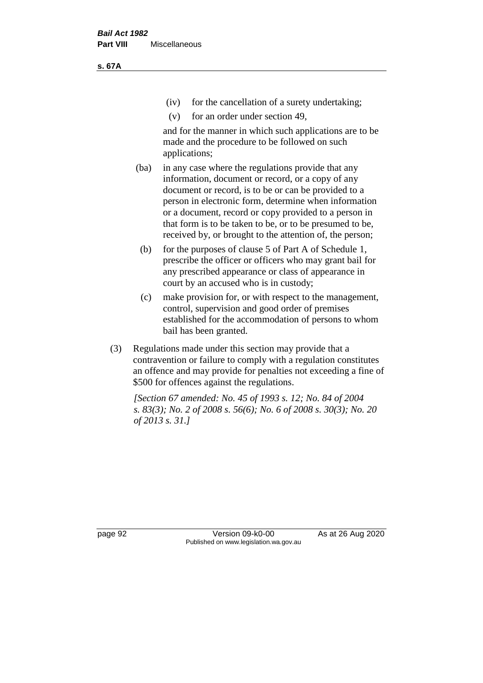(iv) for the cancellation of a surety undertaking;

(v) for an order under section 49,

and for the manner in which such applications are to be made and the procedure to be followed on such applications;

- (ba) in any case where the regulations provide that any information, document or record, or a copy of any document or record, is to be or can be provided to a person in electronic form, determine when information or a document, record or copy provided to a person in that form is to be taken to be, or to be presumed to be, received by, or brought to the attention of, the person;
	- (b) for the purposes of clause 5 of Part A of Schedule 1, prescribe the officer or officers who may grant bail for any prescribed appearance or class of appearance in court by an accused who is in custody;
	- (c) make provision for, or with respect to the management, control, supervision and good order of premises established for the accommodation of persons to whom bail has been granted.
- (3) Regulations made under this section may provide that a contravention or failure to comply with a regulation constitutes an offence and may provide for penalties not exceeding a fine of \$500 for offences against the regulations.

*[Section 67 amended: No. 45 of 1993 s. 12; No. 84 of 2004 s. 83(3); No. 2 of 2008 s. 56(6); No. 6 of 2008 s. 30(3); No. 20 of 2013 s. 31.]* 

page 92 Version 09-k0-00 As at 26 Aug 2020 Published on www.legislation.wa.gov.au

**s. 67A**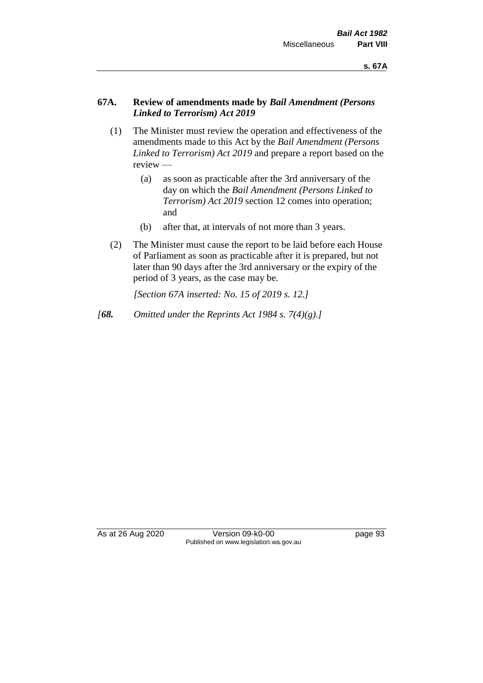## **67A. Review of amendments made by** *Bail Amendment (Persons Linked to Terrorism) Act 2019*

- (1) The Minister must review the operation and effectiveness of the amendments made to this Act by the *Bail Amendment (Persons Linked to Terrorism) Act 2019* and prepare a report based on the review —
	- (a) as soon as practicable after the 3rd anniversary of the day on which the *Bail Amendment (Persons Linked to Terrorism) Act 2019* section 12 comes into operation; and
	- (b) after that, at intervals of not more than 3 years.
- (2) The Minister must cause the report to be laid before each House of Parliament as soon as practicable after it is prepared, but not later than 90 days after the 3rd anniversary or the expiry of the period of 3 years, as the case may be.

*[Section 67A inserted: No. 15 of 2019 s. 12.]*

*[68. Omitted under the Reprints Act 1984 s. 7(4)(g).]*

As at 26 Aug 2020 Version 09-k0-00 page 93 Published on www.legislation.wa.gov.au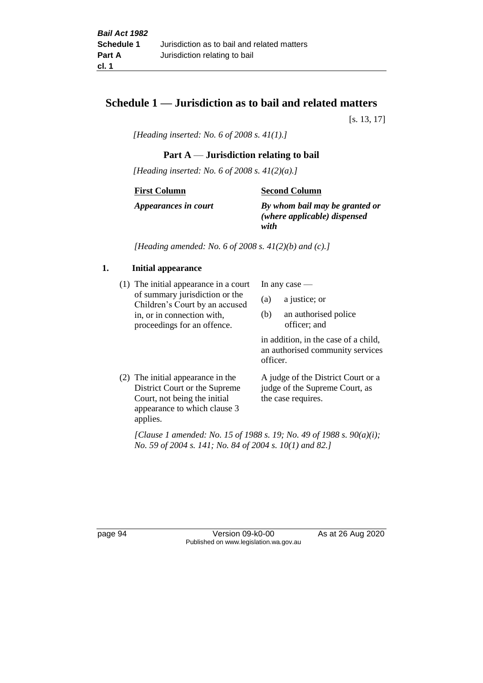## **Schedule 1 — Jurisdiction as to bail and related matters**

[s. 13, 17]

*[Heading inserted: No. 6 of 2008 s. 41(1).]*

## **Part A** — **Jurisdiction relating to bail**

*[Heading inserted: No. 6 of 2008 s. 41(2)(a).]*

**First Column**

**Second Column**

*Appearances in court*

*By whom bail may be granted or (where applicable) dispensed* 

*with*

*[Heading amended: No. 6 of 2008 s. 41(2)(b) and (c).]*

## **1. Initial appearance**

(1) The initial appearance in a court of summary jurisdiction or the Children's Court by an accused in, or in connection with, proceedings for an offence.

In any case —

- (a) a justice; or
- (b) an authorised police officer; and

in addition, in the case of a child, an authorised community services officer.

(2) The initial appearance in the District Court or the Supreme Court, not being the initial appearance to which clause 3 applies. A judge of the District Court or a judge of the Supreme Court, as the case requires.

*[Clause 1 amended: No. 15 of 1988 s. 19; No. 49 of 1988 s. 90(a)(i); No. 59 of 2004 s. 141; No. 84 of 2004 s. 10(1) and 82.]*

page 94 Version 09-k0-00 As at 26 Aug 2020 Published on www.legislation.wa.gov.au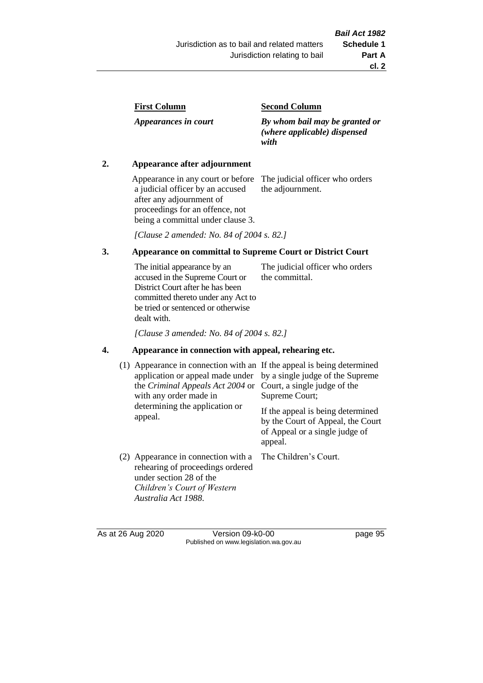| <b>First Column</b> |
|---------------------|
|---------------------|

*Appearances in court*

#### **Second Column**

*By whom bail may be granted or (where applicable) dispensed with*

## **2. Appearance after adjournment**

Appearance in any court or before a judicial officer by an accused after any adjournment of proceedings for an offence, not being a committal under clause 3.

The judicial officer who orders the adjournment.

*[Clause 2 amended: No. 84 of 2004 s. 82.]*

## **3. Appearance on committal to Supreme Court or District Court**

The initial appearance by an accused in the Supreme Court or District Court after he has been committed thereto under any Act to be tried or sentenced or otherwise dealt with. The judicial officer who orders the committal.

*[Clause 3 amended: No. 84 of 2004 s. 82.]*

## **4. Appearance in connection with appeal, rehearing etc.**

| (1) Appearance in connection with an If the appeal is being determined<br>application or appeal made under<br>the Criminal Appeals Act 2004 or<br>with any order made in<br>determining the application or<br>appeal. | by a single judge of the Supreme<br>Court, a single judge of the<br>Supreme Court;<br>If the appeal is being determined<br>by the Court of Appeal, the Court<br>of Appeal or a single judge of<br>appeal. |
|-----------------------------------------------------------------------------------------------------------------------------------------------------------------------------------------------------------------------|-----------------------------------------------------------------------------------------------------------------------------------------------------------------------------------------------------------|
| (2) Appearance in connection with a<br>rehearing of proceedings ordered<br>under section 28 of the<br>Children's Court of Western<br>Australia Act 1988.                                                              | The Children's Court.                                                                                                                                                                                     |

As at 26 Aug 2020 Version 09-k0-00 page 95 Published on www.legislation.wa.gov.au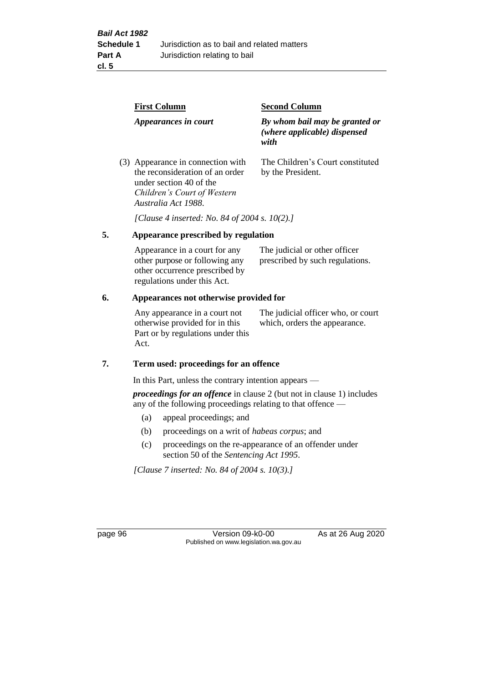|    | <b>First Column</b>                                                                                                                                   | <b>Second Column</b>                                                   |  |
|----|-------------------------------------------------------------------------------------------------------------------------------------------------------|------------------------------------------------------------------------|--|
|    | Appearances in court                                                                                                                                  | By whom bail may be granted or<br>(where applicable) dispensed<br>with |  |
|    | (3) Appearance in connection with<br>the reconsideration of an order<br>under section 40 of the<br>Children's Court of Western<br>Australia Act 1988. | The Children's Court constituted<br>by the President.                  |  |
|    | [Clause 4 inserted: No. 84 of 2004 s. 10(2).]                                                                                                         |                                                                        |  |
| 5. | Appearance prescribed by regulation                                                                                                                   |                                                                        |  |
|    | Appearance in a court for any<br>other purpose or following any<br>other occurrence prescribed by                                                     | The judicial or other officer<br>prescribed by such regulations.       |  |

#### **6. Appearances not otherwise provided for**

regulations under this Act.

Any appearance in a court not otherwise provided for in this Part or by regulations under this Act.

The judicial officer who, or court which, orders the appearance.

#### **7. Term used: proceedings for an offence**

In this Part, unless the contrary intention appears —

*proceedings for an offence* in clause 2 (but not in clause 1) includes any of the following proceedings relating to that offence —

- (a) appeal proceedings; and
- (b) proceedings on a writ of *habeas corpus*; and
- (c) proceedings on the re-appearance of an offender under section 50 of the *Sentencing Act 1995*.

*[Clause 7 inserted: No. 84 of 2004 s. 10(3).]*

page 96 Version 09-k0-00 As at 26 Aug 2020 Published on www.legislation.wa.gov.au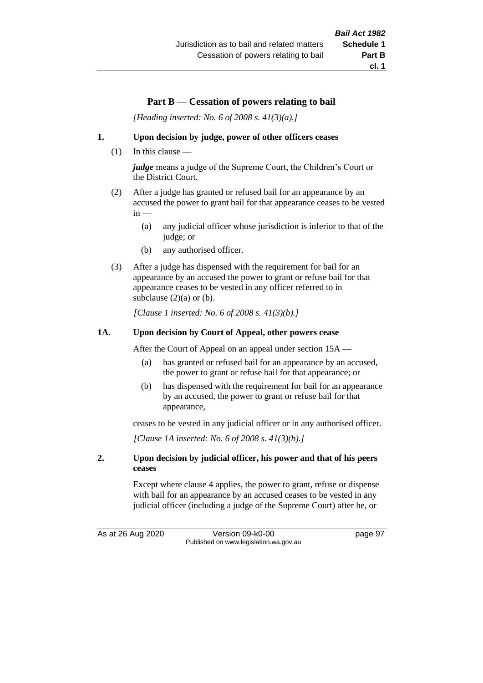# **Part B** — **Cessation of powers relating to bail**

*[Heading inserted: No. 6 of 2008 s. 41(3)(a).]*

#### **1. Upon decision by judge, power of other officers ceases**

(1) In this clause —

*judge* means a judge of the Supreme Court, the Children's Court or the District Court.

- (2) After a judge has granted or refused bail for an appearance by an accused the power to grant bail for that appearance ceases to be vested  $in -$ 
	- (a) any judicial officer whose jurisdiction is inferior to that of the judge; or
	- (b) any authorised officer.
- (3) After a judge has dispensed with the requirement for bail for an appearance by an accused the power to grant or refuse bail for that appearance ceases to be vested in any officer referred to in subclause  $(2)(a)$  or  $(b)$ .

*[Clause 1 inserted: No. 6 of 2008 s. 41(3)(b).]*

#### **1A. Upon decision by Court of Appeal, other powers cease**

After the Court of Appeal on an appeal under section 15A —

- (a) has granted or refused bail for an appearance by an accused, the power to grant or refuse bail for that appearance; or
- (b) has dispensed with the requirement for bail for an appearance by an accused, the power to grant or refuse bail for that appearance,

ceases to be vested in any judicial officer or in any authorised officer.

*[Clause 1A inserted: No. 6 of 2008 s. 41(3)(b).]*

#### **2. Upon decision by judicial officer, his power and that of his peers ceases**

Except where clause 4 applies, the power to grant, refuse or dispense with bail for an appearance by an accused ceases to be vested in any judicial officer (including a judge of the Supreme Court) after he, or

As at 26 Aug 2020 Version 09-k0-00 page 97 Published on www.legislation.wa.gov.au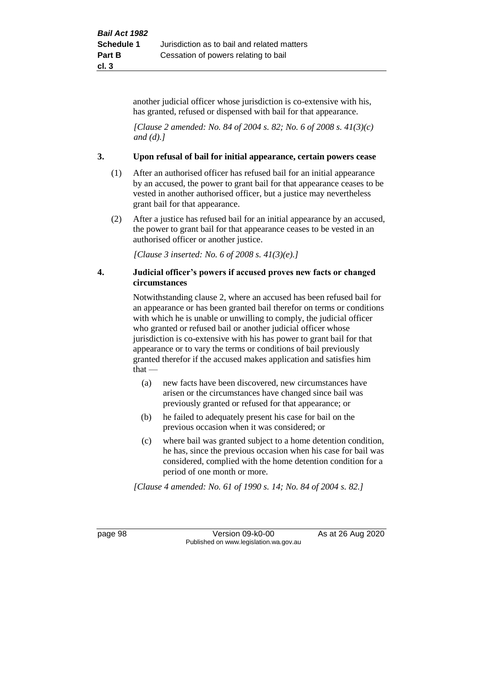another judicial officer whose jurisdiction is co-extensive with his, has granted, refused or dispensed with bail for that appearance.

*[Clause 2 amended: No. 84 of 2004 s. 82; No. 6 of 2008 s. 41(3)(c) and (d).]*

#### **3. Upon refusal of bail for initial appearance, certain powers cease**

- (1) After an authorised officer has refused bail for an initial appearance by an accused, the power to grant bail for that appearance ceases to be vested in another authorised officer, but a justice may nevertheless grant bail for that appearance.
- (2) After a justice has refused bail for an initial appearance by an accused, the power to grant bail for that appearance ceases to be vested in an authorised officer or another justice.

*[Clause 3 inserted: No. 6 of 2008 s. 41(3)(e).]*

#### **4. Judicial officer's powers if accused proves new facts or changed circumstances**

Notwithstanding clause 2, where an accused has been refused bail for an appearance or has been granted bail therefor on terms or conditions with which he is unable or unwilling to comply, the judicial officer who granted or refused bail or another judicial officer whose jurisdiction is co-extensive with his has power to grant bail for that appearance or to vary the terms or conditions of bail previously granted therefor if the accused makes application and satisfies him  $that -$ 

- (a) new facts have been discovered, new circumstances have arisen or the circumstances have changed since bail was previously granted or refused for that appearance; or
- (b) he failed to adequately present his case for bail on the previous occasion when it was considered; or
- (c) where bail was granted subject to a home detention condition, he has, since the previous occasion when his case for bail was considered, complied with the home detention condition for a period of one month or more.

*[Clause 4 amended: No. 61 of 1990 s. 14; No. 84 of 2004 s. 82.]*

page 98 Version 09-k0-00 As at 26 Aug 2020 Published on www.legislation.wa.gov.au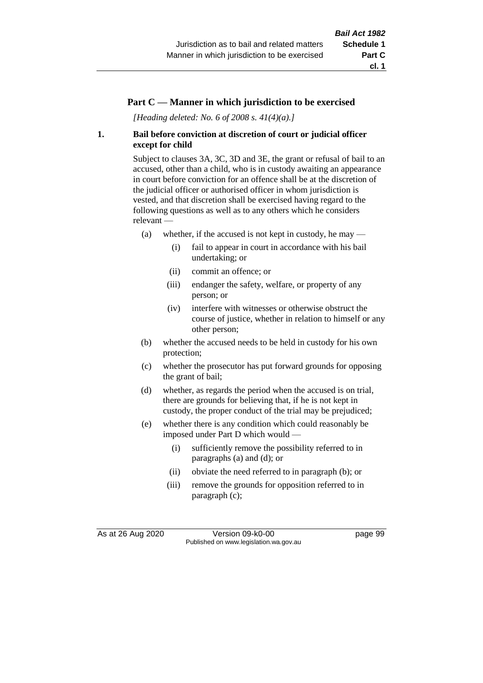# **Part C — Manner in which jurisdiction to be exercised**

*[Heading deleted: No. 6 of 2008 s. 41(4)(a).]*

# **1. Bail before conviction at discretion of court or judicial officer except for child**

Subject to clauses 3A, 3C, 3D and 3E, the grant or refusal of bail to an accused, other than a child, who is in custody awaiting an appearance in court before conviction for an offence shall be at the discretion of the judicial officer or authorised officer in whom jurisdiction is vested, and that discretion shall be exercised having regard to the following questions as well as to any others which he considers relevant —

- (a) whether, if the accused is not kept in custody, he may  $-$ 
	- (i) fail to appear in court in accordance with his bail undertaking; or
	- (ii) commit an offence; or
	- (iii) endanger the safety, welfare, or property of any person; or
	- (iv) interfere with witnesses or otherwise obstruct the course of justice, whether in relation to himself or any other person;
- (b) whether the accused needs to be held in custody for his own protection;
- (c) whether the prosecutor has put forward grounds for opposing the grant of bail;
- (d) whether, as regards the period when the accused is on trial, there are grounds for believing that, if he is not kept in custody, the proper conduct of the trial may be prejudiced;
- (e) whether there is any condition which could reasonably be imposed under Part D which would —
	- (i) sufficiently remove the possibility referred to in paragraphs (a) and (d); or
	- (ii) obviate the need referred to in paragraph (b); or
	- (iii) remove the grounds for opposition referred to in paragraph (c);

As at 26 Aug 2020 Version 09-k0-00 page 99 Published on www.legislation.wa.gov.au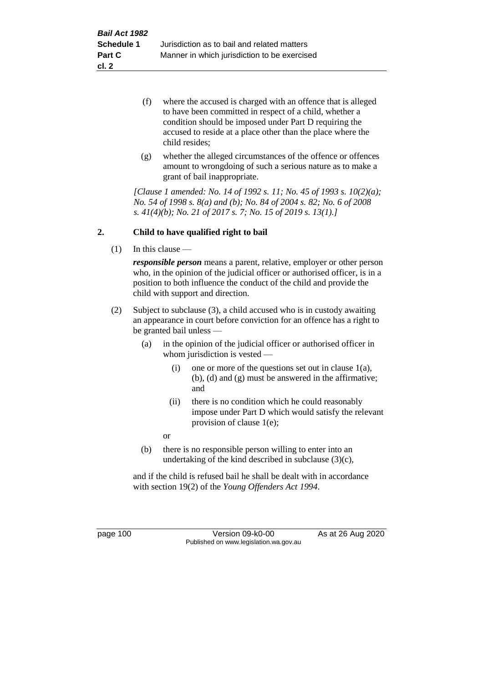- (f) where the accused is charged with an offence that is alleged to have been committed in respect of a child, whether a condition should be imposed under Part D requiring the accused to reside at a place other than the place where the child resides;
- (g) whether the alleged circumstances of the offence or offences amount to wrongdoing of such a serious nature as to make a grant of bail inappropriate.

*[Clause 1 amended: No. 14 of 1992 s. 11; No. 45 of 1993 s. 10(2)(a); No. 54 of 1998 s. 8(a) and (b); No. 84 of 2004 s. 82; No. 6 of 2008 s. 41(4)(b); No. 21 of 2017 s. 7; No. 15 of 2019 s. 13(1).]*

# **2. Child to have qualified right to bail**

(1) In this clause —

*responsible person* means a parent, relative, employer or other person who, in the opinion of the judicial officer or authorised officer, is in a position to both influence the conduct of the child and provide the child with support and direction.

- (2) Subject to subclause (3), a child accused who is in custody awaiting an appearance in court before conviction for an offence has a right to be granted bail unless —
	- (a) in the opinion of the judicial officer or authorised officer in whom jurisdiction is vested —
		- (i) one or more of the questions set out in clause  $1(a)$ , (b), (d) and (g) must be answered in the affirmative; and
		- (ii) there is no condition which he could reasonably impose under Part D which would satisfy the relevant provision of clause 1(e);

or

(b) there is no responsible person willing to enter into an undertaking of the kind described in subclause (3)(c),

and if the child is refused bail he shall be dealt with in accordance with section 19(2) of the *Young Offenders Act 1994*.

page 100 Version 09-k0-00 As at 26 Aug 2020 Published on www.legislation.wa.gov.au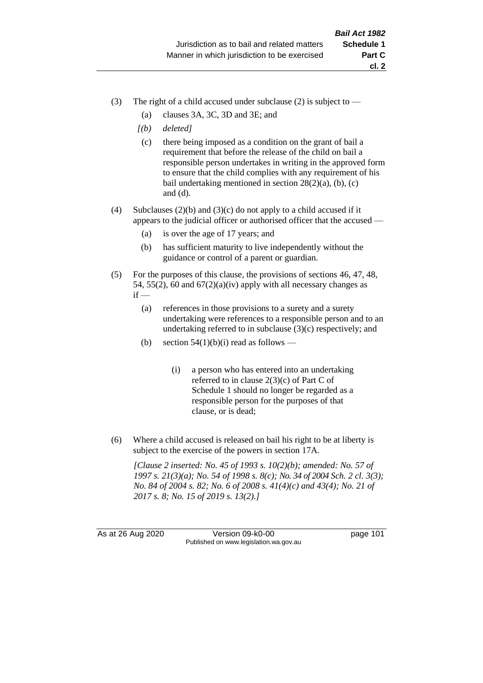- (3) The right of a child accused under subclause (2) is subject to  $-$ 
	- (a) clauses 3A, 3C, 3D and 3E; and
	- *[(b) deleted]*
	- (c) there being imposed as a condition on the grant of bail a requirement that before the release of the child on bail a responsible person undertakes in writing in the approved form to ensure that the child complies with any requirement of his bail undertaking mentioned in section  $28(2)(a)$ , (b), (c) and (d).
- (4) Subclauses (2)(b) and (3)(c) do not apply to a child accused if it appears to the judicial officer or authorised officer that the accused —
	- (a) is over the age of 17 years; and
	- (b) has sufficient maturity to live independently without the guidance or control of a parent or guardian.
- (5) For the purposes of this clause, the provisions of sections 46, 47, 48, 54, 55(2), 60 and  $67(2)(a)(iv)$  apply with all necessary changes as  $if -$ 
	- (a) references in those provisions to a surety and a surety undertaking were references to a responsible person and to an undertaking referred to in subclause (3)(c) respectively; and
	- (b) section  $54(1)(b)(i)$  read as follows
		- (i) a person who has entered into an undertaking referred to in clause 2(3)(c) of Part C of Schedule 1 should no longer be regarded as a responsible person for the purposes of that clause, or is dead;
- (6) Where a child accused is released on bail his right to be at liberty is subject to the exercise of the powers in section 17A.

*[Clause 2 inserted: No. 45 of 1993 s. 10(2)(b); amended: No. 57 of 1997 s. 21(3)(a); No. 54 of 1998 s. 8(c); No. 34 of 2004 Sch. 2 cl. 3(3); No. 84 of 2004 s. 82; No. 6 of 2008 s. 41(4)(c) and 43(4); No. 21 of 2017 s. 8; No. 15 of 2019 s. 13(2).]*

As at 26 Aug 2020 Version 09-k0-00 page 101 Published on www.legislation.wa.gov.au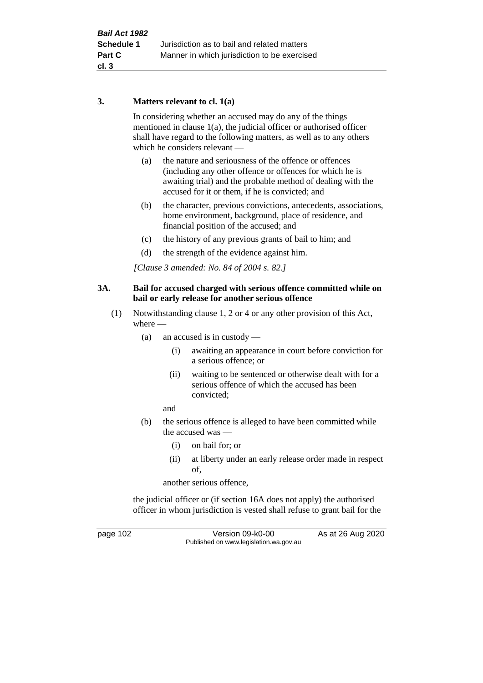# **3. Matters relevant to cl. 1(a)**

In considering whether an accused may do any of the things mentioned in clause 1(a), the judicial officer or authorised officer shall have regard to the following matters, as well as to any others which he considers relevant —

- (a) the nature and seriousness of the offence or offences (including any other offence or offences for which he is awaiting trial) and the probable method of dealing with the accused for it or them, if he is convicted; and
- (b) the character, previous convictions, antecedents, associations, home environment, background, place of residence, and financial position of the accused; and
- (c) the history of any previous grants of bail to him; and
- (d) the strength of the evidence against him.

*[Clause 3 amended: No. 84 of 2004 s. 82.]*

### **3A. Bail for accused charged with serious offence committed while on bail or early release for another serious offence**

- (1) Notwithstanding clause 1, 2 or 4 or any other provision of this Act, where —
	- (a) an accused is in custody
		- (i) awaiting an appearance in court before conviction for a serious offence; or
		- (ii) waiting to be sentenced or otherwise dealt with for a serious offence of which the accused has been convicted;

and

- (b) the serious offence is alleged to have been committed while the accused was —
	- (i) on bail for; or
	- (ii) at liberty under an early release order made in respect of,

another serious offence,

the judicial officer or (if section 16A does not apply) the authorised officer in whom jurisdiction is vested shall refuse to grant bail for the

page 102 Version 09-k0-00 As at 26 Aug 2020 Published on www.legislation.wa.gov.au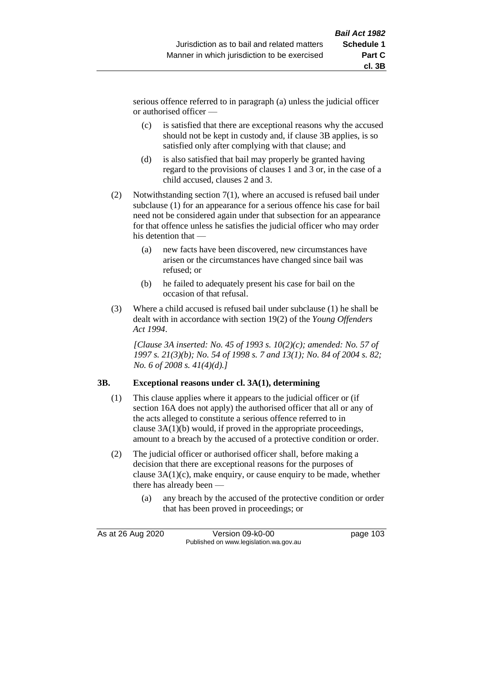serious offence referred to in paragraph (a) unless the judicial officer or authorised officer —

- (c) is satisfied that there are exceptional reasons why the accused should not be kept in custody and, if clause 3B applies, is so satisfied only after complying with that clause; and
- (d) is also satisfied that bail may properly be granted having regard to the provisions of clauses 1 and 3 or, in the case of a child accused, clauses 2 and 3.
- (2) Notwithstanding section 7(1), where an accused is refused bail under subclause (1) for an appearance for a serious offence his case for bail need not be considered again under that subsection for an appearance for that offence unless he satisfies the judicial officer who may order his detention that —
	- (a) new facts have been discovered, new circumstances have arisen or the circumstances have changed since bail was refused; or
	- (b) he failed to adequately present his case for bail on the occasion of that refusal.
- (3) Where a child accused is refused bail under subclause (1) he shall be dealt with in accordance with section 19(2) of the *Young Offenders Act 1994*.

*[Clause 3A inserted: No. 45 of 1993 s. 10(2)(c); amended: No. 57 of 1997 s. 21(3)(b); No. 54 of 1998 s. 7 and 13(1); No. 84 of 2004 s. 82; No. 6 of 2008 s. 41(4)(d).]*

# **3B. Exceptional reasons under cl. 3A(1), determining**

- (1) This clause applies where it appears to the judicial officer or (if section 16A does not apply) the authorised officer that all or any of the acts alleged to constitute a serious offence referred to in clause 3A(1)(b) would, if proved in the appropriate proceedings, amount to a breach by the accused of a protective condition or order.
- (2) The judicial officer or authorised officer shall, before making a decision that there are exceptional reasons for the purposes of clause 3A(1)(c), make enquiry, or cause enquiry to be made, whether there has already been —
	- (a) any breach by the accused of the protective condition or order that has been proved in proceedings; or

As at 26 Aug 2020 Version 09-k0-00 page 103 Published on www.legislation.wa.gov.au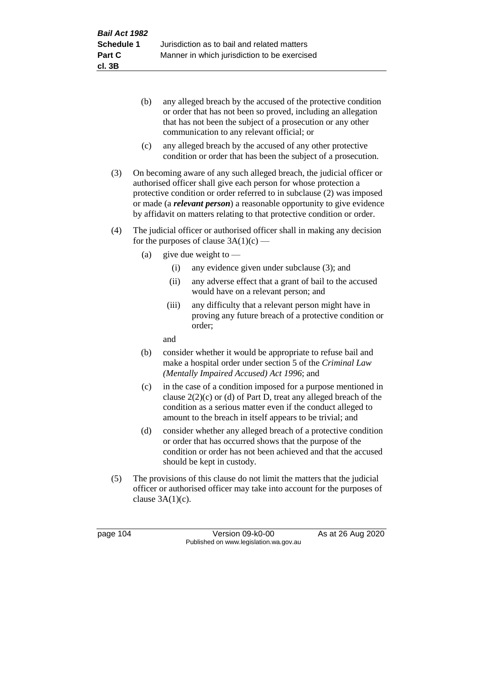- (b) any alleged breach by the accused of the protective condition or order that has not been so proved, including an allegation that has not been the subject of a prosecution or any other communication to any relevant official; or
- (c) any alleged breach by the accused of any other protective condition or order that has been the subject of a prosecution.
- (3) On becoming aware of any such alleged breach, the judicial officer or authorised officer shall give each person for whose protection a protective condition or order referred to in subclause (2) was imposed or made (a *relevant person*) a reasonable opportunity to give evidence by affidavit on matters relating to that protective condition or order.
- (4) The judicial officer or authorised officer shall in making any decision for the purposes of clause  $3A(1)(c)$  —
	- (a) give due weight to  $-$ 
		- (i) any evidence given under subclause (3); and
		- (ii) any adverse effect that a grant of bail to the accused would have on a relevant person; and
		- (iii) any difficulty that a relevant person might have in proving any future breach of a protective condition or order;

and

- (b) consider whether it would be appropriate to refuse bail and make a hospital order under section 5 of the *Criminal Law (Mentally Impaired Accused) Act 1996*; and
- (c) in the case of a condition imposed for a purpose mentioned in clause  $2(2)(c)$  or (d) of Part D, treat any alleged breach of the condition as a serious matter even if the conduct alleged to amount to the breach in itself appears to be trivial; and
- (d) consider whether any alleged breach of a protective condition or order that has occurred shows that the purpose of the condition or order has not been achieved and that the accused should be kept in custody.
- (5) The provisions of this clause do not limit the matters that the judicial officer or authorised officer may take into account for the purposes of clause  $3A(1)(c)$ .

page 104 Version 09-k0-00 As at 26 Aug 2020 Published on www.legislation.wa.gov.au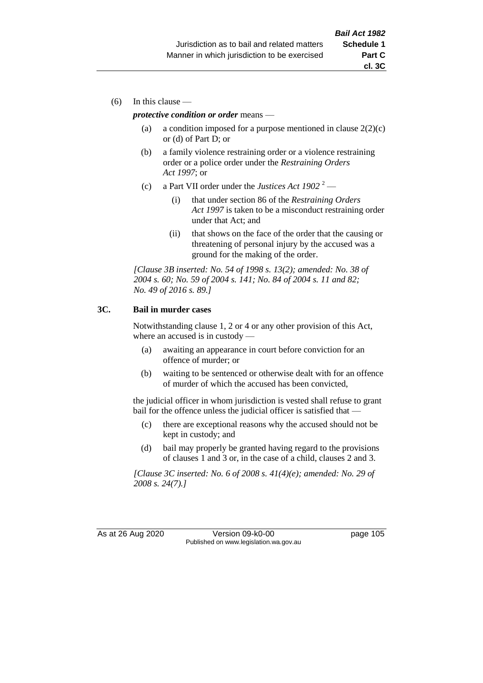(6) In this clause —

#### *protective condition or order* means —

- (a) a condition imposed for a purpose mentioned in clause  $2(2)(c)$ or (d) of Part D; or
- (b) a family violence restraining order or a violence restraining order or a police order under the *Restraining Orders Act 1997*; or
- (c) a Part VII order under the *Justices Act 1902* <sup>2</sup>
	- (i) that under section 86 of the *Restraining Orders Act 1997* is taken to be a misconduct restraining order under that Act; and
	- (ii) that shows on the face of the order that the causing or threatening of personal injury by the accused was a ground for the making of the order.

*[Clause 3B inserted: No. 54 of 1998 s. 13(2); amended: No. 38 of 2004 s. 60; No. 59 of 2004 s. 141; No. 84 of 2004 s. 11 and 82; No. 49 of 2016 s. 89.]*

### **3C. Bail in murder cases**

Notwithstanding clause 1, 2 or 4 or any other provision of this Act, where an accused is in custody —

- (a) awaiting an appearance in court before conviction for an offence of murder; or
- (b) waiting to be sentenced or otherwise dealt with for an offence of murder of which the accused has been convicted,

the judicial officer in whom jurisdiction is vested shall refuse to grant bail for the offence unless the judicial officer is satisfied that —

- (c) there are exceptional reasons why the accused should not be kept in custody; and
- (d) bail may properly be granted having regard to the provisions of clauses 1 and 3 or, in the case of a child, clauses 2 and 3.

*[Clause 3C inserted: No. 6 of 2008 s. 41(4)(e); amended: No. 29 of 2008 s. 24(7).]*

As at 26 Aug 2020 Version 09-k0-00 page 105 Published on www.legislation.wa.gov.au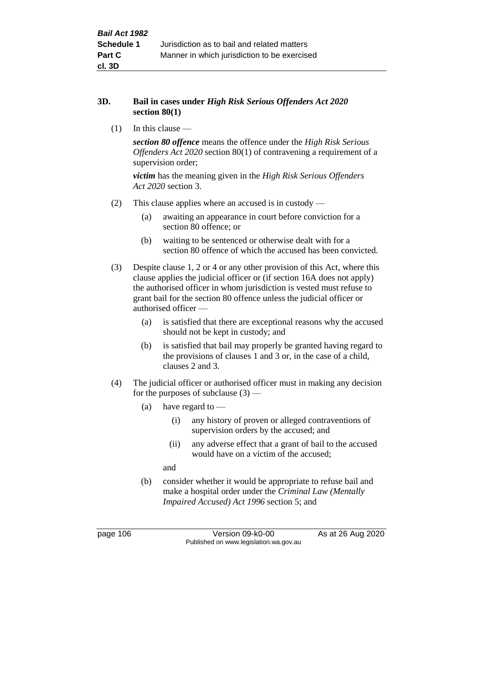#### **3D. Bail in cases under** *High Risk Serious Offenders Act 2020* **section 80(1)**

(1) In this clause —

*section 80 offence* means the offence under the *High Risk Serious Offenders Act 2020* section 80(1) of contravening a requirement of a supervision order;

*victim* has the meaning given in the *High Risk Serious Offenders Act 2020* section 3.

- (2) This clause applies where an accused is in custody
	- (a) awaiting an appearance in court before conviction for a section 80 offence; or
	- (b) waiting to be sentenced or otherwise dealt with for a section 80 offence of which the accused has been convicted.
- (3) Despite clause 1, 2 or 4 or any other provision of this Act, where this clause applies the judicial officer or (if section 16A does not apply) the authorised officer in whom jurisdiction is vested must refuse to grant bail for the section 80 offence unless the judicial officer or authorised officer —
	- (a) is satisfied that there are exceptional reasons why the accused should not be kept in custody; and
	- (b) is satisfied that bail may properly be granted having regard to the provisions of clauses 1 and 3 or, in the case of a child, clauses 2 and 3.
- (4) The judicial officer or authorised officer must in making any decision for the purposes of subclause  $(3)$  —
	- (a) have regard to
		- (i) any history of proven or alleged contraventions of supervision orders by the accused; and
		- (ii) any adverse effect that a grant of bail to the accused would have on a victim of the accused;

and

(b) consider whether it would be appropriate to refuse bail and make a hospital order under the *Criminal Law (Mentally Impaired Accused) Act 1996* section 5; and

page 106 Version 09-k0-00 As at 26 Aug 2020 Published on www.legislation.wa.gov.au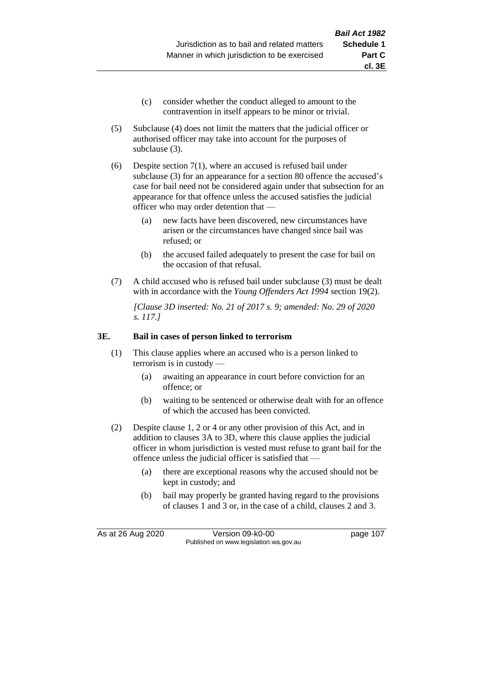- (c) consider whether the conduct alleged to amount to the contravention in itself appears to be minor or trivial.
- (5) Subclause (4) does not limit the matters that the judicial officer or authorised officer may take into account for the purposes of subclause (3).
- (6) Despite section 7(1), where an accused is refused bail under subclause (3) for an appearance for a section 80 offence the accused's case for bail need not be considered again under that subsection for an appearance for that offence unless the accused satisfies the judicial officer who may order detention that —
	- (a) new facts have been discovered, new circumstances have arisen or the circumstances have changed since bail was refused; or
	- (b) the accused failed adequately to present the case for bail on the occasion of that refusal.
- (7) A child accused who is refused bail under subclause (3) must be dealt with in accordance with the *Young Offenders Act 1994* section 19(2).

*[Clause 3D inserted: No. 21 of 2017 s. 9; amended: No. 29 of 2020 s. 117.]*

#### **3E. Bail in cases of person linked to terrorism**

- (1) This clause applies where an accused who is a person linked to terrorism is in custody —
	- (a) awaiting an appearance in court before conviction for an offence; or
	- (b) waiting to be sentenced or otherwise dealt with for an offence of which the accused has been convicted.
- (2) Despite clause 1, 2 or 4 or any other provision of this Act, and in addition to clauses 3A to 3D, where this clause applies the judicial officer in whom jurisdiction is vested must refuse to grant bail for the offence unless the judicial officer is satisfied that —
	- (a) there are exceptional reasons why the accused should not be kept in custody; and
	- (b) bail may properly be granted having regard to the provisions of clauses 1 and 3 or, in the case of a child, clauses 2 and 3.

As at 26 Aug 2020 Version 09-k0-00 page 107 Published on www.legislation.wa.gov.au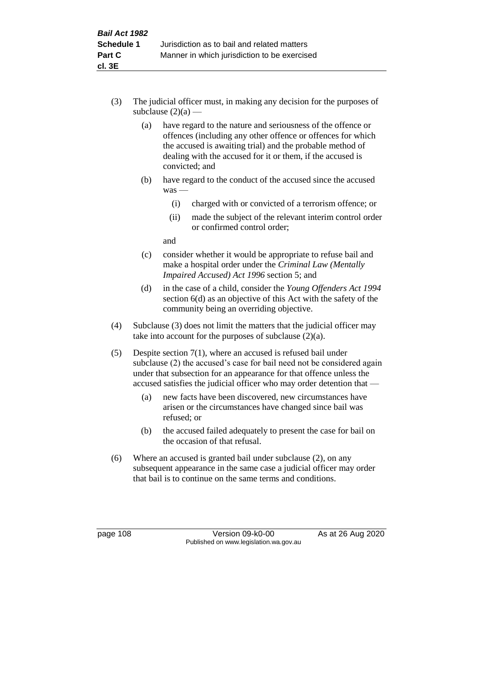- (3) The judicial officer must, in making any decision for the purposes of subclause  $(2)(a)$  —
	- (a) have regard to the nature and seriousness of the offence or offences (including any other offence or offences for which the accused is awaiting trial) and the probable method of dealing with the accused for it or them, if the accused is convicted; and
	- (b) have regard to the conduct of the accused since the accused was —
		- (i) charged with or convicted of a terrorism offence; or
		- (ii) made the subject of the relevant interim control order or confirmed control order;

and

- (c) consider whether it would be appropriate to refuse bail and make a hospital order under the *Criminal Law (Mentally Impaired Accused) Act 1996* section 5; and
- (d) in the case of a child, consider the *Young Offenders Act 1994* section 6(d) as an objective of this Act with the safety of the community being an overriding objective.
- (4) Subclause (3) does not limit the matters that the judicial officer may take into account for the purposes of subclause  $(2)(a)$ .
- (5) Despite section 7(1), where an accused is refused bail under subclause (2) the accused's case for bail need not be considered again under that subsection for an appearance for that offence unless the accused satisfies the judicial officer who may order detention that —
	- (a) new facts have been discovered, new circumstances have arisen or the circumstances have changed since bail was refused; or
	- (b) the accused failed adequately to present the case for bail on the occasion of that refusal.
- (6) Where an accused is granted bail under subclause (2), on any subsequent appearance in the same case a judicial officer may order that bail is to continue on the same terms and conditions.

page 108 Version 09-k0-00 As at 26 Aug 2020 Published on www.legislation.wa.gov.au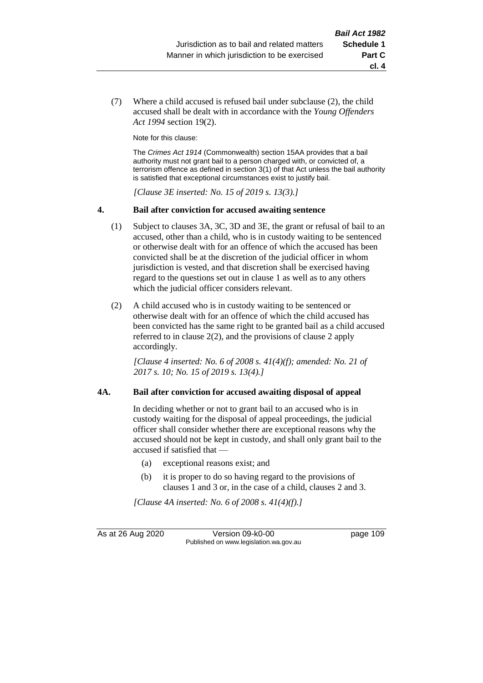(7) Where a child accused is refused bail under subclause (2), the child accused shall be dealt with in accordance with the *Young Offenders Act 1994* section 19(2).

Note for this clause:

The *Crimes Act 1914* (Commonwealth) section 15AA provides that a bail authority must not grant bail to a person charged with, or convicted of, a terrorism offence as defined in section 3(1) of that Act unless the bail authority is satisfied that exceptional circumstances exist to justify bail.

*[Clause 3E inserted: No. 15 of 2019 s. 13(3).]*

#### **4. Bail after conviction for accused awaiting sentence**

- (1) Subject to clauses 3A, 3C, 3D and 3E, the grant or refusal of bail to an accused, other than a child, who is in custody waiting to be sentenced or otherwise dealt with for an offence of which the accused has been convicted shall be at the discretion of the judicial officer in whom jurisdiction is vested, and that discretion shall be exercised having regard to the questions set out in clause 1 as well as to any others which the judicial officer considers relevant.
- (2) A child accused who is in custody waiting to be sentenced or otherwise dealt with for an offence of which the child accused has been convicted has the same right to be granted bail as a child accused referred to in clause 2(2), and the provisions of clause 2 apply accordingly.

*[Clause 4 inserted: No. 6 of 2008 s. 41(4)(f); amended: No. 21 of 2017 s. 10; No. 15 of 2019 s. 13(4).]*

#### **4A. Bail after conviction for accused awaiting disposal of appeal**

In deciding whether or not to grant bail to an accused who is in custody waiting for the disposal of appeal proceedings, the judicial officer shall consider whether there are exceptional reasons why the accused should not be kept in custody, and shall only grant bail to the accused if satisfied that —

- (a) exceptional reasons exist; and
- (b) it is proper to do so having regard to the provisions of clauses 1 and 3 or, in the case of a child, clauses 2 and 3.

*[Clause 4A inserted: No. 6 of 2008 s. 41(4)(f).]*

As at 26 Aug 2020 Version 09-k0-00 Version 09-k0-00 Page 109 Published on www.legislation.wa.gov.au

**cl. 4**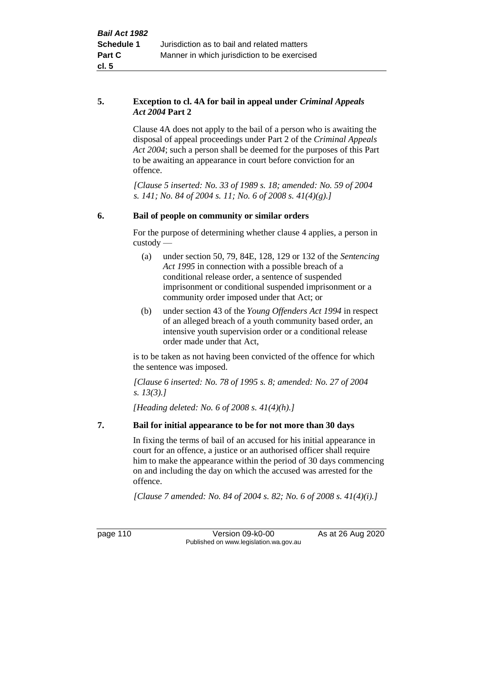### **5. Exception to cl. 4A for bail in appeal under** *Criminal Appeals Act 2004* **Part 2**

Clause 4A does not apply to the bail of a person who is awaiting the disposal of appeal proceedings under Part 2 of the *Criminal Appeals Act 2004*; such a person shall be deemed for the purposes of this Part to be awaiting an appearance in court before conviction for an offence.

*[Clause 5 inserted: No. 33 of 1989 s. 18; amended: No. 59 of 2004 s. 141; No. 84 of 2004 s. 11; No. 6 of 2008 s. 41(4)(g).]*

# **6. Bail of people on community or similar orders**

For the purpose of determining whether clause 4 applies, a person in custody —

- (a) under section 50, 79, 84E, 128, 129 or 132 of the *Sentencing Act 1995* in connection with a possible breach of a conditional release order, a sentence of suspended imprisonment or conditional suspended imprisonment or a community order imposed under that Act; or
- (b) under section 43 of the *Young Offenders Act 1994* in respect of an alleged breach of a youth community based order, an intensive youth supervision order or a conditional release order made under that Act,

is to be taken as not having been convicted of the offence for which the sentence was imposed.

*[Clause 6 inserted: No. 78 of 1995 s. 8; amended: No. 27 of 2004 s. 13(3).]*

*[Heading deleted: No. 6 of 2008 s. 41(4)(h).]*

# **7. Bail for initial appearance to be for not more than 30 days**

In fixing the terms of bail of an accused for his initial appearance in court for an offence, a justice or an authorised officer shall require him to make the appearance within the period of 30 days commencing on and including the day on which the accused was arrested for the offence.

*[Clause 7 amended: No. 84 of 2004 s. 82; No. 6 of 2008 s. 41(4)(i).]*

page 110 Version 09-k0-00 As at 26 Aug 2020 Published on www.legislation.wa.gov.au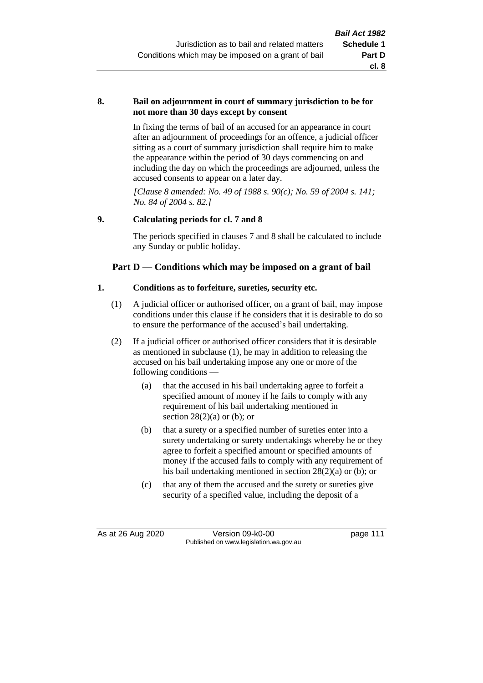#### **8. Bail on adjournment in court of summary jurisdiction to be for not more than 30 days except by consent**

In fixing the terms of bail of an accused for an appearance in court after an adjournment of proceedings for an offence, a judicial officer sitting as a court of summary jurisdiction shall require him to make the appearance within the period of 30 days commencing on and including the day on which the proceedings are adjourned, unless the accused consents to appear on a later day.

*[Clause 8 amended: No. 49 of 1988 s. 90(c); No. 59 of 2004 s. 141; No. 84 of 2004 s. 82.]*

# **9. Calculating periods for cl. 7 and 8**

The periods specified in clauses 7 and 8 shall be calculated to include any Sunday or public holiday.

# **Part D — Conditions which may be imposed on a grant of bail**

#### **1. Conditions as to forfeiture, sureties, security etc.**

- (1) A judicial officer or authorised officer, on a grant of bail, may impose conditions under this clause if he considers that it is desirable to do so to ensure the performance of the accused's bail undertaking.
- (2) If a judicial officer or authorised officer considers that it is desirable as mentioned in subclause (1), he may in addition to releasing the accused on his bail undertaking impose any one or more of the following conditions —
	- (a) that the accused in his bail undertaking agree to forfeit a specified amount of money if he fails to comply with any requirement of his bail undertaking mentioned in section  $28(2)(a)$  or (b); or
	- (b) that a surety or a specified number of sureties enter into a surety undertaking or surety undertakings whereby he or they agree to forfeit a specified amount or specified amounts of money if the accused fails to comply with any requirement of his bail undertaking mentioned in section 28(2)(a) or (b); or
	- (c) that any of them the accused and the surety or sureties give security of a specified value, including the deposit of a

As at 26 Aug 2020 Version 09-k0-00 page 111 Published on www.legislation.wa.gov.au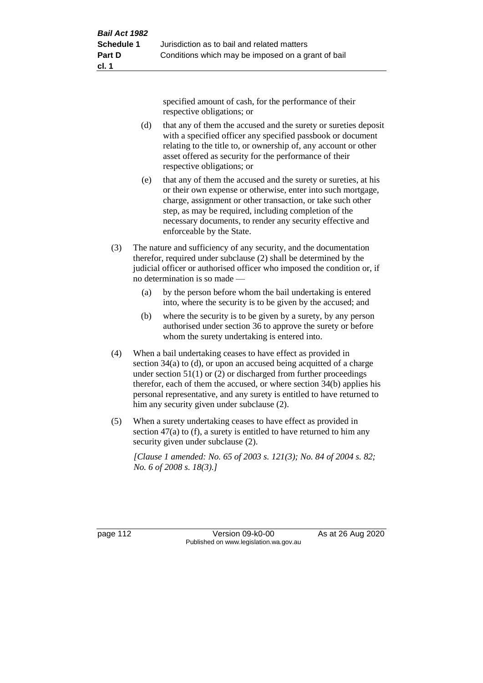specified amount of cash, for the performance of their respective obligations; or

- (d) that any of them the accused and the surety or sureties deposit with a specified officer any specified passbook or document relating to the title to, or ownership of, any account or other asset offered as security for the performance of their respective obligations; or
- (e) that any of them the accused and the surety or sureties, at his or their own expense or otherwise, enter into such mortgage, charge, assignment or other transaction, or take such other step, as may be required, including completion of the necessary documents, to render any security effective and enforceable by the State.
- (3) The nature and sufficiency of any security, and the documentation therefor, required under subclause (2) shall be determined by the judicial officer or authorised officer who imposed the condition or, if no determination is so made —
	- (a) by the person before whom the bail undertaking is entered into, where the security is to be given by the accused; and
	- (b) where the security is to be given by a surety, by any person authorised under section 36 to approve the surety or before whom the surety undertaking is entered into.
- (4) When a bail undertaking ceases to have effect as provided in section 34(a) to (d), or upon an accused being acquitted of a charge under section  $51(1)$  or (2) or discharged from further proceedings therefor, each of them the accused, or where section 34(b) applies his personal representative, and any surety is entitled to have returned to him any security given under subclause (2).
- (5) When a surety undertaking ceases to have effect as provided in section 47(a) to (f), a surety is entitled to have returned to him any security given under subclause  $(2)$ .

*[Clause 1 amended: No. 65 of 2003 s. 121(3); No. 84 of 2004 s. 82; No. 6 of 2008 s. 18(3).]*

page 112 Version 09-k0-00 As at 26 Aug 2020 Published on www.legislation.wa.gov.au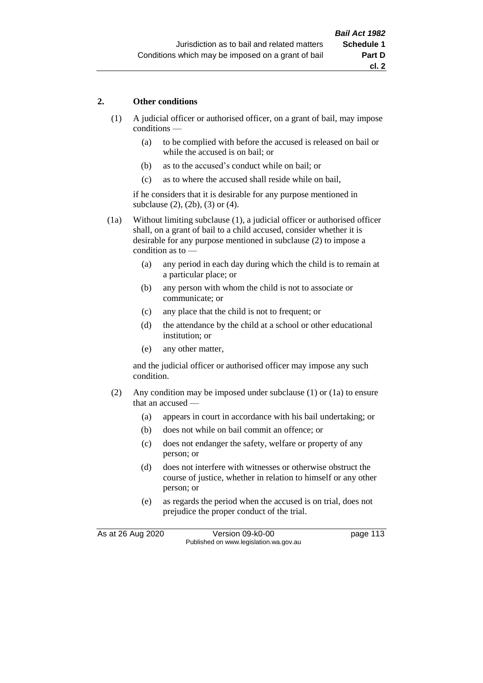# **2. Other conditions**

- (1) A judicial officer or authorised officer, on a grant of bail, may impose conditions —
	- (a) to be complied with before the accused is released on bail or while the accused is on bail; or
	- (b) as to the accused's conduct while on bail; or
	- (c) as to where the accused shall reside while on bail,

if he considers that it is desirable for any purpose mentioned in subclause (2), (2b), (3) or (4).

(1a) Without limiting subclause (1), a judicial officer or authorised officer shall, on a grant of bail to a child accused, consider whether it is desirable for any purpose mentioned in subclause (2) to impose a condition as to —

- (a) any period in each day during which the child is to remain at a particular place; or
- (b) any person with whom the child is not to associate or communicate; or
- (c) any place that the child is not to frequent; or
- (d) the attendance by the child at a school or other educational institution; or
- (e) any other matter,

and the judicial officer or authorised officer may impose any such condition.

- (2) Any condition may be imposed under subclause (1) or (1a) to ensure that an accused —
	- (a) appears in court in accordance with his bail undertaking; or
	- (b) does not while on bail commit an offence; or
	- (c) does not endanger the safety, welfare or property of any person; or
	- (d) does not interfere with witnesses or otherwise obstruct the course of justice, whether in relation to himself or any other person; or
	- (e) as regards the period when the accused is on trial, does not prejudice the proper conduct of the trial.

As at 26 Aug 2020 Version 09-k0-00 page 113 Published on www.legislation.wa.gov.au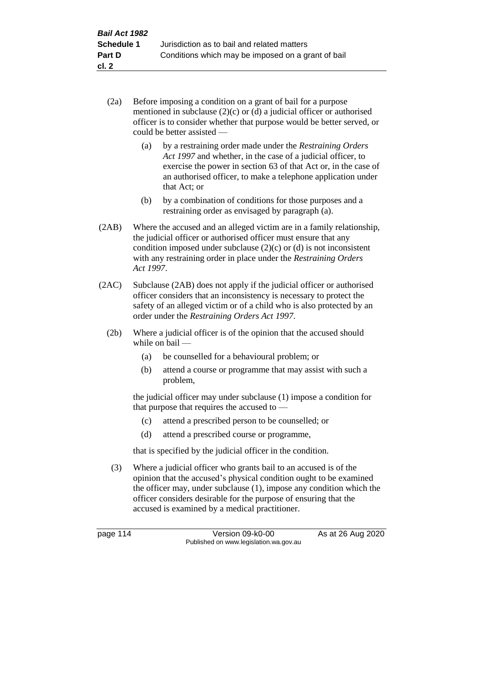- (2a) Before imposing a condition on a grant of bail for a purpose mentioned in subclause (2)(c) or (d) a judicial officer or authorised officer is to consider whether that purpose would be better served, or could be better assisted —
	- (a) by a restraining order made under the *Restraining Orders Act 1997* and whether, in the case of a judicial officer, to exercise the power in section 63 of that Act or, in the case of an authorised officer, to make a telephone application under that Act; or
	- (b) by a combination of conditions for those purposes and a restraining order as envisaged by paragraph (a).
- (2AB) Where the accused and an alleged victim are in a family relationship, the judicial officer or authorised officer must ensure that any condition imposed under subclause  $(2)(c)$  or  $(d)$  is not inconsistent with any restraining order in place under the *Restraining Orders Act 1997*.
- (2AC) Subclause (2AB) does not apply if the judicial officer or authorised officer considers that an inconsistency is necessary to protect the safety of an alleged victim or of a child who is also protected by an order under the *Restraining Orders Act 1997*.
	- (2b) Where a judicial officer is of the opinion that the accused should while on bail —
		- (a) be counselled for a behavioural problem; or
		- (b) attend a course or programme that may assist with such a problem,

the judicial officer may under subclause (1) impose a condition for that purpose that requires the accused to —

- (c) attend a prescribed person to be counselled; or
- (d) attend a prescribed course or programme,

that is specified by the judicial officer in the condition.

(3) Where a judicial officer who grants bail to an accused is of the opinion that the accused's physical condition ought to be examined the officer may, under subclause (1), impose any condition which the officer considers desirable for the purpose of ensuring that the accused is examined by a medical practitioner.

page 114 Version 09-k0-00 As at 26 Aug 2020 Published on www.legislation.wa.gov.au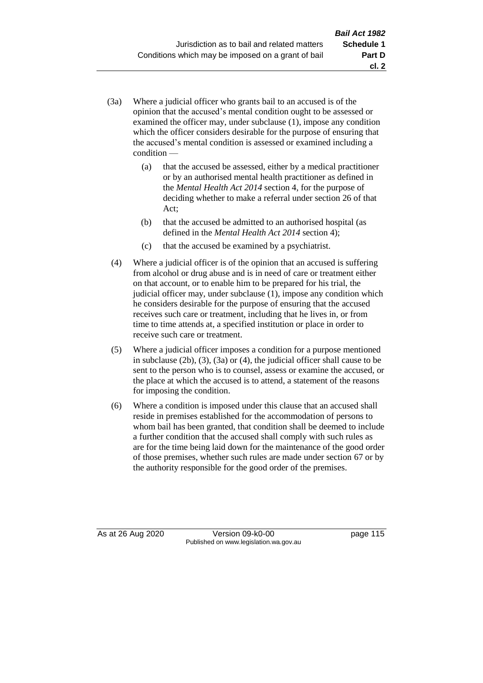- (3a) Where a judicial officer who grants bail to an accused is of the opinion that the accused's mental condition ought to be assessed or examined the officer may, under subclause (1), impose any condition which the officer considers desirable for the purpose of ensuring that the accused's mental condition is assessed or examined including a condition —
	- (a) that the accused be assessed, either by a medical practitioner or by an authorised mental health practitioner as defined in the *Mental Health Act 2014* section 4, for the purpose of deciding whether to make a referral under section 26 of that Act;
	- (b) that the accused be admitted to an authorised hospital (as defined in the *Mental Health Act 2014* section 4);
	- (c) that the accused be examined by a psychiatrist.
- (4) Where a judicial officer is of the opinion that an accused is suffering from alcohol or drug abuse and is in need of care or treatment either on that account, or to enable him to be prepared for his trial, the judicial officer may, under subclause (1), impose any condition which he considers desirable for the purpose of ensuring that the accused receives such care or treatment, including that he lives in, or from time to time attends at, a specified institution or place in order to receive such care or treatment.
- (5) Where a judicial officer imposes a condition for a purpose mentioned in subclause (2b), (3), (3a) or (4), the judicial officer shall cause to be sent to the person who is to counsel, assess or examine the accused, or the place at which the accused is to attend, a statement of the reasons for imposing the condition.
- (6) Where a condition is imposed under this clause that an accused shall reside in premises established for the accommodation of persons to whom bail has been granted, that condition shall be deemed to include a further condition that the accused shall comply with such rules as are for the time being laid down for the maintenance of the good order of those premises, whether such rules are made under section 67 or by the authority responsible for the good order of the premises.

As at 26 Aug 2020 Version 09-k0-00 page 115 Published on www.legislation.wa.gov.au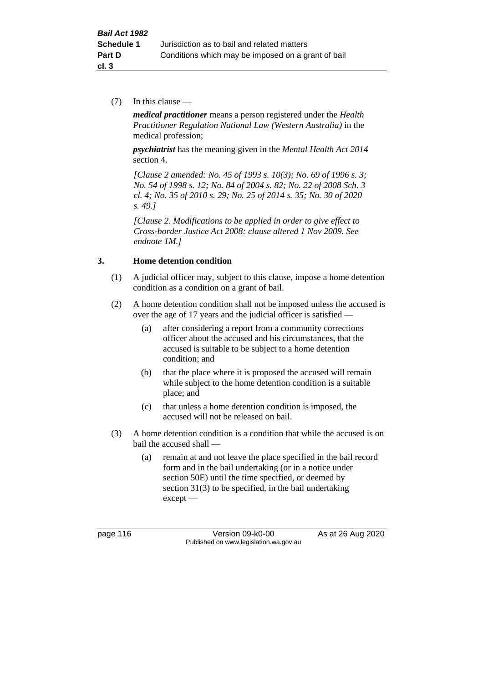(7) In this clause —

*medical practitioner* means a person registered under the *Health Practitioner Regulation National Law (Western Australia)* in the medical profession;

*psychiatrist* has the meaning given in the *Mental Health Act 2014* section 4.

*[Clause 2 amended: No. 45 of 1993 s. 10(3); No. 69 of 1996 s. 3; No. 54 of 1998 s. 12; No. 84 of 2004 s. 82; No. 22 of 2008 Sch. 3 cl. 4; No. 35 of 2010 s. 29; No. 25 of 2014 s. 35; No. 30 of 2020 s. 49.]*

*[Clause 2. Modifications to be applied in order to give effect to Cross-border Justice Act 2008: clause altered 1 Nov 2009. See endnote 1M.]*

# **3. Home detention condition**

- (1) A judicial officer may, subject to this clause, impose a home detention condition as a condition on a grant of bail.
- (2) A home detention condition shall not be imposed unless the accused is over the age of 17 years and the judicial officer is satisfied —
	- (a) after considering a report from a community corrections officer about the accused and his circumstances, that the accused is suitable to be subject to a home detention condition; and
	- (b) that the place where it is proposed the accused will remain while subject to the home detention condition is a suitable place; and
	- (c) that unless a home detention condition is imposed, the accused will not be released on bail.
- (3) A home detention condition is a condition that while the accused is on bail the accused shall —
	- (a) remain at and not leave the place specified in the bail record form and in the bail undertaking (or in a notice under section 50E) until the time specified, or deemed by section 31(3) to be specified, in the bail undertaking except —

page 116 Version 09-k0-00 As at 26 Aug 2020 Published on www.legislation.wa.gov.au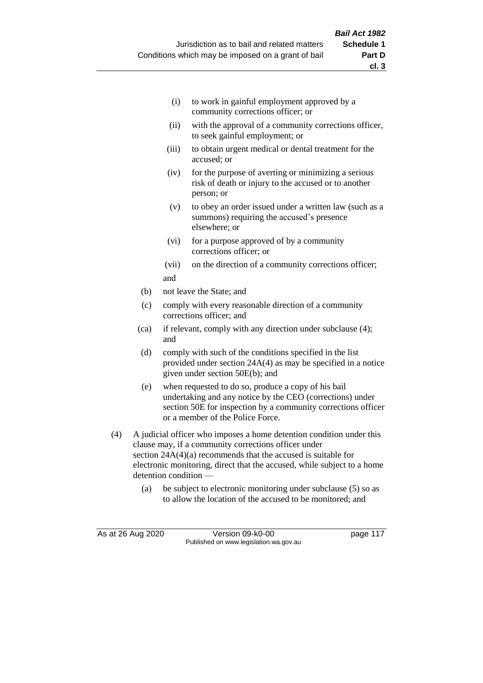- (i) to work in gainful employment approved by a community corrections officer; or
- (ii) with the approval of a community corrections officer, to seek gainful employment; or
- (iii) to obtain urgent medical or dental treatment for the accused; or
- (iv) for the purpose of averting or minimizing a serious risk of death or injury to the accused or to another person; or
- (v) to obey an order issued under a written law (such as a summons) requiring the accused's presence elsewhere; or
- (vi) for a purpose approved of by a community corrections officer; or
- (vii) on the direction of a community corrections officer; and
- (b) not leave the State; and
- (c) comply with every reasonable direction of a community corrections officer; and
- (ca) if relevant, comply with any direction under subclause (4); and
- (d) comply with such of the conditions specified in the list provided under section 24A(4) as may be specified in a notice given under section 50E(b); and
- (e) when requested to do so, produce a copy of his bail undertaking and any notice by the CEO (corrections) under section 50E for inspection by a community corrections officer or a member of the Police Force.
- (4) A judicial officer who imposes a home detention condition under this clause may, if a community corrections officer under section  $24A(4)(a)$  recommends that the accused is suitable for electronic monitoring, direct that the accused, while subject to a home detention condition —
	- (a) be subject to electronic monitoring under subclause (5) so as to allow the location of the accused to be monitored; and

As at 26 Aug 2020 Version 09-k0-00 page 117 Published on www.legislation.wa.gov.au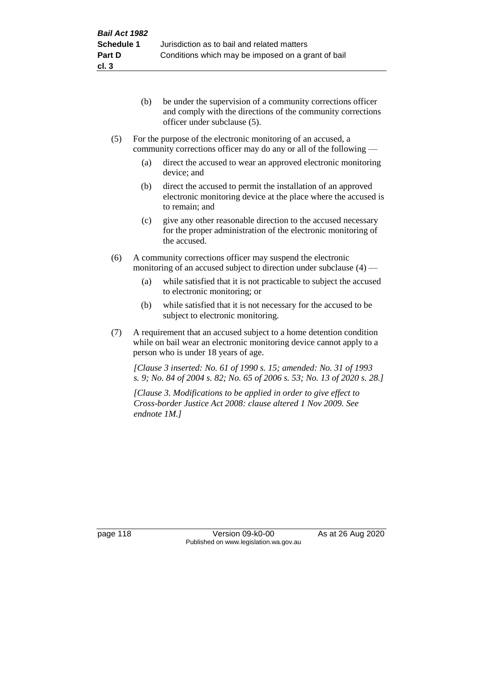- (b) be under the supervision of a community corrections officer and comply with the directions of the community corrections officer under subclause (5).
- (5) For the purpose of the electronic monitoring of an accused, a community corrections officer may do any or all of the following —
	- (a) direct the accused to wear an approved electronic monitoring device; and
	- (b) direct the accused to permit the installation of an approved electronic monitoring device at the place where the accused is to remain; and
	- (c) give any other reasonable direction to the accused necessary for the proper administration of the electronic monitoring of the accused.
- (6) A community corrections officer may suspend the electronic monitoring of an accused subject to direction under subclause (4) —
	- (a) while satisfied that it is not practicable to subject the accused to electronic monitoring; or
	- (b) while satisfied that it is not necessary for the accused to be subject to electronic monitoring.
- (7) A requirement that an accused subject to a home detention condition while on bail wear an electronic monitoring device cannot apply to a person who is under 18 years of age.

*[Clause 3 inserted: No. 61 of 1990 s. 15; amended: No. 31 of 1993 s. 9; No. 84 of 2004 s. 82; No. 65 of 2006 s. 53; No. 13 of 2020 s. 28.]*

*[Clause 3. Modifications to be applied in order to give effect to Cross-border Justice Act 2008: clause altered 1 Nov 2009. See endnote 1M.]*

page 118 Version 09-k0-00 As at 26 Aug 2020 Published on www.legislation.wa.gov.au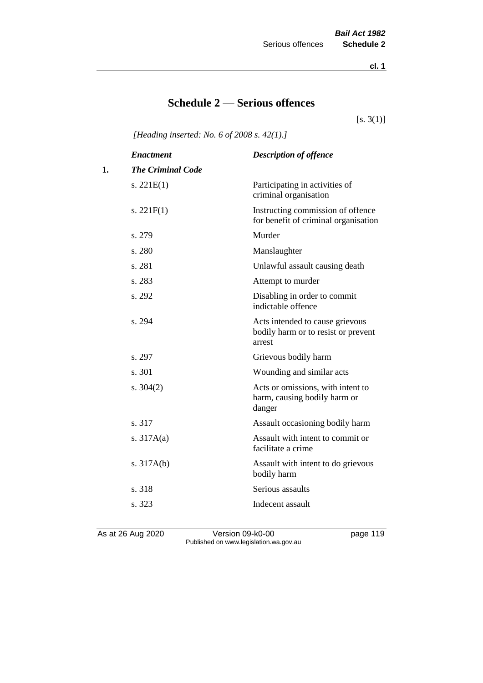**cl. 1**

# **Schedule 2 — Serious offences**

 $[s. 3(1)]$ 

*[Heading inserted: No. 6 of 2008 s. 42(1).]*

|    | <b>Enactment</b>         | <b>Description of offence</b>                                                    |
|----|--------------------------|----------------------------------------------------------------------------------|
| 1. | <b>The Criminal Code</b> |                                                                                  |
|    | s. $221E(1)$             | Participating in activities of<br>criminal organisation                          |
|    | s. $221F(1)$             | Instructing commission of offence<br>for benefit of criminal organisation        |
|    | s. 279                   | Murder                                                                           |
|    | s. 280                   | Manslaughter                                                                     |
|    | s. 281                   | Unlawful assault causing death                                                   |
|    | s. 283                   | Attempt to murder                                                                |
|    | s. 292                   | Disabling in order to commit<br>indictable offence                               |
|    | s. 294                   | Acts intended to cause grievous<br>bodily harm or to resist or prevent<br>arrest |
|    | s. 297                   | Grievous bodily harm                                                             |
|    | s. 301                   | Wounding and similar acts                                                        |
|    | s. $304(2)$              | Acts or omissions, with intent to<br>harm, causing bodily harm or<br>danger      |
|    | s. 317                   | Assault occasioning bodily harm                                                  |
|    | s. $317A(a)$             | Assault with intent to commit or<br>facilitate a crime                           |
|    | s. $317A(b)$             | Assault with intent to do grievous<br>bodily harm                                |
|    | s. 318                   | Serious assaults                                                                 |
|    | s. 323                   | Indecent assault                                                                 |
|    |                          |                                                                                  |

As at 26 Aug 2020 Version 09-k0-00 page 119 Published on www.legislation.wa.gov.au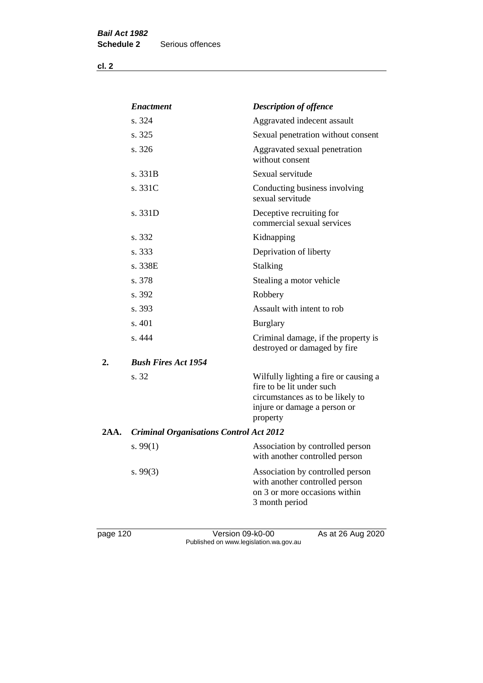**cl. 2**

|      | <b>Enactment</b>                               | <b>Description of offence</b>                                                                                                                      |
|------|------------------------------------------------|----------------------------------------------------------------------------------------------------------------------------------------------------|
|      | s. 324                                         | Aggravated indecent assault                                                                                                                        |
|      | s. 325                                         | Sexual penetration without consent                                                                                                                 |
|      | s. 326                                         | Aggravated sexual penetration<br>without consent                                                                                                   |
|      | s. 331B                                        | Sexual servitude                                                                                                                                   |
|      | s. 331C                                        | Conducting business involving<br>sexual servitude                                                                                                  |
|      | s. 331D                                        | Deceptive recruiting for<br>commercial sexual services                                                                                             |
|      | s. 332                                         | Kidnapping                                                                                                                                         |
|      | s. 333                                         | Deprivation of liberty                                                                                                                             |
|      | s. 338E                                        | Stalking                                                                                                                                           |
|      | s. 378                                         | Stealing a motor vehicle                                                                                                                           |
|      | s. 392                                         | Robbery                                                                                                                                            |
|      | s. 393                                         | Assault with intent to rob                                                                                                                         |
|      | s. 401                                         | <b>Burglary</b>                                                                                                                                    |
|      | s. 444                                         | Criminal damage, if the property is<br>destroyed or damaged by fire                                                                                |
| 2.   | <b>Bush Fires Act 1954</b>                     |                                                                                                                                                    |
|      | s. 32                                          | Wilfully lighting a fire or causing a<br>fire to be lit under such<br>circumstances as to be likely to<br>injure or damage a person or<br>property |
| 2AA. | <b>Criminal Organisations Control Act 2012</b> |                                                                                                                                                    |
|      | s. $99(1)$                                     | Association by controlled person<br>with another controlled person                                                                                 |
|      | s. $99(3)$                                     | Association by controlled person<br>with another controlled person<br>on 3 or more occasions within<br>3 month period                              |

page 120 Version 09-k0-00 As at 26 Aug 2020 Published on www.legislation.wa.gov.au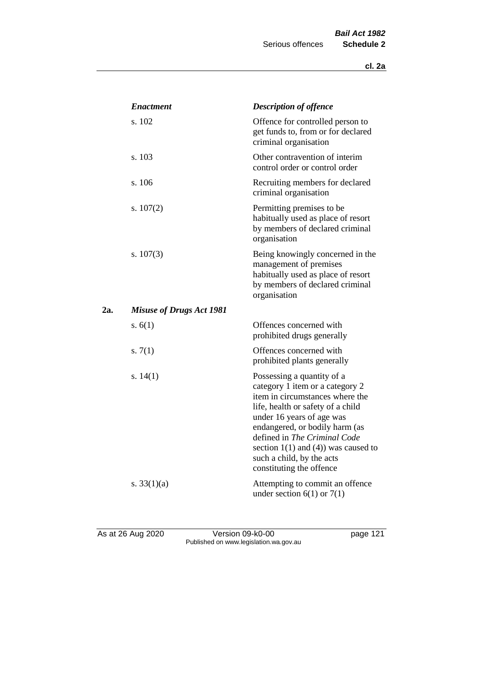|     | <b>Enactment</b>                | <b>Description of offence</b>                                                                                                                                                                                                                                                                                                             |
|-----|---------------------------------|-------------------------------------------------------------------------------------------------------------------------------------------------------------------------------------------------------------------------------------------------------------------------------------------------------------------------------------------|
|     | s. 102                          | Offence for controlled person to<br>get funds to, from or for declared<br>criminal organisation                                                                                                                                                                                                                                           |
|     | s. 103                          | Other contravention of interim<br>control order or control order                                                                                                                                                                                                                                                                          |
|     | s. 106                          | Recruiting members for declared<br>criminal organisation                                                                                                                                                                                                                                                                                  |
|     | s. $107(2)$                     | Permitting premises to be<br>habitually used as place of resort<br>by members of declared criminal<br>organisation                                                                                                                                                                                                                        |
|     | s. $107(3)$                     | Being knowingly concerned in the<br>management of premises<br>habitually used as place of resort<br>by members of declared criminal<br>organisation                                                                                                                                                                                       |
| 2a. | <b>Misuse of Drugs Act 1981</b> |                                                                                                                                                                                                                                                                                                                                           |
|     | s. $6(1)$                       | Offences concerned with<br>prohibited drugs generally                                                                                                                                                                                                                                                                                     |
|     | s. $7(1)$                       | Offences concerned with<br>prohibited plants generally                                                                                                                                                                                                                                                                                    |
|     | s. $14(1)$                      | Possessing a quantity of a<br>category 1 item or a category 2<br>item in circumstances where the<br>life, health or safety of a child<br>under 16 years of age was<br>endangered, or bodily harm (as<br>defined in The Criminal Code<br>section $1(1)$ and $(4)$ ) was caused to<br>such a child, by the acts<br>constituting the offence |
|     | s. $33(1)(a)$                   | Attempting to commit an offence<br>under section $6(1)$ or $7(1)$                                                                                                                                                                                                                                                                         |

As at 26 Aug 2020 Version 09-k0-00 page 121 Published on www.legislation.wa.gov.au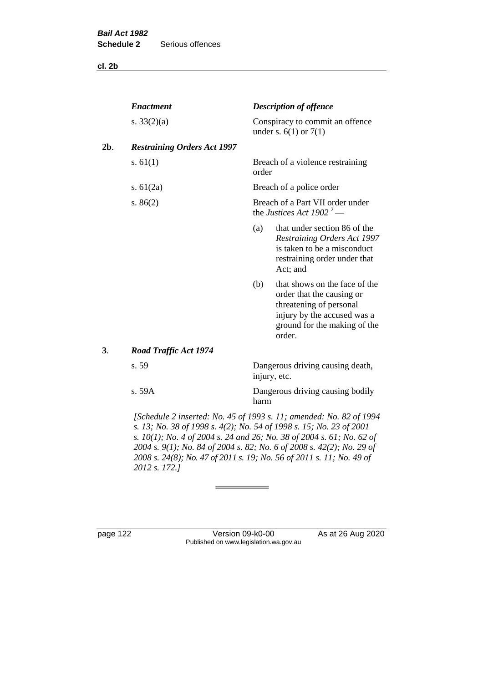**cl. 2b**

|        | <b>Enactment</b>                   |       | <b>Description of offence</b>                                                                                                                                  |  |  |
|--------|------------------------------------|-------|----------------------------------------------------------------------------------------------------------------------------------------------------------------|--|--|
|        | s. $33(2)(a)$                      |       | Conspiracy to commit an offence<br>under s. $6(1)$ or $7(1)$                                                                                                   |  |  |
| $2b$ . | <b>Restraining Orders Act 1997</b> |       |                                                                                                                                                                |  |  |
|        | s. $61(1)$                         | order | Breach of a violence restraining                                                                                                                               |  |  |
|        | s. $61(2a)$                        |       | Breach of a police order                                                                                                                                       |  |  |
|        | s. $86(2)$                         |       | Breach of a Part VII order under<br>the Justices Act 1902 <sup>2</sup> —                                                                                       |  |  |
|        |                                    | (a)   | that under section 86 of the<br><b>Restraining Orders Act 1997</b><br>is taken to be a misconduct<br>restraining order under that<br>Act; and                  |  |  |
|        |                                    | (b)   | that shows on the face of the<br>order that the causing or<br>threatening of personal<br>injury by the accused was a<br>ground for the making of the<br>order. |  |  |
| 3.     | <b>Road Traffic Act 1974</b>       |       |                                                                                                                                                                |  |  |
|        | s. 59                              |       | Dangerous driving causing death,<br>injury, etc.                                                                                                               |  |  |
|        | s. 59A                             | harm  | Dangerous driving causing bodily                                                                                                                               |  |  |
|        |                                    |       | [Schedule 2 inserted: No. 45 of 1993 s. 11; amended: No. 82 of 1994                                                                                            |  |  |

*s. 13; No. 38 of 1998 s. 4(2); No. 54 of 1998 s. 15; No. 23 of 2001 s. 10(1); No. 4 of 2004 s. 24 and 26; No. 38 of 2004 s. 61; No. 62 of 2004 s. 9(1); No. 84 of 2004 s. 82; No. 6 of 2008 s. 42(2); No. 29 of 2008 s. 24(8); No. 47 of 2011 s. 19; No. 56 of 2011 s. 11; No. 49 of 2012 s. 172.]* 

page 122 Version 09-k0-00 As at 26 Aug 2020 Published on www.legislation.wa.gov.au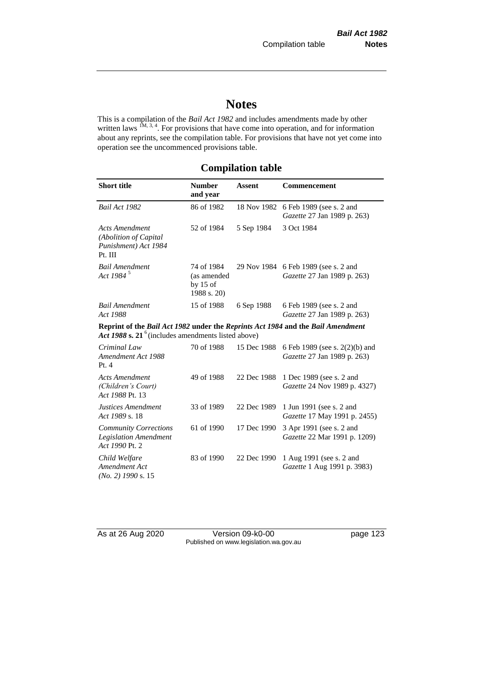# **Notes**

This is a compilation of the *Bail Act 1982* and includes amendments made by other written laws  $1M$ ,  $3, 4$ . For provisions that have come into operation, and for information about any reprints, see the compilation table. For provisions that have not yet come into operation see the uncommenced provisions table.

# **Compilation table**

| <b>Short title</b>                                                                                                                                | <b>Number</b><br>and year                              | <b>Assent</b> | <b>Commencement</b>                                           |
|---------------------------------------------------------------------------------------------------------------------------------------------------|--------------------------------------------------------|---------------|---------------------------------------------------------------|
| Bail Act 1982                                                                                                                                     | 86 of 1982                                             | 18 Nov 1982   | 6 Feb 1989 (see s. 2 and<br>Gazette 27 Jan 1989 p. 263)       |
| <b>Acts Amendment</b><br>(Abolition of Capital<br>Punishment) Act 1984<br>Pt. III                                                                 | 52 of 1984                                             | 5 Sep 1984    | 3 Oct 1984                                                    |
| <b>Bail Amendment</b><br>Act 1984 <sup>5</sup>                                                                                                    | 74 of 1984<br>(as amended<br>by $15$ of<br>1988 s. 20) | 29 Nov 1984   | 6 Feb 1989 (see s. 2 and<br>Gazette 27 Jan 1989 p. 263)       |
| <b>Bail Amendment</b><br>Act 1988                                                                                                                 | 15 of 1988                                             | 6 Sep 1988    | 6 Feb 1989 (see s. 2 and<br>Gazette 27 Jan 1989 p. 263)       |
| Reprint of the Bail Act 1982 under the Reprints Act 1984 and the Bail Amendment<br>Act 1988 s. 21 <sup>6</sup> (includes amendments listed above) |                                                        |               |                                                               |
| Criminal Law<br>Amendment Act 1988<br>Pt.4                                                                                                        | 70 of 1988                                             | 15 Dec 1988   | 6 Feb 1989 (see s. 2(2)(b) and<br>Gazette 27 Jan 1989 p. 263) |
| <b>Acts Amendment</b><br>(Children's Court)<br>Act 1988 Pt. 13                                                                                    | 49 of 1988                                             | 22 Dec 1988   | 1 Dec 1989 (see s. 2 and<br>Gazette 24 Nov 1989 p. 4327)      |
| Justices Amendment<br>Act 1989 s. 18                                                                                                              | 33 of 1989                                             | 22 Dec 1989   | 1 Jun 1991 (see s. 2 and<br>Gazette 17 May 1991 p. 2455)      |
| <b>Community Corrections</b><br><b>Legislation Amendment</b><br>Act 1990 Pt. 2                                                                    | 61 of 1990                                             | 17 Dec 1990   | 3 Apr 1991 (see s. 2 and<br>Gazette 22 Mar 1991 p. 1209)      |
| Child Welfare<br>Amendment Act<br>$(No. 2)$ 1990 s. 15                                                                                            | 83 of 1990                                             | 22 Dec 1990   | 1 Aug 1991 (see s. 2 and<br>Gazette 1 Aug 1991 p. 3983)       |

As at 26 Aug 2020 Version 09-k0-00 page 123 Published on www.legislation.wa.gov.au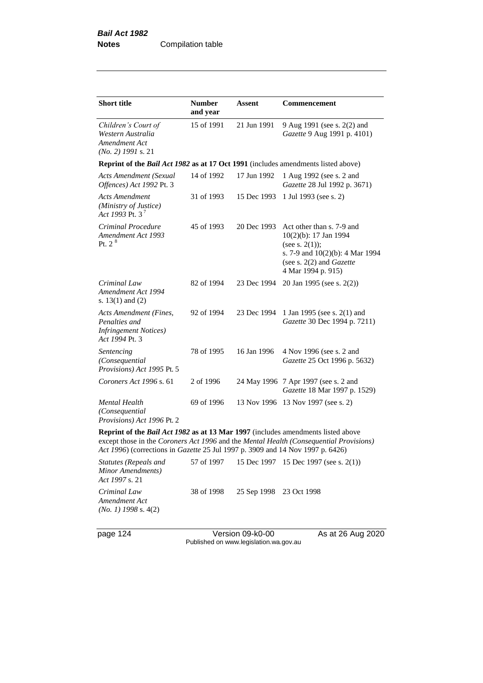| <b>Short title</b>                                                                         | <b>Number</b><br>and year                                                                                                                                                                                                                                           | Assent      | <b>Commencement</b>                                                                                                                                                   |  |  |
|--------------------------------------------------------------------------------------------|---------------------------------------------------------------------------------------------------------------------------------------------------------------------------------------------------------------------------------------------------------------------|-------------|-----------------------------------------------------------------------------------------------------------------------------------------------------------------------|--|--|
| Children's Court of<br>Western Australia<br>Amendment Act<br>$(No. 2)$ 1991 s. 21          | 15 of 1991                                                                                                                                                                                                                                                          | 21 Jun 1991 | 9 Aug 1991 (see s. 2(2) and<br>Gazette 9 Aug 1991 p. 4101)                                                                                                            |  |  |
| Reprint of the <i>Bail Act 1982</i> as at 17 Oct 1991 (includes amendments listed above)   |                                                                                                                                                                                                                                                                     |             |                                                                                                                                                                       |  |  |
| Acts Amendment (Sexual<br>Offences) Act 1992 Pt. 3                                         | 14 of 1992                                                                                                                                                                                                                                                          | 17 Jun 1992 | 1 Aug 1992 (see s. 2 and<br>Gazette 28 Jul 1992 p. 3671)                                                                                                              |  |  |
| <b>Acts Amendment</b><br>(Ministry of Justice)<br>Act 1993 Pt. $3^7$                       | 31 of 1993                                                                                                                                                                                                                                                          | 15 Dec 1993 | 1 Jul 1993 (see s. 2)                                                                                                                                                 |  |  |
| Criminal Procedure<br>Amendment Act 1993<br>Pt. $2^8$                                      | 45 of 1993                                                                                                                                                                                                                                                          | 20 Dec 1993 | Act other than s. 7-9 and<br>10(2)(b): 17 Jan 1994<br>(see s. $2(1)$ );<br>s. 7-9 and 10(2)(b): 4 Mar 1994<br>(see s. $2(2)$ and <i>Gazette</i><br>4 Mar 1994 p. 915) |  |  |
| Criminal Law<br>Amendment Act 1994<br>s. $13(1)$ and $(2)$                                 | 82 of 1994                                                                                                                                                                                                                                                          | 23 Dec 1994 | 20 Jan 1995 (see s. 2(2))                                                                                                                                             |  |  |
| Acts Amendment (Fines,<br>Penalties and<br><b>Infringement Notices</b> )<br>Act 1994 Pt. 3 | 92 of 1994                                                                                                                                                                                                                                                          | 23 Dec 1994 | 1 Jan 1995 (see s. 2(1) and<br>Gazette 30 Dec 1994 p. 7211)                                                                                                           |  |  |
| Sentencing<br>(Consequential<br>Provisions) Act 1995 Pt. 5                                 | 78 of 1995                                                                                                                                                                                                                                                          | 16 Jan 1996 | 4 Nov 1996 (see s. 2 and<br>Gazette 25 Oct 1996 p. 5632)                                                                                                              |  |  |
| Coroners Act 1996 s. 61                                                                    | 2 of 1996                                                                                                                                                                                                                                                           |             | 24 May 1996 7 Apr 1997 (see s. 2 and<br>Gazette 18 Mar 1997 p. 1529)                                                                                                  |  |  |
| Mental Health<br>(Consequential<br>Provisions) Act 1996 Pt. 2                              | 69 of 1996                                                                                                                                                                                                                                                          |             | 13 Nov 1996 13 Nov 1997 (see s. 2)                                                                                                                                    |  |  |
|                                                                                            | Reprint of the <i>Bail Act 1982</i> as at 13 Mar 1997 (includes amendments listed above<br>except those in the Coroners Act 1996 and the Mental Health (Consequential Provisions)<br>Act 1996) (corrections in Gazette 25 Jul 1997 p. 3909 and 14 Nov 1997 p. 6426) |             |                                                                                                                                                                       |  |  |
| <b>Statutes (Repeals and</b>                                                               | 57 of 1997                                                                                                                                                                                                                                                          | 15 Dec 1997 | 15 Dec 1997 (see s. 2(1))                                                                                                                                             |  |  |

*Minor Amendments) Act 1997* s. 21 *Criminal Law Amendment Act*  38 of 1998 25 Sep 1998 23 Oct 1998

*(No. 1) 1998* s. 4(2)

page 124 Version 09-k0-00 As at 26 Aug 2020 Published on www.legislation.wa.gov.au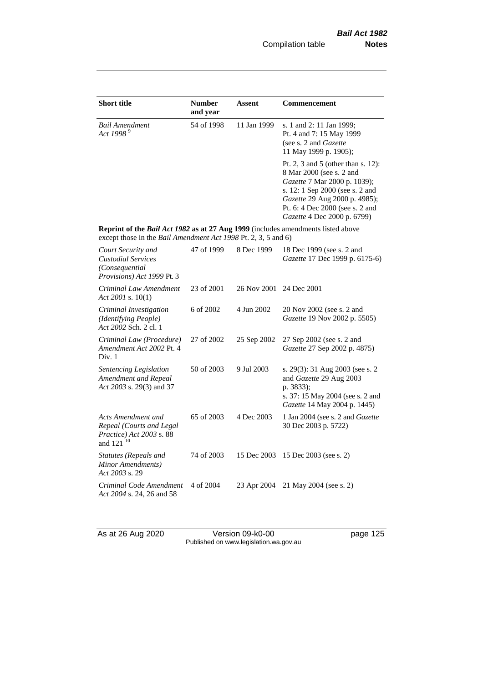| <b>Short title</b>                                                                                                                                 | <b>Number</b><br>and year | Assent      | <b>Commencement</b>                                                                                                                                                                                                                  |
|----------------------------------------------------------------------------------------------------------------------------------------------------|---------------------------|-------------|--------------------------------------------------------------------------------------------------------------------------------------------------------------------------------------------------------------------------------------|
| <b>Bail Amendment</b><br>Act 1998 <sup>9</sup>                                                                                                     | 54 of 1998                | 11 Jan 1999 | s. 1 and 2: 11 Jan 1999;<br>Pt. 4 and 7: 15 May 1999<br>(see s. 2 and <i>Gazette</i> )<br>11 May 1999 p. 1905);                                                                                                                      |
|                                                                                                                                                    |                           |             | Pt. 2, 3 and 5 (other than s. 12):<br>8 Mar 2000 (see s. 2 and<br>Gazette 7 Mar 2000 p. 1039);<br>s. 12: 1 Sep 2000 (see s. 2 and<br>Gazette 29 Aug 2000 p. 4985);<br>Pt. 6: 4 Dec 2000 (see s. 2 and<br>Gazette 4 Dec 2000 p. 6799) |
| Reprint of the Bail Act 1982 as at 27 Aug 1999 (includes amendments listed above<br>except those in the Bail Amendment Act 1998 Pt. 2, 3, 5 and 6) |                           |             |                                                                                                                                                                                                                                      |
| Court Security and<br><b>Custodial Services</b><br>(Consequential<br>Provisions) Act 1999 Pt. 3                                                    | 47 of 1999                | 8 Dec 1999  | 18 Dec 1999 (see s. 2 and<br>Gazette 17 Dec 1999 p. 6175-6)                                                                                                                                                                          |
| Criminal Law Amendment<br>Act 2001 s. $10(1)$                                                                                                      | 23 of 2001                | 26 Nov 2001 | 24 Dec 2001                                                                                                                                                                                                                          |
| Criminal Investigation<br>(Identifying People)<br>Act 2002 Sch. 2 cl. 1                                                                            | 6 of 2002                 | 4 Jun 2002  | 20 Nov 2002 (see s. 2 and<br>Gazette 19 Nov 2002 p. 5505)                                                                                                                                                                            |
| Criminal Law (Procedure)<br>Amendment Act 2002 Pt. 4<br>Div. 1                                                                                     | 27 of 2002                | 25 Sep 2002 | 27 Sep 2002 (see s. 2 and<br>Gazette 27 Sep 2002 p. 4875)                                                                                                                                                                            |
| Sentencing Legislation<br>Amendment and Repeal<br>Act 2003 s. 29(3) and 37                                                                         | 50 of 2003                | 9 Jul 2003  | s. 29(3): 31 Aug 2003 (see s. 2<br>and Gazette 29 Aug 2003<br>p. 3833);<br>s. 37: 15 May 2004 (see s. 2 and<br>Gazette 14 May 2004 p. 1445)                                                                                          |
| Acts Amendment and<br>Repeal (Courts and Legal<br>Practice) Act 2003 s. 88<br>and 121 <sup>10</sup>                                                | 65 of 2003                | 4 Dec 2003  | 1 Jan 2004 (see s. 2 and Gazette<br>30 Dec 2003 p. 5722)                                                                                                                                                                             |
| Statutes (Repeals and<br>Minor Amendments)<br>Act 2003 s. 29                                                                                       | 74 of 2003                | 15 Dec 2003 | 15 Dec 2003 (see s. 2)                                                                                                                                                                                                               |
| Criminal Code Amendment<br>Act 2004 s. 24, 26 and 58                                                                                               | 4 of 2004                 | 23 Apr 2004 | 21 May 2004 (see s. 2)                                                                                                                                                                                                               |

As at 26 Aug 2020 **Version 09-k0-00 page 125** Published on www.legislation.wa.gov.au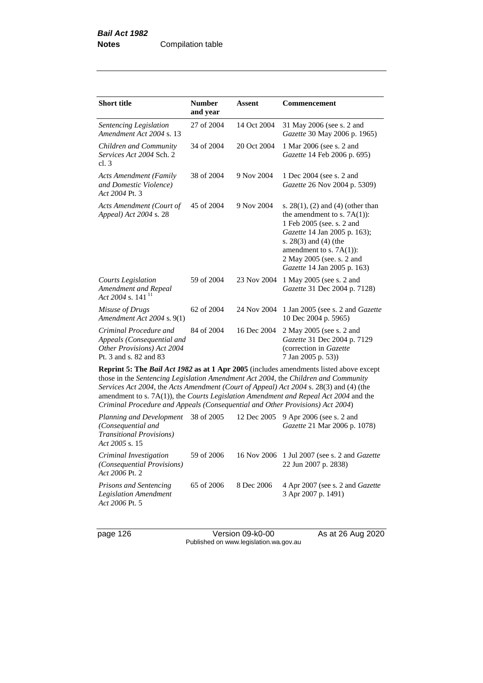| <b>Short title</b>                                                                                                                                                                                                                                                            | <b>Number</b><br>and year | <b>Assent</b> | <b>Commencement</b>                                                                                                                                                                                                                                  |  |  |
|-------------------------------------------------------------------------------------------------------------------------------------------------------------------------------------------------------------------------------------------------------------------------------|---------------------------|---------------|------------------------------------------------------------------------------------------------------------------------------------------------------------------------------------------------------------------------------------------------------|--|--|
| Sentencing Legislation<br>Amendment Act 2004 s. 13                                                                                                                                                                                                                            | 27 of 2004                | 14 Oct 2004   | 31 May 2006 (see s. 2 and<br>Gazette 30 May 2006 p. 1965)                                                                                                                                                                                            |  |  |
| Children and Community<br>Services Act 2004 Sch. 2<br>cl.3                                                                                                                                                                                                                    | 34 of 2004                | 20 Oct 2004   | 1 Mar 2006 (see s. 2 and<br>Gazette 14 Feb 2006 p. 695)                                                                                                                                                                                              |  |  |
| <b>Acts Amendment (Family</b><br>and Domestic Violence)<br>Act 2004 Pt. 3                                                                                                                                                                                                     | 38 of 2004                | 9 Nov 2004    | 1 Dec 2004 (see s. 2 and<br>Gazette 26 Nov 2004 p. 5309)                                                                                                                                                                                             |  |  |
| Acts Amendment (Court of<br>Appeal) Act 2004 s. 28                                                                                                                                                                                                                            | 45 of 2004                | 9 Nov 2004    | s. $28(1)$ , (2) and (4) (other than<br>the amendment to s. $7A(1)$ :<br>1 Feb 2005 (see. s. 2 and<br>Gazette 14 Jan 2005 p. 163);<br>s. 28(3) and (4) (the<br>amendment to s. $7A(1)$ :<br>2 May 2005 (see, s. 2 and<br>Gazette 14 Jan 2005 p. 163) |  |  |
| <b>Courts Legislation</b><br>Amendment and Repeal<br>Act 2004 s. 141 <sup>11</sup>                                                                                                                                                                                            | 59 of 2004                | 23 Nov 2004   | 1 May 2005 (see s. 2 and<br>Gazette 31 Dec 2004 p. 7128)                                                                                                                                                                                             |  |  |
| Misuse of Drugs<br>Amendment Act 2004 s. 9(1)                                                                                                                                                                                                                                 | 62 of 2004                | 24 Nov 2004   | 1 Jan 2005 (see s. 2 and <i>Gazette</i><br>10 Dec 2004 p. 5965)                                                                                                                                                                                      |  |  |
| Criminal Procedure and<br>Appeals (Consequential and<br>Other Provisions) Act 2004<br>Pt. 3 and s. 82 and 83                                                                                                                                                                  | 84 of 2004                | 16 Dec 2004   | 2 May 2005 (see s. 2 and<br>Gazette 31 Dec 2004 p. 7129<br>(correction in Gazette<br>7 Jan 2005 p. 53)                                                                                                                                               |  |  |
| <b>Reprint 5: The Bail Act 1982 as at 1 Apr 2005</b> (includes amendments listed above except<br>those in the Sentencing Legislation Amendment Act 2004, the Children and Community<br>Services Act 2004, the Acts Amendment (Court of Appeal) Act 2004 s. 28(3) and (4) (the |                           |               |                                                                                                                                                                                                                                                      |  |  |

amendment to s. 7A(1)), the *Courts Legislation Amendment and Repeal Act 2004* and the *Criminal Procedure and Appeals (Consequential and Other Provisions) Act 2004*)

| Planning and Development 38 of 2005<br>(Consequential and<br><i>Transitional Provisions</i> )<br>Act 2005 s. 15 |            |            | 12 Dec 2005 9 Apr 2006 (see s. 2 and<br>Gazette 21 Mar 2006 p. 1078)        |
|-----------------------------------------------------------------------------------------------------------------|------------|------------|-----------------------------------------------------------------------------|
| Criminal Investigation<br>(Consequential Provisions)<br>Act 2006 Pt. 2                                          | 59 of 2006 |            | 16 Nov 2006 1 Jul 2007 (see s. 2 and <i>Gazette</i><br>22 Jun 2007 p. 2838) |
| <b>Prisons and Sentencing</b><br><b>Legislation Amendment</b><br>Act 2006 Pt. 5                                 | 65 of 2006 | 8 Dec 2006 | 4 Apr 2007 (see s. 2 and <i>Gazette</i><br>3 Apr 2007 p. 1491)              |

page 126 Version 09-k0-00 As at 26 Aug 2020 Published on www.legislation.wa.gov.au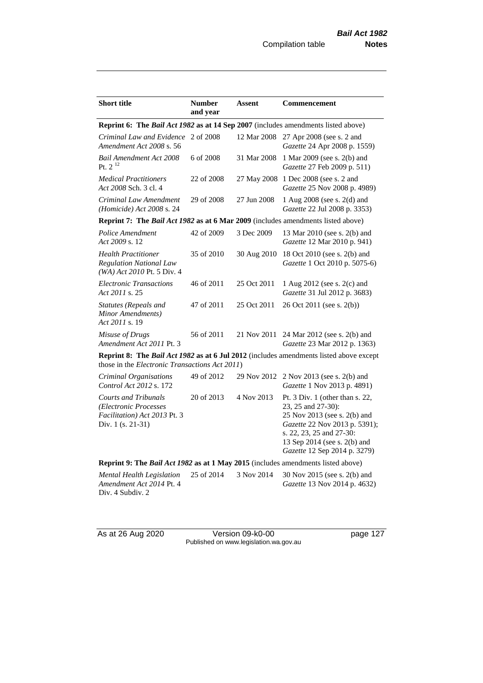| <b>Short title</b>                                                                                                                              | <b>Number</b><br>and year | <b>Assent</b> | <b>Commencement</b>                                                                                                                                                                                                  |  |
|-------------------------------------------------------------------------------------------------------------------------------------------------|---------------------------|---------------|----------------------------------------------------------------------------------------------------------------------------------------------------------------------------------------------------------------------|--|
| Reprint 6: The Bail Act 1982 as at 14 Sep 2007 (includes amendments listed above)                                                               |                           |               |                                                                                                                                                                                                                      |  |
| Criminal Law and Evidence 2 of 2008<br>Amendment Act 2008 s. 56                                                                                 |                           | 12 Mar 2008   | 27 Apr 2008 (see s. 2 and<br>Gazette 24 Apr 2008 p. 1559)                                                                                                                                                            |  |
| <b>Bail Amendment Act 2008</b><br>Pt. $2^{12}$                                                                                                  | 6 of 2008                 | 31 Mar 2008   | 1 Mar 2009 (see s. 2(b) and<br>Gazette 27 Feb 2009 p. 511)                                                                                                                                                           |  |
| <b>Medical Practitioners</b><br>Act 2008 Sch. 3 cl. 4                                                                                           | 22 of 2008                | 27 May 2008   | 1 Dec 2008 (see s. 2 and<br>Gazette 25 Nov 2008 p. 4989)                                                                                                                                                             |  |
| Criminal Law Amendment<br>(Homicide) Act 2008 s. 24                                                                                             | 29 of 2008                | 27 Jun 2008   | 1 Aug 2008 (see s. 2(d) and<br>Gazette 22 Jul 2008 p. 3353)                                                                                                                                                          |  |
| Reprint 7: The Bail Act 1982 as at 6 Mar 2009 (includes amendments listed above)                                                                |                           |               |                                                                                                                                                                                                                      |  |
| Police Amendment<br>Act 2009 s. 12                                                                                                              | 42 of 2009                | 3 Dec 2009    | 13 Mar 2010 (see s. 2(b) and<br>Gazette 12 Mar 2010 p. 941)                                                                                                                                                          |  |
| <b>Health Practitioner</b><br><b>Regulation National Law</b><br>(WA) Act 2010 Pt. 5 Div. 4                                                      | 35 of 2010                | 30 Aug 2010   | 18 Oct 2010 (see s. 2(b) and<br>Gazette 1 Oct 2010 p. 5075-6)                                                                                                                                                        |  |
| <b>Electronic Transactions</b><br>Act 2011 s. 25                                                                                                | 46 of 2011                | 25 Oct 2011   | 1 Aug 2012 (see s. 2(c) and<br>Gazette 31 Jul 2012 p. 3683)                                                                                                                                                          |  |
| Statutes (Repeals and<br>Minor Amendments)<br>Act 2011 s. 19                                                                                    | 47 of 2011                | 25 Oct 2011   | 26 Oct 2011 (see s. 2(b))                                                                                                                                                                                            |  |
| Misuse of Drugs<br>Amendment Act 2011 Pt. 3                                                                                                     | 56 of 2011                | 21 Nov 2011   | 24 Mar 2012 (see s. 2(b) and<br>Gazette 23 Mar 2012 p. 1363)                                                                                                                                                         |  |
| <b>Reprint 8: The Bail Act 1982 as at 6 Jul 2012</b> (includes amendments listed above except<br>those in the Electronic Transactions Act 2011) |                           |               |                                                                                                                                                                                                                      |  |
| Criminal Organisations<br>Control Act 2012 s. 172                                                                                               | 49 of 2012                | 29 Nov 2012   | 2 Nov 2013 (see s. 2(b) and<br>Gazette 1 Nov 2013 p. 4891)                                                                                                                                                           |  |
| <b>Courts and Tribunals</b><br>(Electronic Processes<br>Facilitation) Act 2013 Pt. 3<br>Div. 1 (s. 21-31)                                       | 20 of 2013                | 4 Nov 2013    | Pt. $3$ Div. 1 (other than s. 22,<br>23, 25 and 27-30):<br>25 Nov 2013 (see s. 2(b) and<br>Gazette 22 Nov 2013 p. 5391);<br>s. 22, 23, 25 and 27-30:<br>13 Sep 2014 (see s. 2(b) and<br>Gazette 12 Sep 2014 p. 3279) |  |
| Reprint 9: The Bail Act 1982 as at 1 May 2015 (includes amendments listed above)                                                                |                           |               |                                                                                                                                                                                                                      |  |
| Mental Health Legislation<br>Amendment Act 2014 Pt. 4<br>Div. 4 Subdiv. 2                                                                       | 25 of 2014                | 3 Nov 2014    | 30 Nov 2015 (see s. 2(b) and<br>Gazette 13 Nov 2014 p. 4632)                                                                                                                                                         |  |

As at 26 Aug 2020 **Version 09-k0-00 page 127** Published on www.legislation.wa.gov.au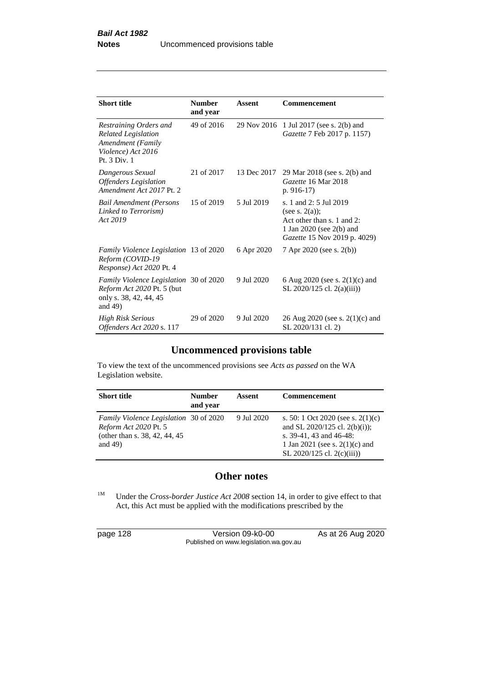| <b>Short title</b>                                                                                              | <b>Number</b><br>and year | Assent      | Commencement                                                                                                                            |
|-----------------------------------------------------------------------------------------------------------------|---------------------------|-------------|-----------------------------------------------------------------------------------------------------------------------------------------|
| Restraining Orders and<br><b>Related Legislation</b><br>Amendment (Family<br>Violence) Act 2016<br>Pt. 3 Div. 1 | 49 of 2016                | 29 Nov 2016 | 1 Jul 2017 (see s. 2(b) and<br>Gazette 7 Feb 2017 p. 1157)                                                                              |
| Dangerous Sexual<br><b>Offenders</b> Legislation<br>Amendment Act 2017 Pt. 2                                    | 21 of 2017                | 13 Dec 2017 | 29 Mar 2018 (see s. 2(b) and<br>Gazette 16 Mar 2018<br>p. $916-17$                                                                      |
| <b>Bail Amendment (Persons</b><br>Linked to Terrorism)<br>Act 2019                                              | 15 of 2019                | 5 Jul 2019  | s. 1 and 2: 5 Jul 2019<br>(see s. $2(a)$ );<br>Act other than s. 1 and 2:<br>1 Jan 2020 (see $2(b)$ and<br>Gazette 15 Nov 2019 p. 4029) |
| Family Violence Legislation 13 of 2020<br>Reform (COVID-19<br>Response) Act 2020 Pt. 4                          |                           | 6 Apr 2020  | 7 Apr 2020 (see s. 2(b))                                                                                                                |
| Family Violence Legislation 30 of 2020<br>Reform Act 2020 Pt. 5 (but<br>only s. 38, 42, 44, 45<br>and $49$ )    |                           | 9 Jul 2020  | 6 Aug 2020 (see s. $2(1)(c)$ and<br>SL 2020/125 cl. 2(a)(iii))                                                                          |
| <b>High Risk Serious</b><br>Offenders Act 2020 s. 117                                                           | 29 of 2020                | 9 Jul 2020  | 26 Aug 2020 (see s. $2(1)(c)$ and<br>SL 2020/131 cl. 2)                                                                                 |

# **Uncommenced provisions table**

To view the text of the uncommenced provisions see *Acts as passed* on the WA Legislation website.

| <b>Short title</b>                                                                                              | <b>Number</b><br>and year | Assent     | <b>Commencement</b>                                                                                                                                                   |
|-----------------------------------------------------------------------------------------------------------------|---------------------------|------------|-----------------------------------------------------------------------------------------------------------------------------------------------------------------------|
| Family Violence Legislation 30 of 2020<br>Reform Act 2020 Pt. 5<br>(other than s. 38, 42, 44, 45)<br>and $49$ ) |                           | 9 Jul 2020 | s. 50: 1 Oct 2020 (see s. $2(1)(c)$ )<br>and SL 2020/125 cl. 2(b)(i));<br>s. 39-41, 43 and 46-48:<br>1 Jan 2021 (see s. $2(1)(c)$ ) and<br>SL 2020/125 cl. 2(c)(iii)) |

# **Other notes**

<sup>1M</sup> Under the *Cross-border Justice Act 2008* section 14, in order to give effect to that Act, this Act must be applied with the modifications prescribed by the

| page 128 | Version 09-k0-00                       | As at 26 Aug 2020 |
|----------|----------------------------------------|-------------------|
|          | Published on www.legislation.wa.gov.au |                   |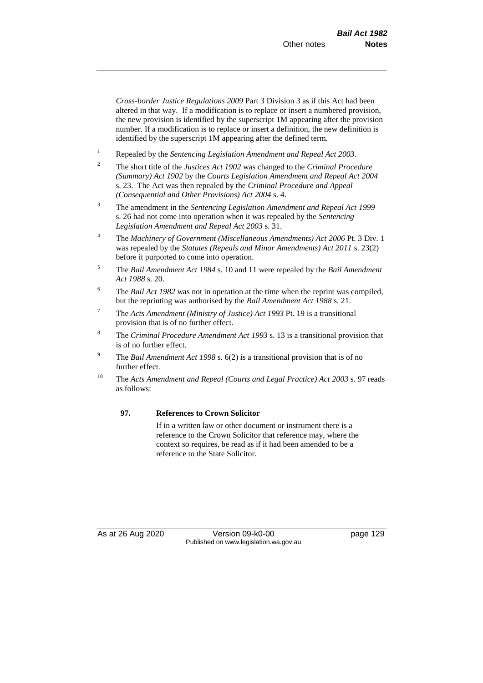*Cross-border Justice Regulations 2009* Part 3 Division 3 as if this Act had been altered in that way. If a modification is to replace or insert a numbered provision, the new provision is identified by the superscript 1M appearing after the provision number. If a modification is to replace or insert a definition, the new definition is identified by the superscript 1M appearing after the defined term.

- <sup>1</sup> Repealed by the *Sentencing Legislation Amendment and Repeal Act 2003*.
- <sup>2</sup> The short title of the *Justices Act 1902* was changed to the *Criminal Procedure (Summary) Act 1902* by the *Courts Legislation Amendment and Repeal Act 2004*  s. 23. The Act was then repealed by the *Criminal Procedure and Appeal (Consequential and Other Provisions) Act 2004* s. 4.
- <sup>3</sup> The amendment in the *Sentencing Legislation Amendment and Repeal Act 1999* s. 26 had not come into operation when it was repealed by the *Sentencing Legislation Amendment and Repeal Act 2003* s. 31.
- <sup>4</sup> The *Machinery of Government (Miscellaneous Amendments) Act 2006* Pt. 3 Div. 1 was repealed by the *Statutes (Repeals and Minor Amendments) Act 2011* s. 23(2) before it purported to come into operation.
- <sup>5</sup> The *Bail Amendment Act 1984* s. 10 and 11 were repealed by the *Bail Amendment Act 1988* s. 20.
- <sup>6</sup> The *Bail Act 1982* was not in operation at the time when the reprint was compiled, but the reprinting was authorised by the *Bail Amendment Act 1988* s. 21.
- <sup>7</sup> The *Acts Amendment (Ministry of Justice) Act 1993* Pt. 19 is a transitional provision that is of no further effect.
- <sup>8</sup> The *Criminal Procedure Amendment Act 1993* s. 13 is a transitional provision that is of no further effect.
- <sup>9</sup> The *Bail Amendment Act 1998* s. 6(2) is a transitional provision that is of no further effect.
- <sup>10</sup> The *Acts Amendment and Repeal (Courts and Legal Practice) Act 2003* s. 97 reads as follows:

### **97. References to Crown Solicitor**

If in a written law or other document or instrument there is a reference to the Crown Solicitor that reference may, where the context so requires, be read as if it had been amended to be a reference to the State Solicitor.

As at 26 Aug 2020 Version 09-k0-00 Version 09-k0-00 Page 129 Published on www.legislation.wa.gov.au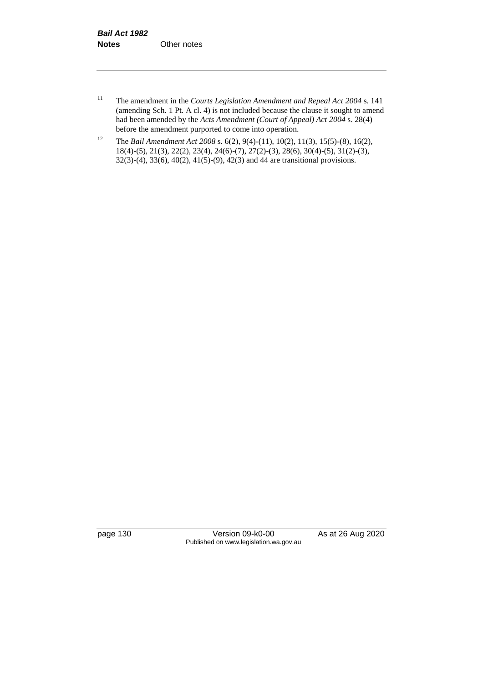- <sup>11</sup> The amendment in the *Courts Legislation Amendment and Repeal Act 2004* s. 141 (amending Sch. 1 Pt. A cl. 4) is not included because the clause it sought to amend had been amended by the *Acts Amendment (Court of Appeal) Act 2004* s. 28(4) before the amendment purported to come into operation.
- <sup>12</sup> The *Bail Amendment Act 2008* s. 6(2), 9(4)-(11), 10(2), 11(3), 15(5)-(8), 16(2), 18(4)-(5), 21(3), 22(2), 23(4), 24(6)-(7), 27(2)-(3), 28(6), 30(4)-(5), 31(2)-(3), 32(3)-(4), 33(6), 40(2), 41(5)-(9), 42(3) and 44 are transitional provisions.

page 130 Version 09-k0-00 As at 26 Aug 2020 Published on www.legislation.wa.gov.au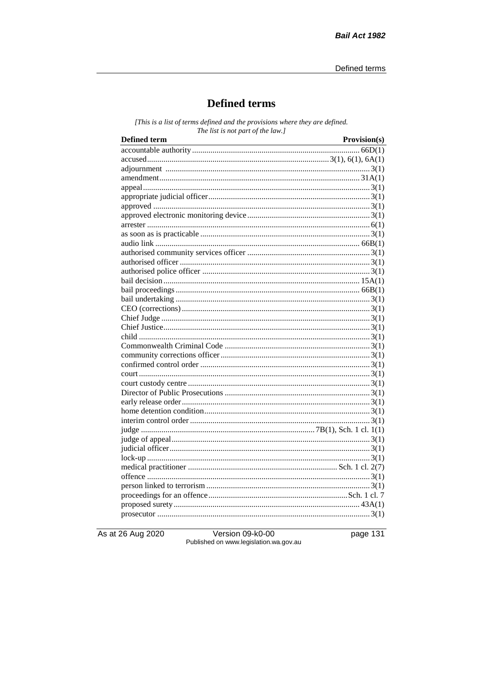# **Defined terms**

[This is a list of terms defined and the provisions where they are defined. The list is not part of the law.]

| <b>Defined term</b> | Provision(s) |
|---------------------|--------------|
|                     |              |
|                     |              |
|                     |              |
|                     |              |
|                     |              |
|                     |              |
|                     |              |
|                     |              |
|                     |              |
|                     |              |
|                     |              |
|                     |              |
|                     |              |
|                     |              |
|                     |              |
|                     |              |
|                     |              |
|                     |              |
|                     |              |
|                     |              |
|                     |              |
|                     |              |
|                     |              |
|                     |              |
|                     |              |
|                     |              |
|                     |              |
|                     |              |
|                     |              |
|                     |              |
|                     |              |
|                     |              |
|                     |              |
|                     |              |
|                     |              |
|                     |              |
|                     |              |
|                     |              |
|                     |              |
|                     |              |
|                     |              |

As at 26 Aug 2020

Version 09-k0-00 Published on www.legislation.wa.gov.au page 131